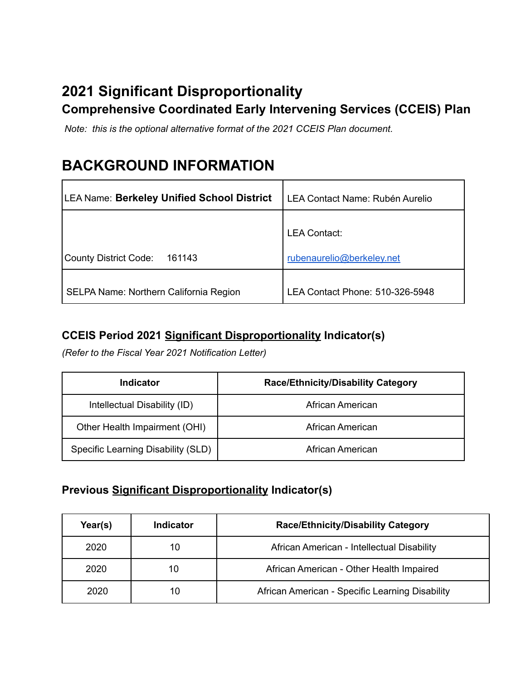# **2021 Significant Disproportionality Comprehensive Coordinated Early Intervening Services (CCEIS) Plan**

*Note: this is the optional alternative format of the 2021 CCEIS Plan document.*

# **BACKGROUND INFORMATION**

| LEA Name: Berkeley Unified School District | LEA Contact Name: Rubén Aurelio                  |  |
|--------------------------------------------|--------------------------------------------------|--|
| County District Code:<br>161143            | <b>LEA Contact:</b><br>rubenaurelio@berkeley.net |  |
| SELPA Name: Northern California Region     | LEA Contact Phone: 510-326-5948                  |  |

## **CCEIS Period 2021 Significant Disproportionality Indicator(s)**

*(Refer to the Fiscal Year 2021 Notification Letter)*

| Indicator                          | <b>Race/Ethnicity/Disability Category</b> |
|------------------------------------|-------------------------------------------|
| Intellectual Disability (ID)       | African American                          |
| Other Health Impairment (OHI)      | African American                          |
| Specific Learning Disability (SLD) | African American                          |

## **Previous Significant Disproportionality Indicator(s)**

| Year(s) | Indicator | <b>Race/Ethnicity/Disability Category</b>       |  |
|---------|-----------|-------------------------------------------------|--|
| 2020    | 10        | African American - Intellectual Disability      |  |
| 2020    | 10        | African American - Other Health Impaired        |  |
| 2020    | 10        | African American - Specific Learning Disability |  |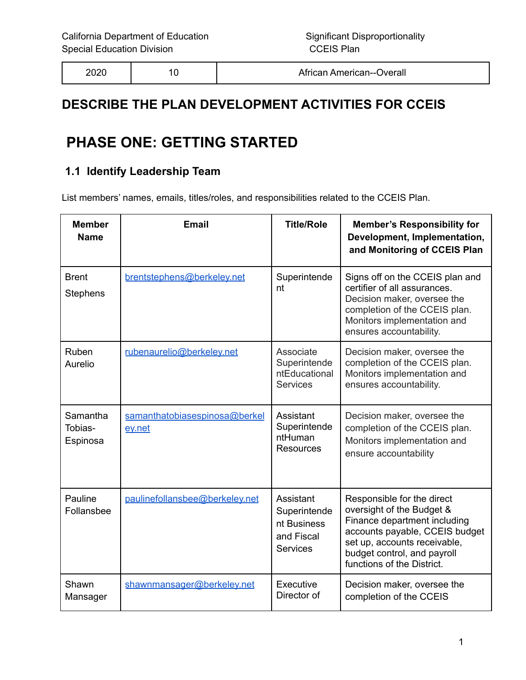| 2020 |  | African American--Overall |
|------|--|---------------------------|
|------|--|---------------------------|

# **DESCRIBE THE PLAN DEVELOPMENT ACTIVITIES FOR CCEIS**

# **PHASE ONE: GETTING STARTED**

## **1.1 Identify Leadership Team**

List members' names, emails, titles/roles, and responsibilities related to the CCEIS Plan.

| <b>Member</b><br><b>Name</b>    | <b>Email</b>                            | <b>Title/Role</b>                                                         | <b>Member's Responsibility for</b><br>Development, Implementation,<br>and Monitoring of CCEIS Plan                                                                                                                     |
|---------------------------------|-----------------------------------------|---------------------------------------------------------------------------|------------------------------------------------------------------------------------------------------------------------------------------------------------------------------------------------------------------------|
| <b>Brent</b><br><b>Stephens</b> | brentstephens@berkeley.net              | Superintende<br>nt                                                        | Signs off on the CCEIS plan and<br>certifier of all assurances.<br>Decision maker, oversee the<br>completion of the CCEIS plan.<br>Monitors implementation and<br>ensures accountability.                              |
| Ruben<br>Aurelio                | rubenaurelio@berkeley.net               | Associate<br>Superintende<br>ntEducational<br><b>Services</b>             | Decision maker, oversee the<br>completion of the CCEIS plan.<br>Monitors implementation and<br>ensures accountability.                                                                                                 |
| Samantha<br>Tobias-<br>Espinosa | samanthatobiasespinosa@berkel<br>ev.net | Assistant<br>Superintende<br>ntHuman<br><b>Resources</b>                  | Decision maker, oversee the<br>completion of the CCEIS plan.<br>Monitors implementation and<br>ensure accountability                                                                                                   |
| Pauline<br>Follansbee           | paulinefollansbee@berkeley.net          | Assistant<br>Superintende<br>nt Business<br>and Fiscal<br><b>Services</b> | Responsible for the direct<br>oversight of the Budget &<br>Finance department including<br>accounts payable, CCEIS budget<br>set up, accounts receivable,<br>budget control, and payroll<br>functions of the District. |
| Shawn<br>Mansager               | shawnmansager@berkeley.net              | Executive<br>Director of                                                  | Decision maker, oversee the<br>completion of the CCEIS                                                                                                                                                                 |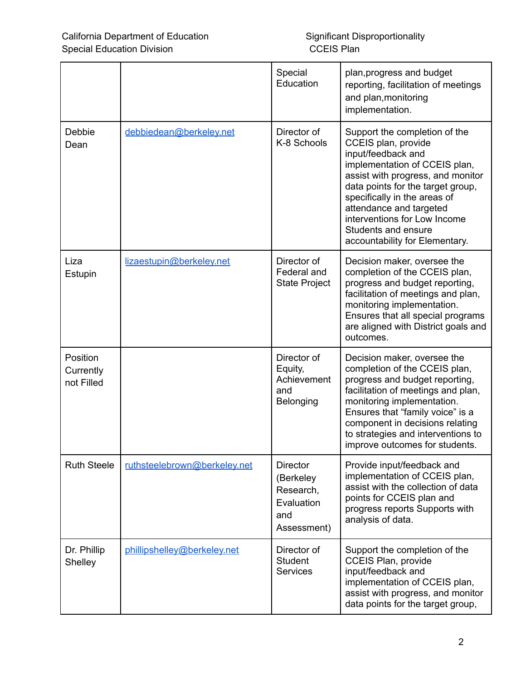|                                     |                              | Special<br>Education                                                          | plan, progress and budget<br>reporting, facilitation of meetings<br>and plan, monitoring<br>implementation.                                                                                                                                                                                                                               |  |
|-------------------------------------|------------------------------|-------------------------------------------------------------------------------|-------------------------------------------------------------------------------------------------------------------------------------------------------------------------------------------------------------------------------------------------------------------------------------------------------------------------------------------|--|
| Debbie<br>Dean                      | debbiedean@berkeley.net      | Director of<br>K-8 Schools                                                    | Support the completion of the<br>CCEIS plan, provide<br>input/feedback and<br>implementation of CCEIS plan,<br>assist with progress, and monitor<br>data points for the target group,<br>specifically in the areas of<br>attendance and targeted<br>interventions for Low Income<br>Students and ensure<br>accountability for Elementary. |  |
| Liza<br>Estupin                     | lizaestupin@berkeley.net     | Director of<br>Federal and<br><b>State Project</b>                            | Decision maker, oversee the<br>completion of the CCEIS plan,<br>progress and budget reporting,<br>facilitation of meetings and plan,<br>monitoring implementation.<br>Ensures that all special programs<br>are aligned with District goals and<br>outcomes.                                                                               |  |
| Position<br>Currently<br>not Filled |                              | Director of<br>Equity,<br>Achievement<br>and<br>Belonging                     | Decision maker, oversee the<br>completion of the CCEIS plan,<br>progress and budget reporting,<br>facilitation of meetings and plan,<br>monitoring implementation.<br>Ensures that "family voice" is a<br>component in decisions relating<br>to strategies and interventions to<br>improve outcomes for students.                         |  |
| <b>Ruth Steele</b>                  | ruthsteelebrown@berkeley.net | <b>Director</b><br>(Berkeley<br>Research,<br>Evaluation<br>and<br>Assessment) | Provide input/feedback and<br>implementation of CCEIS plan,<br>assist with the collection of data<br>points for CCEIS plan and<br>progress reports Supports with<br>analysis of data.                                                                                                                                                     |  |
| Dr. Phillip<br>Shelley              | phillipshelley@berkeley.net  | Director of<br><b>Student</b><br><b>Services</b>                              | Support the completion of the<br><b>CCEIS Plan, provide</b><br>input/feedback and<br>implementation of CCEIS plan,<br>assist with progress, and monitor<br>data points for the target group,                                                                                                                                              |  |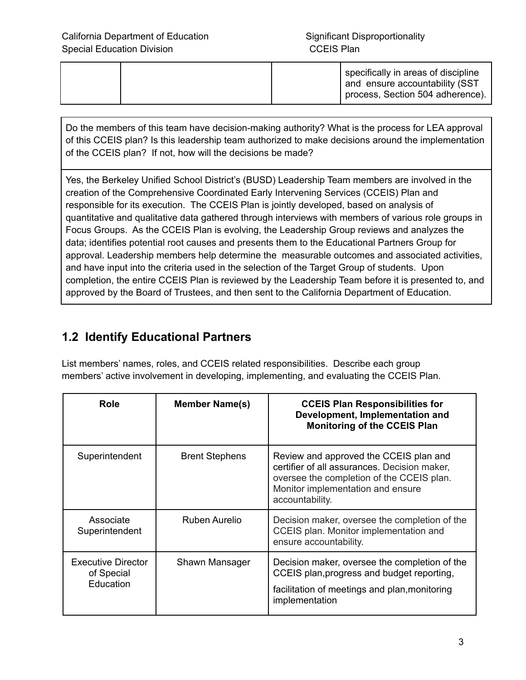|  |  | specifically in areas of discipline<br>and ensure accountability (SST |
|--|--|-----------------------------------------------------------------------|
|  |  | process, Section 504 adherence).                                      |

Do the members of this team have decision-making authority? What is the process for LEA approval of this CCEIS plan? Is this leadership team authorized to make decisions around the implementation of the CCEIS plan? If not, how will the decisions be made?

Yes, the Berkeley Unified School District's (BUSD) Leadership Team members are involved in the creation of the Comprehensive Coordinated Early Intervening Services (CCEIS) Plan and responsible for its execution. The CCEIS Plan is jointly developed, based on analysis of quantitative and qualitative data gathered through interviews with members of various role groups in Focus Groups. As the CCEIS Plan is evolving, the Leadership Group reviews and analyzes the data; identifies potential root causes and presents them to the Educational Partners Group for approval. Leadership members help determine the measurable outcomes and associated activities, and have input into the criteria used in the selection of the Target Group of students. Upon completion, the entire CCEIS Plan is reviewed by the Leadership Team before it is presented to, and approved by the Board of Trustees, and then sent to the California Department of Education.

# **1.2 Identify Educational Partners**

List members' names, roles, and CCEIS related responsibilities. Describe each group members' active involvement in developing, implementing, and evaluating the CCEIS Plan.

| Role                                                 | <b>Member Name(s)</b> | <b>CCEIS Plan Responsibilities for</b><br>Development, Implementation and<br><b>Monitoring of the CCEIS Plan</b>                                                                            |
|------------------------------------------------------|-----------------------|---------------------------------------------------------------------------------------------------------------------------------------------------------------------------------------------|
| Superintendent                                       | <b>Brent Stephens</b> | Review and approved the CCEIS plan and<br>certifier of all assurances. Decision maker,<br>oversee the completion of the CCEIS plan.<br>Monitor implementation and ensure<br>accountability. |
| Associate<br>Superintendent                          | Ruben Aurelio         | Decision maker, oversee the completion of the<br>CCEIS plan. Monitor implementation and<br>ensure accountability.                                                                           |
| <b>Executive Director</b><br>of Special<br>Education | Shawn Mansager        | Decision maker, oversee the completion of the<br>CCEIS plan, progress and budget reporting,<br>facilitation of meetings and plan, monitoring<br>implementation                              |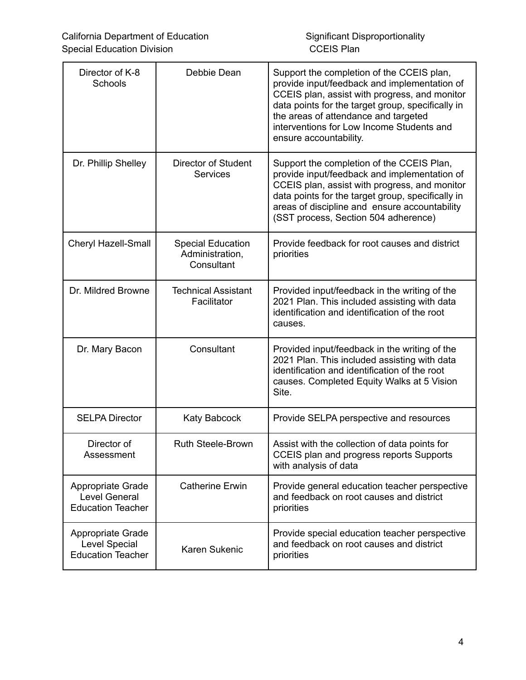| Director of K-8<br>Schools                                            | Debbie Dean                                               | Support the completion of the CCEIS plan,<br>provide input/feedback and implementation of<br>CCEIS plan, assist with progress, and monitor<br>data points for the target group, specifically in<br>the areas of attendance and targeted<br>interventions for Low Income Students and<br>ensure accountability. |
|-----------------------------------------------------------------------|-----------------------------------------------------------|----------------------------------------------------------------------------------------------------------------------------------------------------------------------------------------------------------------------------------------------------------------------------------------------------------------|
| Dr. Phillip Shelley                                                   | Director of Student<br><b>Services</b>                    | Support the completion of the CCEIS Plan,<br>provide input/feedback and implementation of<br>CCEIS plan, assist with progress, and monitor<br>data points for the target group, specifically in<br>areas of discipline and ensure accountability<br>(SST process, Section 504 adherence)                       |
| Cheryl Hazell-Small                                                   | <b>Special Education</b><br>Administration,<br>Consultant | Provide feedback for root causes and district<br>priorities                                                                                                                                                                                                                                                    |
| Dr. Mildred Browne                                                    | <b>Technical Assistant</b><br>Facilitator                 | Provided input/feedback in the writing of the<br>2021 Plan. This included assisting with data<br>identification and identification of the root<br>causes.                                                                                                                                                      |
| Consultant<br>Dr. Mary Bacon                                          |                                                           | Provided input/feedback in the writing of the<br>2021 Plan. This included assisting with data<br>identification and identification of the root<br>causes. Completed Equity Walks at 5 Vision<br>Site.                                                                                                          |
| <b>SELPA Director</b>                                                 | <b>Katy Babcock</b>                                       | Provide SELPA perspective and resources                                                                                                                                                                                                                                                                        |
| Director of<br>Assessment                                             | <b>Ruth Steele-Brown</b>                                  | Assist with the collection of data points for<br><b>CCEIS plan and progress reports Supports</b><br>with analysis of data                                                                                                                                                                                      |
| Appropriate Grade<br><b>Level General</b><br><b>Education Teacher</b> | <b>Catherine Erwin</b>                                    | Provide general education teacher perspective<br>and feedback on root causes and district<br>priorities                                                                                                                                                                                                        |
| Appropriate Grade<br><b>Level Special</b><br><b>Education Teacher</b> | Karen Sukenic                                             | Provide special education teacher perspective<br>and feedback on root causes and district<br>priorities                                                                                                                                                                                                        |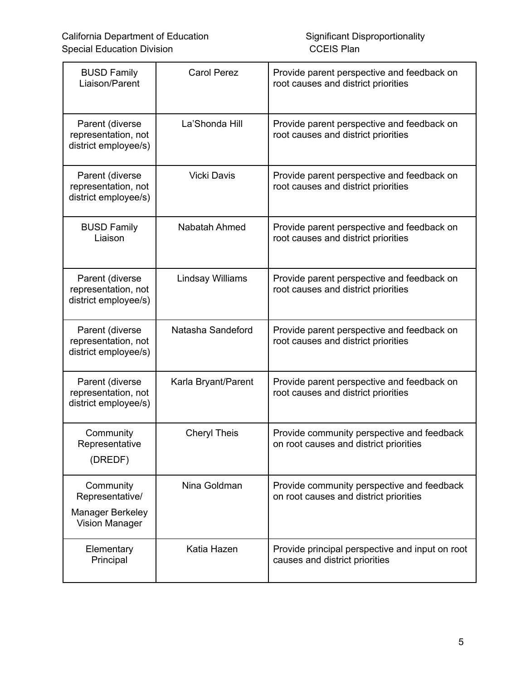| <b>BUSD Family</b><br>Liaison/Parent                                      | <b>Carol Perez</b>      | Provide parent perspective and feedback on<br>root causes and district priorities    |
|---------------------------------------------------------------------------|-------------------------|--------------------------------------------------------------------------------------|
| Parent (diverse<br>representation, not<br>district employee/s)            | La'Shonda Hill          | Provide parent perspective and feedback on<br>root causes and district priorities    |
| Parent (diverse<br>representation, not<br>district employee/s)            | <b>Vicki Davis</b>      | Provide parent perspective and feedback on<br>root causes and district priorities    |
| <b>BUSD Family</b><br>Liaison                                             | Nabatah Ahmed           | Provide parent perspective and feedback on<br>root causes and district priorities    |
| Parent (diverse<br>representation, not<br>district employee/s)            | <b>Lindsay Williams</b> | Provide parent perspective and feedback on<br>root causes and district priorities    |
| Parent (diverse<br>representation, not<br>district employee/s)            | Natasha Sandeford       | Provide parent perspective and feedback on<br>root causes and district priorities    |
| Parent (diverse<br>representation, not<br>district employee/s)            | Karla Bryant/Parent     | Provide parent perspective and feedback on<br>root causes and district priorities    |
| Community<br>Representative<br>(DREDF)                                    | <b>Cheryl Theis</b>     | Provide community perspective and feedback<br>on root causes and district priorities |
| Community<br>Representative/<br>Manager Berkeley<br><b>Vision Manager</b> | Nina Goldman            | Provide community perspective and feedback<br>on root causes and district priorities |
| Elementary<br>Principal                                                   | Katia Hazen             | Provide principal perspective and input on root<br>causes and district priorities    |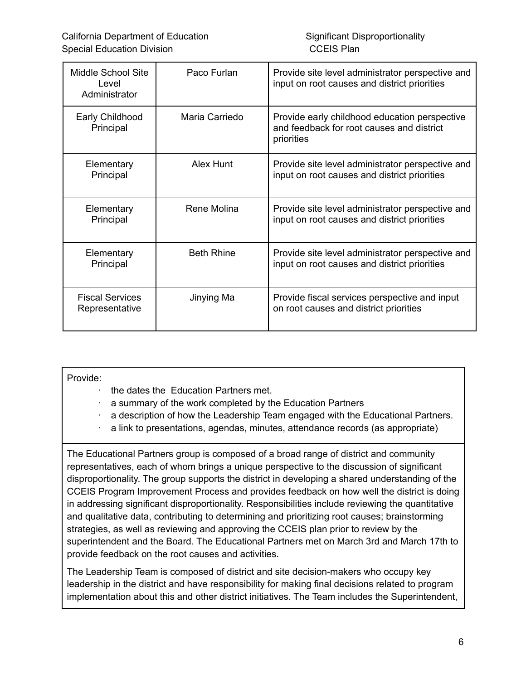| Middle School Site<br>Level<br>Administrator | Paco Furlan       | Provide site level administrator perspective and<br>input on root causes and district priorities         |
|----------------------------------------------|-------------------|----------------------------------------------------------------------------------------------------------|
| Early Childhood<br>Principal                 | Maria Carriedo    | Provide early childhood education perspective<br>and feedback for root causes and district<br>priorities |
| Elementary<br>Principal                      | Alex Hunt         | Provide site level administrator perspective and<br>input on root causes and district priorities         |
| Elementary<br>Principal                      | Rene Molina       | Provide site level administrator perspective and<br>input on root causes and district priorities         |
| Elementary<br>Principal                      | <b>Beth Rhine</b> | Provide site level administrator perspective and<br>input on root causes and district priorities         |
| <b>Fiscal Services</b><br>Representative     | Jinying Ma        | Provide fiscal services perspective and input<br>on root causes and district priorities                  |

#### Provide:

- · the dates the Education Partners met.
- a summary of the work completed by the Education Partners
- a description of how the Leadership Team engaged with the Educational Partners.
- · a link to presentations, agendas, minutes, attendance records (as appropriate)

The Educational Partners group is composed of a broad range of district and community representatives, each of whom brings a unique perspective to the discussion of significant disproportionality. The group supports the district in developing a shared understanding of the CCEIS Program Improvement Process and provides feedback on how well the district is doing in addressing significant disproportionality. Responsibilities include reviewing the quantitative and qualitative data, contributing to determining and prioritizing root causes; brainstorming strategies, as well as reviewing and approving the CCEIS plan prior to review by the superintendent and the Board. The Educational Partners met on March 3rd and March 17th to provide feedback on the root causes and activities.

The Leadership Team is composed of district and site decision-makers who occupy key leadership in the district and have responsibility for making final decisions related to program implementation about this and other district initiatives. The Team includes the Superintendent,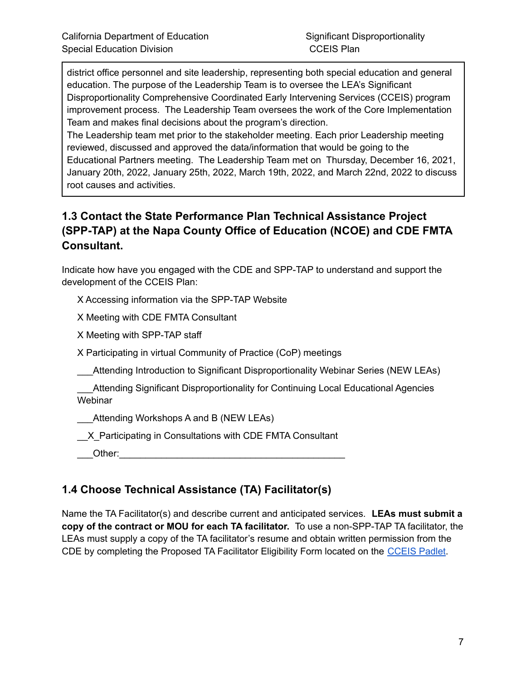district office personnel and site leadership, representing both special education and general education. The purpose of the Leadership Team is to oversee the LEA's Significant Disproportionality Comprehensive Coordinated Early Intervening Services (CCEIS) program improvement process. The Leadership Team oversees the work of the Core Implementation Team and makes final decisions about the program's direction.

The Leadership team met prior to the stakeholder meeting. Each prior Leadership meeting reviewed, discussed and approved the data/information that would be going to the Educational Partners meeting. The Leadership Team met on Thursday, December 16, 2021, January 20th, 2022, January 25th, 2022, March 19th, 2022, and March 22nd, 2022 to discuss root causes and activities.

## **1.3 Contact the State Performance Plan Technical Assistance Project (SPP-TAP) at the Napa County Office of Education (NCOE) and CDE FMTA Consultant.**

Indicate how have you engaged with the CDE and SPP-TAP to understand and support the development of the CCEIS Plan:

X Accessing information via the SPP-TAP Website

X Meeting with CDE FMTA Consultant

X Meeting with SPP-TAP staff

X Participating in virtual Community of Practice (CoP) meetings

\_\_\_Attending Introduction to Significant Disproportionality Webinar Series (NEW LEAs)

Attending Significant Disproportionality for Continuing Local Educational Agencies **Webinar** 

Attending Workshops A and B (NEW LEAs)

X Participating in Consultations with CDE FMTA Consultant

 $\blacksquare$  Other:

# **1.4 Choose Technical Assistance (TA) Facilitator(s)**

Name the TA Facilitator(s) and describe current and anticipated services. **LEAs must submit a copy of the contract or MOU for each TA facilitator.** To use a non-SPP-TAP TA facilitator, the LEAs must supply a copy of the TA facilitator's resume and obtain written permission from the CDE by completing the Proposed TA Facilitator Eligibility Form located on the [CCEIS](https://padlet.com/spptap/clx6r968cm5949jx) Padlet.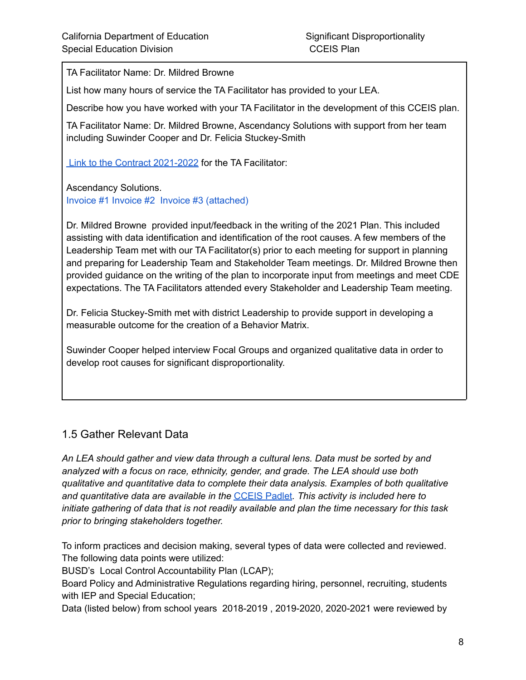TA Facilitator Name: Dr. Mildred Browne

List how many hours of service the TA Facilitator has provided to your LEA.

Describe how you have worked with your TA Facilitator in the development of this CCEIS plan.

TA Facilitator Name: Dr. Mildred Browne, Ascendancy Solutions with support from her team including Suwinder Cooper and Dr. Felicia Stuckey-Smith

Link to the Contract [2021-2022](https://drive.google.com/file/d/1cZMMFGxOPeU8cOo1aa15dB_QvCkb6cNc/view?usp=sharing) for the TA Facilitator:

Ascendancy Solutions. Invoice #1 Invoice #2 Invoice #3 (attached)

Dr. Mildred Browne provided input/feedback in the writing of the 2021 Plan. This included assisting with data identification and identification of the root causes. A few members of the Leadership Team met with our TA Facilitator(s) prior to each meeting for support in planning and preparing for Leadership Team and Stakeholder Team meetings. Dr. Mildred Browne then provided guidance on the writing of the plan to incorporate input from meetings and meet CDE expectations. The TA Facilitators attended every Stakeholder and Leadership Team meeting.

Dr. Felicia Stuckey-Smith met with district Leadership to provide support in developing a measurable outcome for the creation of a Behavior Matrix.

Suwinder Cooper helped interview Focal Groups and organized qualitative data in order to develop root causes for significant disproportionality.

### 1.5 Gather Relevant Data

*An LEA should gather and view data through a cultural lens. Data must be sorted by and analyzed with a focus on race, ethnicity, gender, and grade. The LEA should use both qualitative and quantitative data to complete their data analysis. Examples of both qualitative and quantitative data are available in the* [CCEIS](https://padlet.com/spptap/clx6r968cm5949jx) Padlet*. This activity is included here to initiate gathering of data that is not readily available and plan the time necessary for this task prior to bringing stakeholders together.*

To inform practices and decision making, several types of data were collected and reviewed. The following data points were utilized:

BUSD's Local Control Accountability Plan (LCAP);

Board Policy and Administrative Regulations regarding hiring, personnel, recruiting, students with IEP and Special Education;

Data (listed below) from school years 2018-2019 , 2019-2020, 2020-2021 were reviewed by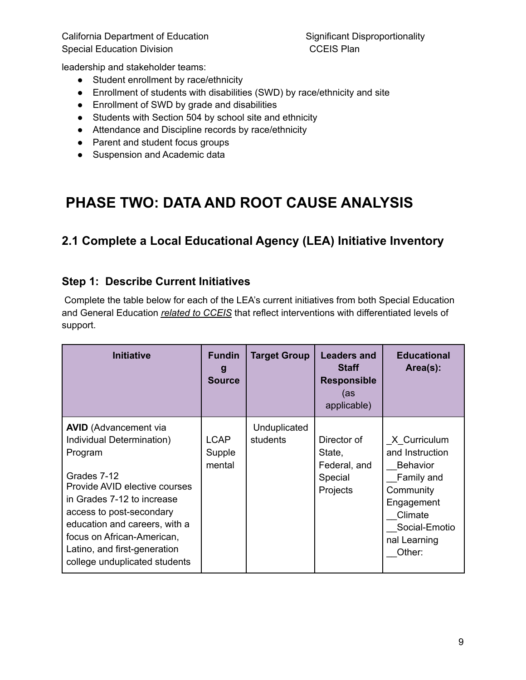leadership and stakeholder teams:

- Student enrollment by race/ethnicity
- Enrollment of students with disabilities (SWD) by race/ethnicity and site
- Enrollment of SWD by grade and disabilities
- Students with Section 504 by school site and ethnicity
- Attendance and Discipline records by race/ethnicity
- Parent and student focus groups
- Suspension and Academic data

# **PHASE TWO: DATA AND ROOT CAUSE ANALYSIS**

# **2.1 Complete a Local Educational Agency (LEA) Initiative Inventory**

## **Step 1: Describe Current Initiatives**

Complete the table below for each of the LEA's current initiatives from both Special Education and General Education *related to CCEIS* that reflect interventions with differentiated levels of support.

| <b>Initiative</b>                                                                                                                                                                                                                                                                                              | <b>Fundin</b><br>g<br><b>Source</b> | <b>Target Group</b>      | <b>Leaders and</b><br><b>Staff</b><br><b>Responsible</b><br>(as<br>applicable) | <b>Educational</b><br>Area(s):                                                                                                                    |
|----------------------------------------------------------------------------------------------------------------------------------------------------------------------------------------------------------------------------------------------------------------------------------------------------------------|-------------------------------------|--------------------------|--------------------------------------------------------------------------------|---------------------------------------------------------------------------------------------------------------------------------------------------|
| <b>AVID</b> (Advancement via<br>Individual Determination)<br>Program<br>Grades 7-12<br>Provide AVID elective courses<br>in Grades 7-12 to increase<br>access to post-secondary<br>education and careers, with a<br>focus on African-American,<br>Latino, and first-generation<br>college unduplicated students | <b>LCAP</b><br>Supple<br>mental     | Unduplicated<br>students | Director of<br>State,<br>Federal, and<br>Special<br>Projects                   | X_Curriculum<br>and Instruction<br><b>Behavior</b><br>Family and<br>Community<br>Engagement<br>Climate<br>Social-Emotio<br>nal Learning<br>Other: |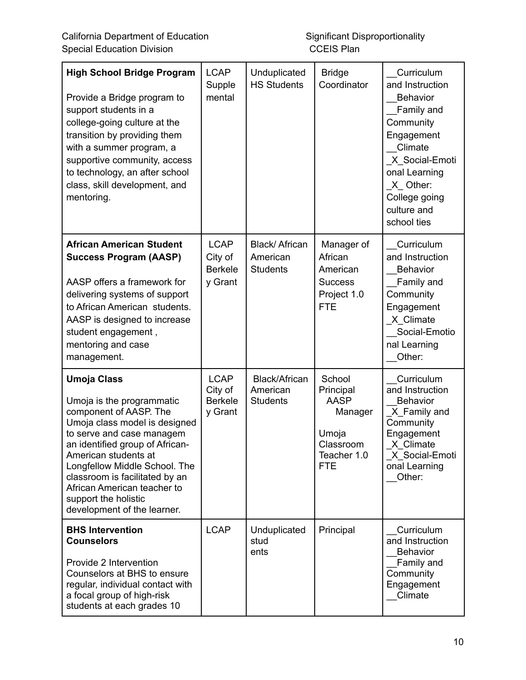| <b>High School Bridge Program</b><br>Provide a Bridge program to<br>support students in a<br>college-going culture at the<br>transition by providing them<br>with a summer program, a<br>supportive community, access<br>to technology, an after school<br>class, skill development, and<br>mentoring.                                                      | <b>LCAP</b><br>Supple<br>mental                     | Unduplicated<br><b>HS Students</b>            | <b>Bridge</b><br>Coordinator                                                                     | Curriculum<br>and Instruction<br><b>Behavior</b><br>Family and<br>Community<br>Engagement<br>Climate<br>X_Social-Emoti<br>onal Learning<br>X Other:<br>College going<br>culture and<br>school ties |
|-------------------------------------------------------------------------------------------------------------------------------------------------------------------------------------------------------------------------------------------------------------------------------------------------------------------------------------------------------------|-----------------------------------------------------|-----------------------------------------------|--------------------------------------------------------------------------------------------------|----------------------------------------------------------------------------------------------------------------------------------------------------------------------------------------------------|
| <b>African American Student</b><br><b>Success Program (AASP)</b><br>AASP offers a framework for<br>delivering systems of support<br>to African American students.<br>AASP is designed to increase<br>student engagement,<br>mentoring and case<br>management.                                                                                               | <b>LCAP</b><br>City of<br><b>Berkele</b><br>y Grant | Black/ African<br>American<br><b>Students</b> | Manager of<br>African<br>American<br><b>Success</b><br>Project 1.0<br><b>FTE</b>                 | Curriculum<br>and Instruction<br><b>Behavior</b><br>Family and<br>Community<br>Engagement<br>X Climate<br>Social-Emotio<br>nal Learning<br>Other:                                                  |
| <b>Umoja Class</b><br>Umoja is the programmatic<br>component of AASP. The<br>Umoja class model is designed<br>to serve and case managem<br>an identified group of African-<br>American students at<br>Longfellow Middle School. The<br>classroom is facilitated by an<br>African American teacher to<br>support the holistic<br>development of the learner. | <b>LCAP</b><br>City of<br><b>Berkele</b><br>y Grant | Black/African<br>American<br><b>Students</b>  | School<br>Principal<br><b>AASP</b><br>Manager<br>Umoja<br>Classroom<br>Teacher 1.0<br><b>FTE</b> | Curriculum<br>and Instruction<br><b>Behavior</b><br>X Family and<br>Community<br>Engagement<br>X_Climate<br>X_Social-Emoti<br>onal Learning<br>Other:                                              |
| <b>BHS Intervention</b><br><b>Counselors</b><br>Provide 2 Intervention<br>Counselors at BHS to ensure<br>regular, individual contact with<br>a focal group of high-risk<br>students at each grades 10                                                                                                                                                       | <b>LCAP</b>                                         | Unduplicated<br>stud<br>ents                  | Principal                                                                                        | Curriculum<br>and Instruction<br><b>Behavior</b><br>Family and<br>Community<br>Engagement<br>Climate                                                                                               |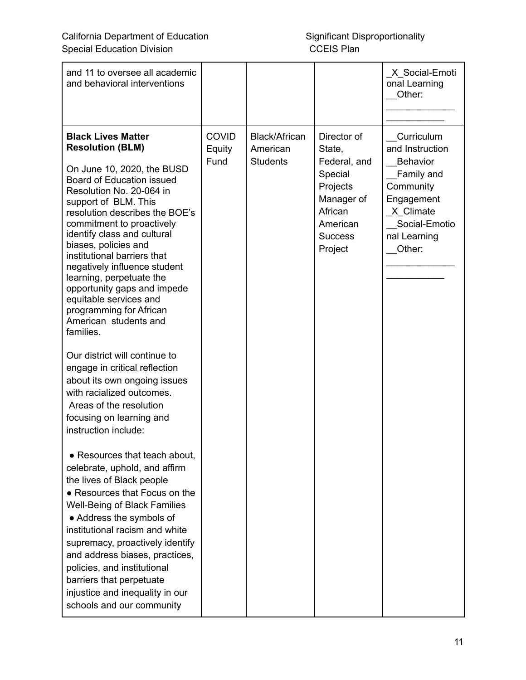| and 11 to oversee all academic<br>and behavioral interventions                                                                                                                                                                                                                                                                                                                                                                                                                                                                                                                          |                                |                                              |                                                                                                                                | X_Social-Emoti<br>onal Learning<br>Other:                                                                                                         |
|-----------------------------------------------------------------------------------------------------------------------------------------------------------------------------------------------------------------------------------------------------------------------------------------------------------------------------------------------------------------------------------------------------------------------------------------------------------------------------------------------------------------------------------------------------------------------------------------|--------------------------------|----------------------------------------------|--------------------------------------------------------------------------------------------------------------------------------|---------------------------------------------------------------------------------------------------------------------------------------------------|
| <b>Black Lives Matter</b><br><b>Resolution (BLM)</b><br>On June 10, 2020, the BUSD<br><b>Board of Education issued</b><br>Resolution No. 20-064 in<br>support of BLM. This<br>resolution describes the BOE's<br>commitment to proactively<br>identify class and cultural<br>biases, policies and<br>institutional barriers that<br>negatively influence student<br>learning, perpetuate the<br>opportunity gaps and impede<br>equitable services and<br>programming for African<br>American students and<br>families.<br>Our district will continue to<br>engage in critical reflection | <b>COVID</b><br>Equity<br>Fund | Black/African<br>American<br><b>Students</b> | Director of<br>State,<br>Federal, and<br>Special<br>Projects<br>Manager of<br>African<br>American<br><b>Success</b><br>Project | Curriculum<br>and Instruction<br><b>Behavior</b><br>Family and<br>Community<br>Engagement<br>X Climate<br>Social-Emotio<br>nal Learning<br>Other: |
| about its own ongoing issues<br>with racialized outcomes.<br>Areas of the resolution<br>focusing on learning and<br>instruction include:<br>• Resources that teach about,                                                                                                                                                                                                                                                                                                                                                                                                               |                                |                                              |                                                                                                                                |                                                                                                                                                   |
| celebrate, uphold, and affirm<br>the lives of Black people<br>• Resources that Focus on the<br><b>Well-Being of Black Families</b><br>• Address the symbols of<br>institutional racism and white<br>supremacy, proactively identify<br>and address biases, practices,<br>policies, and institutional<br>barriers that perpetuate<br>injustice and inequality in our<br>schools and our community                                                                                                                                                                                        |                                |                                              |                                                                                                                                |                                                                                                                                                   |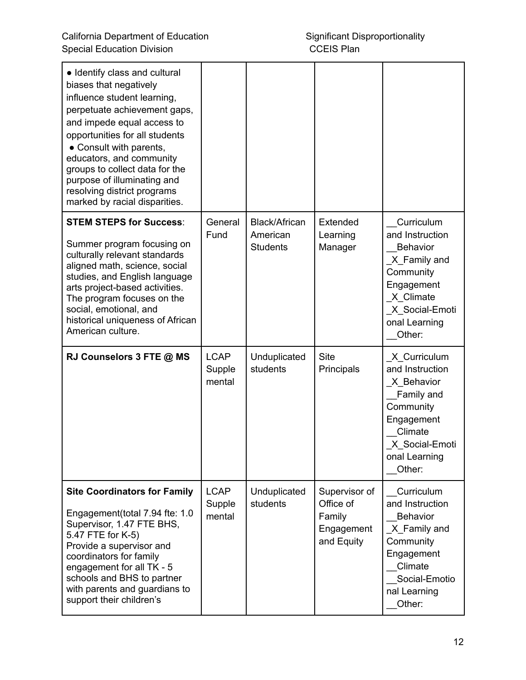| • Identify class and cultural<br>biases that negatively<br>influence student learning,<br>perpetuate achievement gaps,<br>and impede equal access to<br>opportunities for all students<br>• Consult with parents,<br>educators, and community<br>groups to collect data for the<br>purpose of illuminating and<br>resolving district programs<br>marked by racial disparities. |                                 |                           |                                                 |                                                                                                                                                 |
|--------------------------------------------------------------------------------------------------------------------------------------------------------------------------------------------------------------------------------------------------------------------------------------------------------------------------------------------------------------------------------|---------------------------------|---------------------------|-------------------------------------------------|-------------------------------------------------------------------------------------------------------------------------------------------------|
| <b>STEM STEPS for Success:</b>                                                                                                                                                                                                                                                                                                                                                 | General<br>Fund                 | Black/African<br>American | Extended<br>Learning                            | Curriculum<br>and Instruction                                                                                                                   |
| Summer program focusing on<br>culturally relevant standards<br>aligned math, science, social<br>studies, and English language<br>arts project-based activities.<br>The program focuses on the<br>social, emotional, and<br>historical uniqueness of African<br>American culture.                                                                                               |                                 | <b>Students</b>           | Manager                                         | <b>Behavior</b><br>X Family and<br>Community<br>Engagement<br>X Climate<br>X Social-Emoti<br>onal Learning<br>Other:                            |
| RJ Counselors 3 FTE @ MS                                                                                                                                                                                                                                                                                                                                                       | <b>LCAP</b><br>Supple<br>mental | Unduplicated<br>students  | <b>Site</b><br>Principals                       | X Curriculum<br>and Instruction<br>X Behavior<br>Family and<br>Community<br>Engagement<br>Climate<br>_X_Social-Emoti<br>onal Learning<br>Other: |
| <b>Site Coordinators for Family</b>                                                                                                                                                                                                                                                                                                                                            | <b>LCAP</b>                     | Unduplicated              | Supervisor of                                   | Curriculum                                                                                                                                      |
| Engagement(total 7.94 fte: 1.0<br>Supervisor, 1.47 FTE BHS,<br>5.47 FTE for K-5)<br>Provide a supervisor and<br>coordinators for family<br>engagement for all TK - 5<br>schools and BHS to partner<br>with parents and guardians to<br>support their children's                                                                                                                | Supple<br>mental                | students                  | Office of<br>Family<br>Engagement<br>and Equity | and Instruction<br><b>Behavior</b><br>X_Family and<br>Community<br>Engagement<br>Climate<br>Social-Emotio<br>nal Learning<br>Other:             |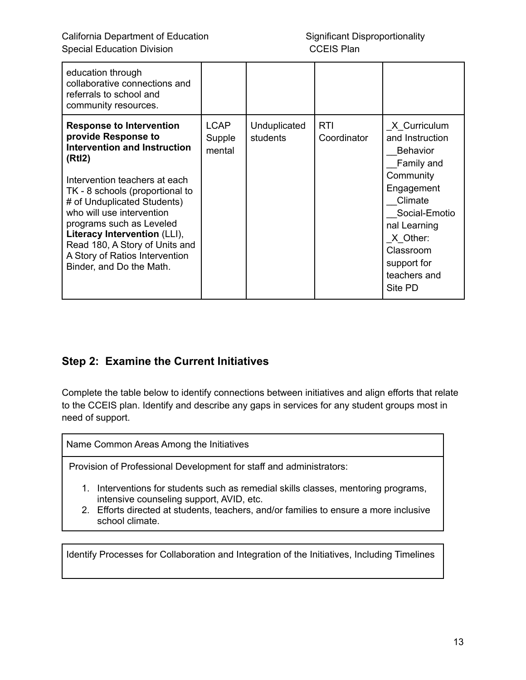| education through<br>collaborative connections and<br>referrals to school and<br>community resources.                                                                                                                                                                                                                                                                                               |                                 |                          |                           |                                                                                                                                                                                                            |
|-----------------------------------------------------------------------------------------------------------------------------------------------------------------------------------------------------------------------------------------------------------------------------------------------------------------------------------------------------------------------------------------------------|---------------------------------|--------------------------|---------------------------|------------------------------------------------------------------------------------------------------------------------------------------------------------------------------------------------------------|
| <b>Response to Intervention</b><br>provide Response to<br><b>Intervention and Instruction</b><br>(Rtl2)<br>Intervention teachers at each<br>TK - 8 schools (proportional to<br># of Unduplicated Students)<br>who will use intervention<br>programs such as Leveled<br>Literacy Intervention (LLI),<br>Read 180, A Story of Units and<br>A Story of Ratios Intervention<br>Binder, and Do the Math. | <b>LCAP</b><br>Supple<br>mental | Unduplicated<br>students | <b>RTI</b><br>Coordinator | X Curriculum<br>and Instruction<br><b>Behavior</b><br>Family and<br>Community<br>Engagement<br>Climate<br>Social-Emotio<br>nal Learning<br>X Other:<br>Classroom<br>support for<br>teachers and<br>Site PD |

## **Step 2: Examine the Current Initiatives**

Complete the table below to identify connections between initiatives and align efforts that relate to the CCEIS plan. Identify and describe any gaps in services for any student groups most in need of support.

Name Common Areas Among the Initiatives

Provision of Professional Development for staff and administrators:

- 1. Interventions for students such as remedial skills classes, mentoring programs, intensive counseling support, AVID, etc.
- 2. Efforts directed at students, teachers, and/or families to ensure a more inclusive school climate.

Identify Processes for Collaboration and Integration of the Initiatives, Including Timelines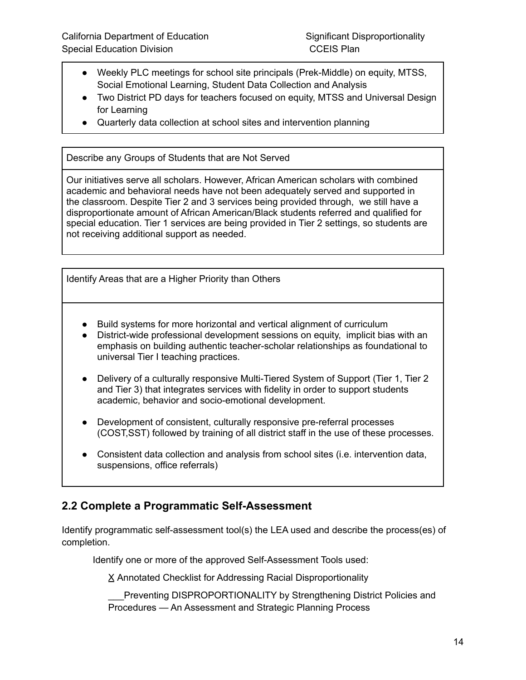- Weekly PLC meetings for school site principals (Prek-Middle) on equity, MTSS, Social Emotional Learning, Student Data Collection and Analysis
- Two District PD days for teachers focused on equity, MTSS and Universal Design for Learning
- Quarterly data collection at school sites and intervention planning

Describe any Groups of Students that are Not Served

Our initiatives serve all scholars. However, African American scholars with combined academic and behavioral needs have not been adequately served and supported in the classroom. Despite Tier 2 and 3 services being provided through, we still have a disproportionate amount of African American/Black students referred and qualified for special education. Tier 1 services are being provided in Tier 2 settings, so students are not receiving additional support as needed.

Identify Areas that are a Higher Priority than Others

- Build systems for more horizontal and vertical alignment of curriculum
- District-wide professional development sessions on equity, implicit bias with an emphasis on building authentic teacher-scholar relationships as foundational to universal Tier I teaching practices.
- Delivery of a culturally responsive Multi-Tiered System of Support (Tier 1, Tier 2 and Tier 3) that integrates services with fidelity in order to support students academic, behavior and socio-emotional development.
- Development of consistent, culturally responsive pre-referral processes (COST,SST) followed by training of all district staff in the use of these processes.
- Consistent data collection and analysis from school sites (i.e. intervention data, suspensions, office referrals)

### **2.2 Complete a Programmatic Self-Assessment**

Identify programmatic self-assessment tool(s) the LEA used and describe the process(es) of completion.

Identify one or more of the approved Self-Assessment Tools used:

X Annotated Checklist for Addressing Racial Disproportionality

Preventing DISPROPORTIONALITY by Strengthening District Policies and Procedures — An Assessment and Strategic Planning Process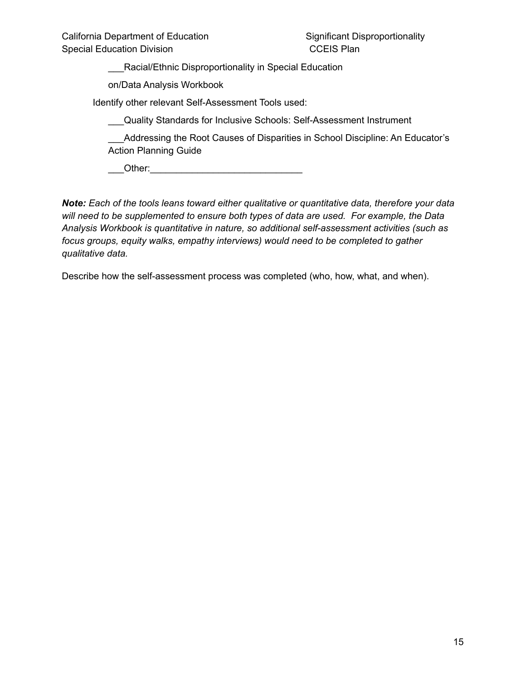\_\_\_Racial/Ethnic Disproportionality in Special Education

on/Data Analysis Workbook

Identify other relevant Self-Assessment Tools used:

\_\_\_Quality Standards for Inclusive Schools: Self-Assessment Instrument

\_\_\_Addressing the Root Causes of Disparities in School Discipline: An Educator's Action Planning Guide

\_\_\_Other:\_\_\_\_\_\_\_\_\_\_\_\_\_\_\_\_\_\_\_\_\_\_\_\_\_\_\_\_\_

*Note: Each of the tools leans toward either qualitative or quantitative data, therefore your data will need to be supplemented to ensure both types of data are used. For example, the Data Analysis Workbook is quantitative in nature, so additional self-assessment activities (such as focus groups, equity walks, empathy interviews) would need to be completed to gather qualitative data.*

Describe how the self-assessment process was completed (who, how, what, and when).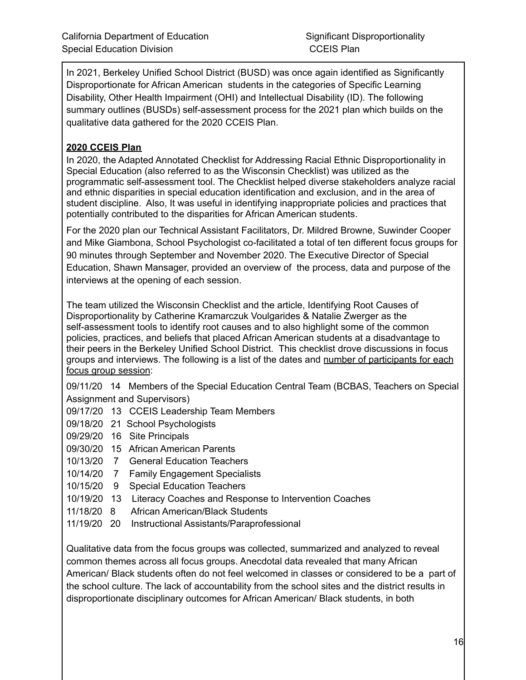In 2021, Berkeley Unified School District (BUSD) was once again identified as Significantly Disproportionate for African American students in the categories of Specific Learning Disability, Other Health Impairment (OHI) and Intellectual Disability (ID). The following summary outlines (BUSDs) self-assessment process for the 2021 plan which builds on the qualitative data gathered for the 2020 CCEIS Plan.

#### **2020 CCEIS Plan**

In 2020, the Adapted Annotated Checklist for Addressing Racial Ethnic Disproportionality in Special Education (also referred to as the Wisconsin Checklist) was utilized as the programmatic self-assessment tool. The Checklist helped diverse stakeholders analyze racial and ethnic disparities in special education identification and exclusion, and in the area of student discipline. Also, It was useful in identifying inappropriate policies and practices that potentially contributed to the disparities for African American students.

For the 2020 plan our Technical Assistant Facilitators, Dr. Mildred Browne, Suwinder Cooper and Mike Giambona, School Psychologist co-facilitated a total of ten different focus groups for 90 minutes through September and November 2020. The Executive Director of Special Education, Shawn Mansager, provided an overview of the process, data and purpose of the interviews at the opening of each session.

The team utilized the Wisconsin Checklist and the article, Identifying Root Causes of Disproportionality by Catherine Kramarczuk Voulgarides & Natalie Zwerger as the self-assessment tools to identify root causes and to also highlight some of the common policies, practices, and beliefs that placed African American students at a disadvantage to their peers in the Berkeley Unified School District. This checklist drove discussions in focus groups and interviews. The following is a list of the dates and number of [participants](https://drive.google.com/drive/folders/1SD4L9J8ub68bV9j1uCrup7Rg6Yw18sWl?usp=sharing) for each focus group [session](https://drive.google.com/drive/folders/1SD4L9J8ub68bV9j1uCrup7Rg6Yw18sWl?usp=sharing):

09/11/20 14 Members of the Special Education Central Team (BCBAS, Teachers on Special Assignment and Supervisors)

- 09/17/20 13 CCEIS Leadership Team Members
- 09/18/20 21 School Psychologists
- 09/29/20 16 Site Principals
- 09/30/20 15 African American Parents
- 10/13/20 7 General Education Teachers
- 10/14/20 7 Family Engagement Specialists
- 10/15/20 9 Special Education Teachers
- 10/19/20 13 Literacy Coaches and Response to Intervention Coaches
- 11/18/20 8 African American/Black Students
- 11/19/20 20 Instructional Assistants/Paraprofessional

Qualitative data from the focus groups was collected, summarized and analyzed to reveal common themes across all focus groups. Anecdotal data revealed that many African American/ Black students often do not feel welcomed in classes or considered to be a part of the school culture. The lack of accountability from the school sites and the district results in disproportionate disciplinary outcomes for African American/ Black students, in both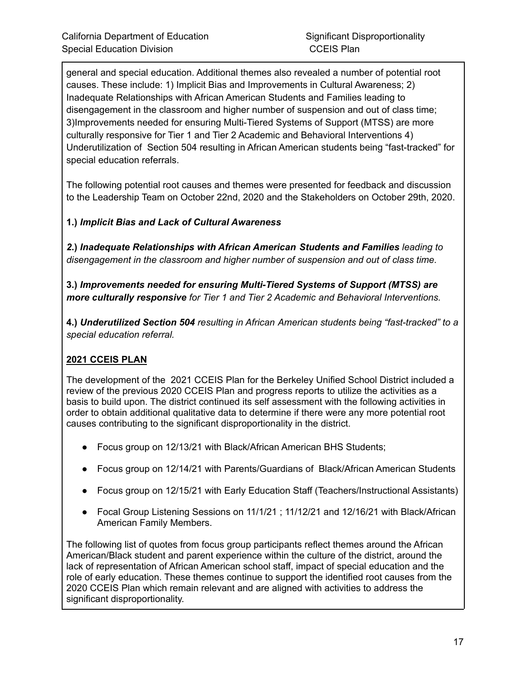general and special education. Additional themes also revealed a number of potential root causes. These include: 1) Implicit Bias and Improvements in Cultural Awareness; 2) Inadequate Relationships with African American Students and Families leading to disengagement in the classroom and higher number of suspension and out of class time; 3)Improvements needed for ensuring Multi-Tiered Systems of Support (MTSS) are more culturally responsive for Tier 1 and Tier 2 Academic and Behavioral Interventions 4) Underutilization of Section 504 resulting in African American students being "fast-tracked" for special education referrals.

The following potential root causes and themes were presented for feedback and discussion to the Leadership Team on October 22nd, 2020 and the Stakeholders on October 29th, 2020.

#### **1.)** *Implicit Bias and Lack of Cultural Awareness*

*2***.)** *Inadequate Relationships with African American Students and Families leading to disengagement in the classroom and higher number of suspension and out of class time.*

**3.)** *Improvements needed for ensuring Multi-Tiered Systems of Support (MTSS) are more culturally responsive for Tier 1 and Tier 2 Academic and Behavioral Interventions.*

**4.)** *Underutilized Section 504 resulting in African American students being "fast-tracked" to a special education referral.*

#### **2021 CCEIS PLAN**

The development of the 2021 CCEIS Plan for the Berkeley Unified School District included a review of the previous 2020 CCEIS Plan and progress reports to utilize the activities as a basis to build upon. The district continued its self assessment with the following activities in order to obtain additional qualitative data to determine if there were any more potential root causes contributing to the significant disproportionality in the district.

- Focus group on 12/13/21 with Black/African American BHS Students;
- Focus group on 12/14/21 with Parents/Guardians of Black/African American Students
- Focus group on 12/15/21 with Early Education Staff (Teachers/Instructional Assistants)
- Focal Group Listening Sessions on 11/1/21 ; 11/12/21 and 12/16/21 with Black/African American Family Members.

The following list of quotes from focus group participants reflect themes around the African American/Black student and parent experience within the culture of the district, around the lack of representation of African American school staff, impact of special education and the role of early education. These themes continue to support the identified root causes from the 2020 CCEIS Plan which remain relevant and are aligned with activities to address the significant disproportionality.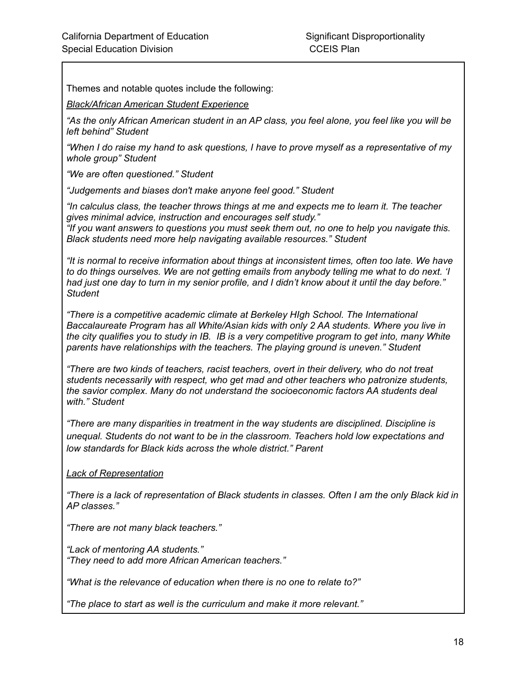Themes and notable quotes include the following:

*Black/African American Student Experience*

"As the only African American student in an AP class, you feel alone, you feel like you will be *left behind" Student*

*"When I do raise my hand to ask questions, I have to prove myself as a representative of my whole group" Student*

*"We are often questioned." Student*

*"Judgements and biases don't make anyone feel good." Student*

*"In calculus class, the teacher throws things at me and expects me to learn it. The teacher gives minimal advice, instruction and encourages self study."*

*"If you want answers to questions you must seek them out, no one to help you navigate this. Black students need more help navigating available resources." Student*

*"It is normal to receive information about things at inconsistent times, often too late. We have to do things ourselves. We are not getting emails from anybody telling me what to do next. 'I* had just one day to turn in my senior profile, and I didn't know about it until the day before." *Student*

*"There is a competitive academic climate at Berkeley HIgh School. The International Baccalaureate Program has all White/Asian kids with only 2 AA students. Where you live in* the city qualifies you to study in IB. IB is a very competitive program to get into, many White *parents have relationships with the teachers. The playing ground is uneven." Student*

*"There are two kinds of teachers, racist teachers, overt in their delivery, who do not treat students necessarily with respect, who get mad and other teachers who patronize students, the savior complex. Many do not understand the socioeconomic factors AA students deal with." Student*

*"There are many disparities in treatment in the way students are disciplined. Discipline is unequal. Students do not want to be in the classroom. Teachers hold low expectations and low standards for Black kids across the whole district." Parent*

*Lack of Representation*

"There is a lack of representation of Black students in classes. Often I am the only Black kid in *AP classes."*

*"There are not many black teachers."*

*"Lack of mentoring AA students." "They need to add more African American teachers."*

*"What is the relevance of education when there is no one to relate to?"*

*"The place to start as well is the curriculum and make it more relevant."*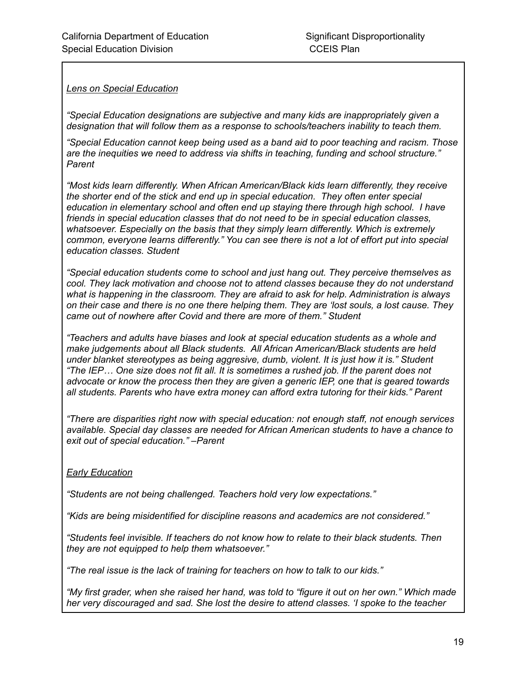*Lens on Special Education*

*"Special Education designations are subjective and many kids are inappropriately given a designation that will follow them as a response to schools/teachers inability to teach them.*

*"Special Education cannot keep being used as a band aid to poor teaching and racism. Those are the inequities we need to address via shifts in teaching, funding and school structure." Parent*

*"Most kids learn differently. When African American/Black kids learn differently, they receive the shorter end of the stick and end up in special education. They often enter special education in elementary school and often end up staying there through high school. I have friends in special education classes that do not need to be in special education classes, whatsoever. Especially on the basis that they simply learn differently. Which is extremely common, everyone learns differently." You can see there is not a lot of effort put into special education classes. Student*

*"Special education students come to school and just hang out. They perceive themselves as cool. They lack motivation and choose not to attend classes because they do not understand what is happening in the classroom. They are afraid to ask for help. Administration is always* on their case and there is no one there helping them. They are 'lost souls, a lost cause. They *came out of nowhere after Covid and there are more of them." Student*

*"Teachers and adults have biases and look at special education students as a whole and make judgements about all Black students. All African American/Black students are held under blanket stereotypes as being aggresive, dumb, violent. It is just how it is." Student "The IEP… One size does not fit all. It is sometimes a rushed job. If the parent does not advocate or know the process then they are given a generic IEP, one that is geared towards all students. Parents who have extra money can afford extra tutoring for their kids." Parent*

*"There are disparities right now with special education: not enough staff, not enough services available. Special day classes are needed for African American students to have a chance to exit out of special education." –Parent*

#### *Early Education*

*"Students are not being challenged. Teachers hold very low expectations."*

*"Kids are being misidentified for discipline reasons and academics are not considered."*

*"Students feel invisible. If teachers do not know how to relate to their black students. Then they are not equipped to help them whatsoever."*

*"The real issue is the lack of training for teachers on how to talk to our kids."*

"My first grader, when she raised her hand, was told to "figure it out on her own." Which made *her very discouraged and sad. She lost the desire to attend classes. 'I spoke to the teacher*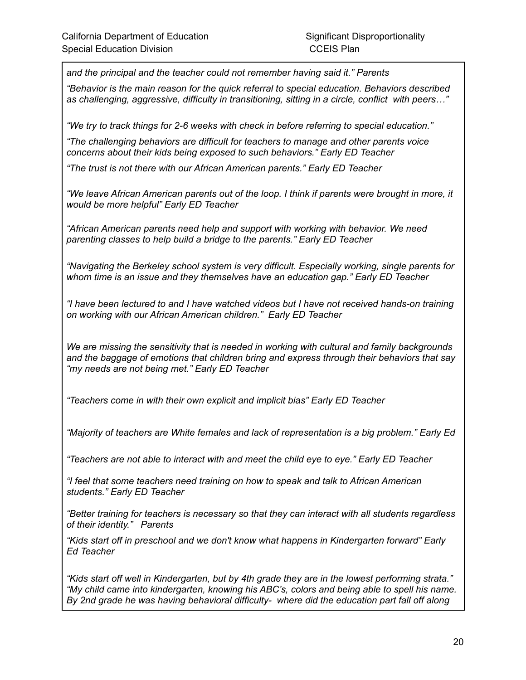*and the principal and the teacher could not remember having said it." Parents*

*"Behavior is the main reason for the quick referral to special education. Behaviors described as challenging, aggressive, difficulty in transitioning, sitting in a circle, conflict with peers…"*

*"We try to track things for 2-6 weeks with check in before referring to special education."*

*"The challenging behaviors are difficult for teachers to manage and other parents voice concerns about their kids being exposed to such behaviors." Early ED Teacher*

*"The trust is not there with our African American parents." Early ED Teacher*

*"We leave African American parents out of the loop. I think if parents were brought in more, it would be more helpful" Early ED Teacher*

*"African American parents need help and support with working with behavior. We need parenting classes to help build a bridge to the parents." Early ED Teacher*

*"Navigating the Berkeley school system is very difficult. Especially working, single parents for whom time is an issue and they themselves have an education gap." Early ED Teacher*

*"I have been lectured to and I have watched videos but I have not received hands-on training on working with our African American children." Early ED Teacher*

*We are missing the sensitivity that is needed in working with cultural and family backgrounds and the baggage of emotions that children bring and express through their behaviors that say "my needs are not being met." Early ED Teacher*

*"Teachers come in with their own explicit and implicit bias" Early ED Teacher*

*"Majority of teachers are White females and lack of representation is a big problem." Early Ed*

*"Teachers are not able to interact with and meet the child eye to eye." Early ED Teacher*

*"I feel that some teachers need training on how to speak and talk to African American students." Early ED Teacher*

*"Better training for teachers is necessary so that they can interact with all students regardless of their identity." Parents*

*"Kids start off in preschool and we don't know what happens in Kindergarten forward" Early Ed Teacher*

*"Kids start off well in Kindergarten, but by 4th grade they are in the lowest performing strata." "My child came into kindergarten, knowing his ABC's, colors and being able to spell his name. By 2nd grade he was having behavioral difficulty- where did the education part fall off along*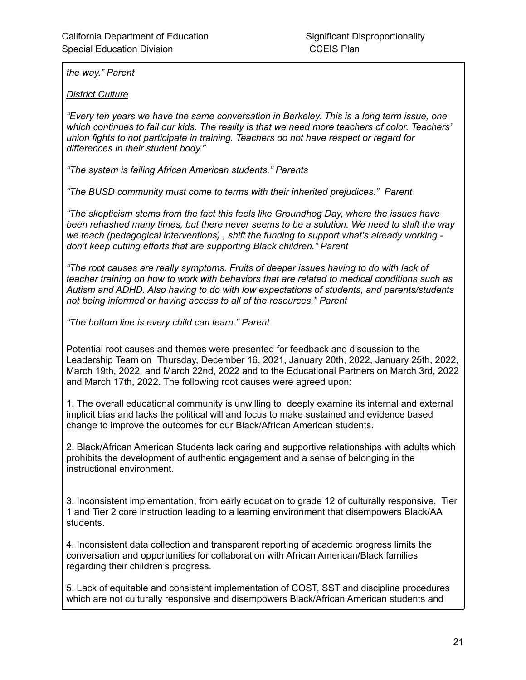*the way." Parent*

*District Culture*

*"Every ten years we have the same conversation in Berkeley. This is a long term issue, one which continues to fail our kids. The reality is that we need more teachers of color. Teachers' union fights to not participate in training. Teachers do not have respect or regard for differences in their student body."*

*"The system is failing African American students." Parents*

*"The BUSD community must come to terms with their inherited prejudices." Parent*

*"The skepticism stems from the fact this feels like Groundhog Day, where the issues have been rehashed many times, but there never seems to be a solution. We need to shift the way we teach (pedagogical interventions) , shift the funding to support what's already working don't keep cutting efforts that are supporting Black children." Parent*

*"The root causes are really symptoms. Fruits of deeper issues having to do with lack of teacher training on how to work with behaviors that are related to medical conditions such as Autism and ADHD. Also having to do with low expectations of students, and parents/students not being informed or having access to all of the resources." Parent*

*"The bottom line is every child can learn." Parent*

Potential root causes and themes were presented for feedback and discussion to the Leadership Team on Thursday, December 16, 2021, January 20th, 2022, January 25th, 2022, March 19th, 2022, and March 22nd, 2022 and to the Educational Partners on March 3rd, 2022 and March 17th, 2022. The following root causes were agreed upon:

1. The overall educational community is unwilling to deeply examine its internal and external implicit bias and lacks the political will and focus to make sustained and evidence based change to improve the outcomes for our Black/African American students.

2. Black/African American Students lack caring and supportive relationships with adults which prohibits the development of authentic engagement and a sense of belonging in the instructional environment.

3. Inconsistent implementation, from early education to grade 12 of culturally responsive, Tier 1 and Tier 2 core instruction leading to a learning environment that disempowers Black/AA students.

4. Inconsistent data collection and transparent reporting of academic progress limits the conversation and opportunities for collaboration with African American/Black families regarding their children's progress.

5. Lack of equitable and consistent implementation of COST, SST and discipline procedures which are not culturally responsive and disempowers Black/African American students and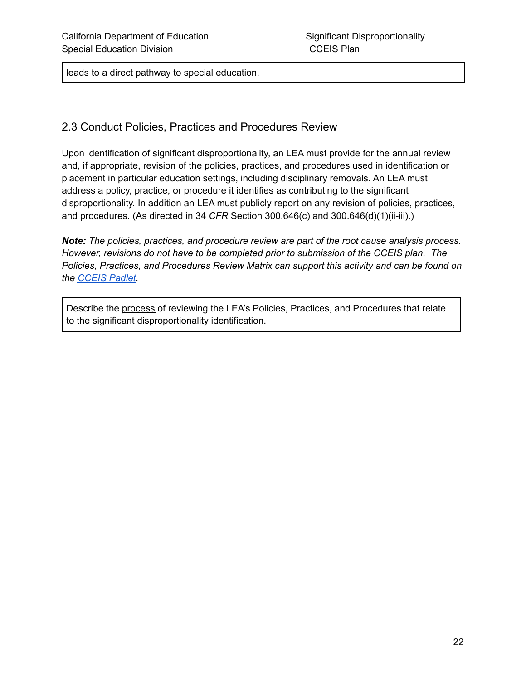leads to a direct pathway to special education.

#### 2.3 Conduct Policies, Practices and Procedures Review

Upon identification of significant disproportionality, an LEA must provide for the annual review and, if appropriate, revision of the policies, practices, and procedures used in identification or placement in particular education settings, including disciplinary removals. An LEA must address a policy, practice, or procedure it identifies as contributing to the significant disproportionality. In addition an LEA must publicly report on any revision of policies, practices, and procedures. (As directed in 34 *CFR* Section 300.646(c) and 300.646(d)(1)(ii-iii).)

*Note: The policies, practices, and procedure review are part of the root cause analysis process. However, revisions do not have to be completed prior to submission of the CCEIS plan. The Policies, Practices, and Procedures Review Matrix can support this activity and can be found on the [CCEIS](https://padlet.com/spptap/clx6r968cm5949jx) Padlet.*

Describe the process of reviewing the LEA's Policies, Practices, and Procedures that relate to the significant disproportionality identification.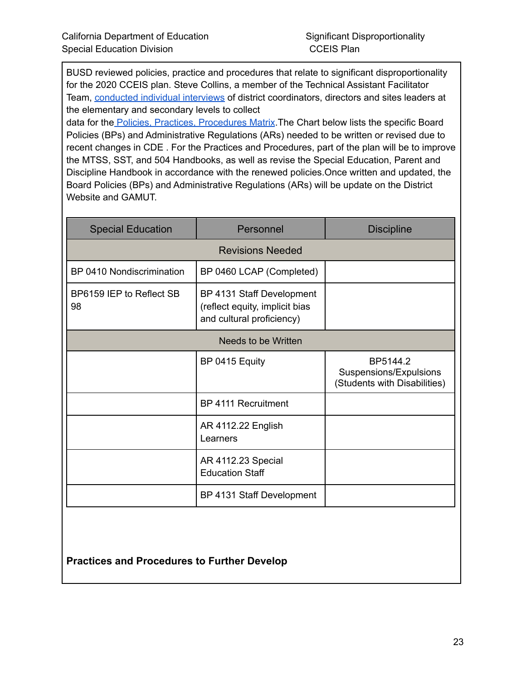BUSD reviewed policies, practice and procedures that relate to significant disproportionality for the 2020 CCEIS plan. Steve Collins, a member of the Technical Assistant Facilitator Team, [conducted](https://drive.google.com/drive/folders/1ug8cECuGVZj8e_qiJlXvsnFwviVilgwH?usp=sharing) individual interviews of district coordinators, directors and sites leaders at the elementary and secondary levels to collect

data for the Policies, Practices, [Procedures](https://docs.google.com/document/d/1CTsYlC91JGQzrGCqxfP-AtAtdjLCQKq8QcWL54jL-yI/edit?usp=sharing) Matrix. The Chart below lists the specific Board Policies (BPs) and Administrative Regulations (ARs) needed to be written or revised due to recent changes in CDE . For the Practices and Procedures, part of the plan will be to improve the MTSS, SST, and 504 Handbooks, as well as revise the Special Education, Parent and Discipline Handbook in accordance with the renewed policies.Once written and updated, the Board Policies (BPs) and Administrative Regulations (ARs) will be update on the District Website and GAMUT.

| <b>Special Education</b>       | Personnel                                                                                | <b>Discipline</b>                                                  |  |
|--------------------------------|------------------------------------------------------------------------------------------|--------------------------------------------------------------------|--|
|                                | <b>Revisions Needed</b>                                                                  |                                                                    |  |
| BP 0410 Nondiscrimination      | BP 0460 LCAP (Completed)                                                                 |                                                                    |  |
| BP6159 IEP to Reflect SB<br>98 | BP 4131 Staff Development<br>(reflect equity, implicit bias<br>and cultural proficiency) |                                                                    |  |
| Needs to be Written            |                                                                                          |                                                                    |  |
|                                | BP 0415 Equity                                                                           | BP5144.2<br>Suspensions/Expulsions<br>(Students with Disabilities) |  |
|                                | BP 4111 Recruitment                                                                      |                                                                    |  |
|                                | AR 4112.22 English<br>Learners                                                           |                                                                    |  |
|                                | AR 4112.23 Special<br><b>Education Staff</b>                                             |                                                                    |  |
|                                | BP 4131 Staff Development                                                                |                                                                    |  |
|                                |                                                                                          |                                                                    |  |

**Practices and Procedures to Further Develop**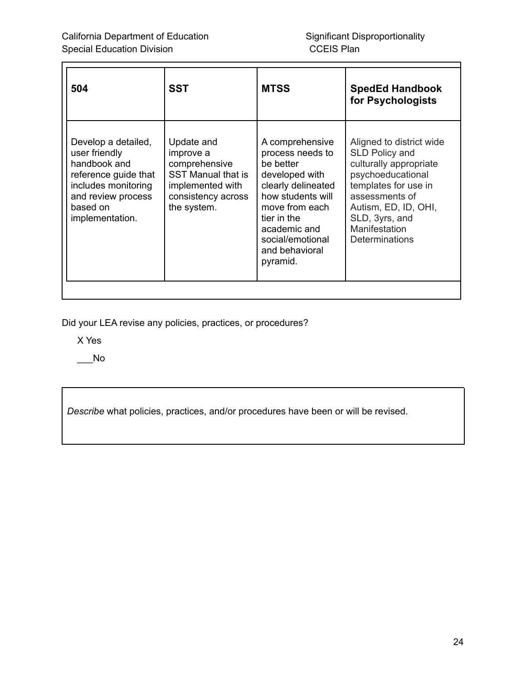| 504                                                                                                                                                      | <b>SST</b>                                                                                                                     | <b>MTSS</b>                                                                                                                                                                                                      | <b>SpedEd Handbook</b><br>for Psychologists                                                                                                                                                                      |
|----------------------------------------------------------------------------------------------------------------------------------------------------------|--------------------------------------------------------------------------------------------------------------------------------|------------------------------------------------------------------------------------------------------------------------------------------------------------------------------------------------------------------|------------------------------------------------------------------------------------------------------------------------------------------------------------------------------------------------------------------|
| Develop a detailed,<br>user friendly<br>handbook and<br>reference guide that<br>includes monitoring<br>and review process<br>based on<br>implementation. | Update and<br>improve a<br>comprehensive<br><b>SST Manual that is</b><br>implemented with<br>consistency across<br>the system. | A comprehensive<br>process needs to<br>be better<br>developed with<br>clearly delineated<br>how students will<br>move from each<br>tier in the<br>academic and<br>social/emotional<br>and behavioral<br>pyramid. | Aligned to district wide<br>SLD Policy and<br>culturally appropriate<br>psychoeducational<br>templates for use in<br>assessments of<br>Autism, ED, ID, OHI,<br>SLD, 3yrs, and<br>Manifestation<br>Determinations |

Did your LEA revise any policies, practices, or procedures?

X Yes

 $\overline{\phantom{0}}^{\mathsf{No}}$ 

*Describe* what policies, practices, and/or procedures have been or will be revised.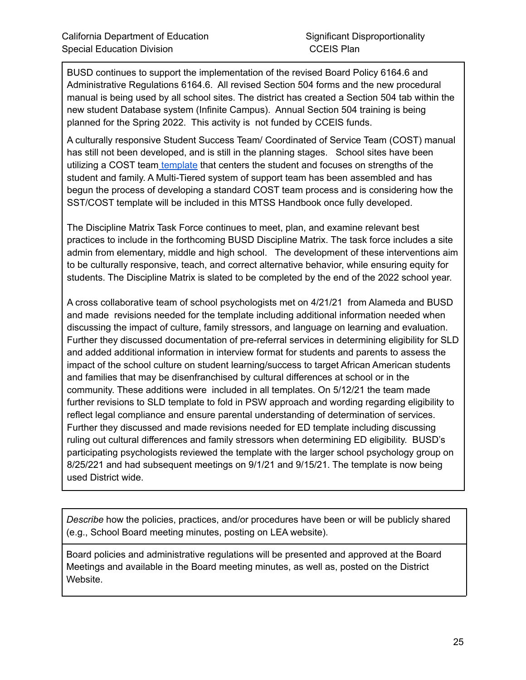BUSD continues to support the implementation of the revised Board Policy 6164.6 and Administrative Regulations 6164.6. All revised Section 504 forms and the new procedural manual is being used by all school sites. The district has created a Section 504 tab within the new student Database system (Infinite Campus). Annual Section 504 training is being planned for the Spring 2022. This activity is not funded by CCEIS funds.

A culturally responsive Student Success Team/ Coordinated of Service Team (COST) manual has still not been developed, and is still in the planning stages. School sites have been utilizing a COST team [template](https://docs.google.com/document/d/1oW_yE_C99vLUvf7bXcto6pv8kQVdaokNAzl0B0-Itcc/edit) that centers the student and focuses on strengths of the student and family. A Multi-Tiered system of support team has been assembled and has begun the process of developing a standard COST team process and is considering how the SST/COST template will be included in this MTSS Handbook once fully developed.

The Discipline Matrix Task Force continues to meet, plan, and examine relevant best practices to include in the forthcoming BUSD Discipline Matrix. The task force includes a site admin from elementary, middle and high school. The development of these interventions aim to be culturally responsive, teach, and correct alternative behavior, while ensuring equity for students. The Discipline Matrix is slated to be completed by the end of the 2022 school year.

A cross collaborative team of school psychologists met on 4/21/21 from Alameda and BUSD and made revisions needed for the template including additional information needed when discussing the impact of culture, family stressors, and language on learning and evaluation. Further they discussed documentation of pre-referral services in determining eligibility for SLD and added additional information in interview format for students and parents to assess the impact of the school culture on student learning/success to target African American students and families that may be disenfranchised by cultural differences at school or in the community. These additions were included in all templates. On 5/12/21 the team made further revisions to SLD template to fold in PSW approach and wording regarding eligibility to reflect legal compliance and ensure parental understanding of determination of services. Further they discussed and made revisions needed for ED template including discussing ruling out cultural differences and family stressors when determining ED eligibility. BUSD's participating psychologists reviewed the template with the larger school psychology group on 8/25/221 and had subsequent meetings on 9/1/21 and 9/15/21. The template is now being used District wide.

*Describe* how the policies, practices, and/or procedures have been or will be publicly shared (e.g., School Board meeting minutes, posting on LEA website).

Board policies and administrative regulations will be presented and approved at the Board Meetings and available in the Board meeting minutes, as well as, posted on the District Website.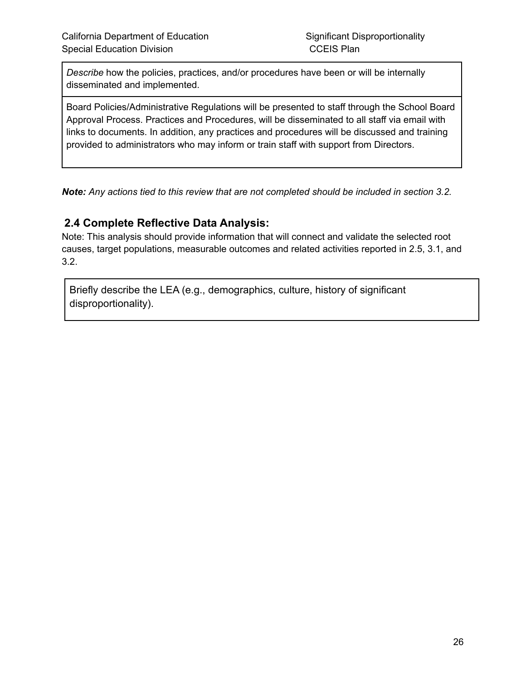*Describe* how the policies, practices, and/or procedures have been or will be internally disseminated and implemented.

Board Policies/Administrative Regulations will be presented to staff through the School Board Approval Process. Practices and Procedures, will be disseminated to all staff via email with links to documents. In addition, any practices and procedures will be discussed and training provided to administrators who may inform or train staff with support from Directors.

*Note: Any actions tied to this review that are not completed should be included in section 3.2.*

### **2.4 Complete Reflective Data Analysis:**

Note: This analysis should provide information that will connect and validate the selected root causes, target populations, measurable outcomes and related activities reported in 2.5, 3.1, and 3.2.

Briefly describe the LEA (e.g., demographics, culture, history of significant disproportionality).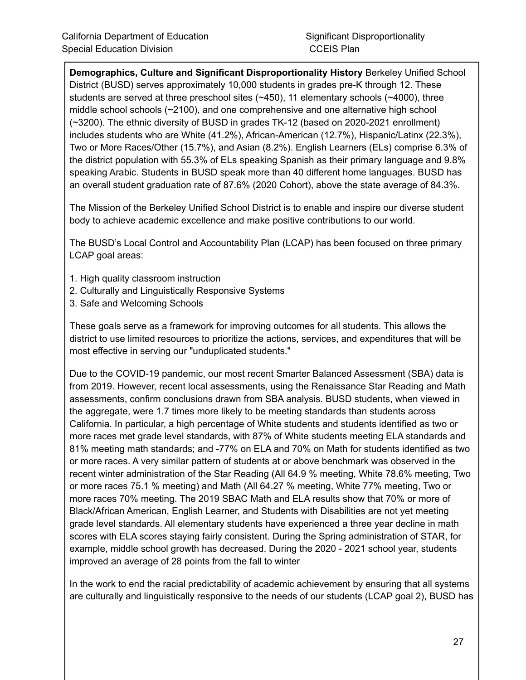**Demographics, Culture and Significant Disproportionality History** Berkeley Unified School District (BUSD) serves approximately 10,000 students in grades pre-K through 12. These students are served at three preschool sites (~450), 11 elementary schools (~4000), three middle school schools (~2100), and one comprehensive and one alternative high school (~3200). The ethnic diversity of BUSD in grades TK-12 (based on 2020-2021 enrollment) includes students who are White (41.2%), African-American (12.7%), Hispanic/Latinx (22.3%), Two or More Races/Other (15.7%), and Asian (8.2%). English Learners (ELs) comprise 6.3% of the district population with 55.3% of ELs speaking Spanish as their primary language and 9.8% speaking Arabic. Students in BUSD speak more than 40 different home languages. BUSD has an overall student graduation rate of 87.6% (2020 Cohort), above the state average of 84.3%.

The Mission of the Berkeley Unified School District is to enable and inspire our diverse student body to achieve academic excellence and make positive contributions to our world.

The BUSD's Local Control and Accountability Plan (LCAP) has been focused on three primary LCAP goal areas:

- 1. High quality classroom instruction
- 2. Culturally and Linguistically Responsive Systems
- 3. Safe and Welcoming Schools

These goals serve as a framework for improving outcomes for all students. This allows the district to use limited resources to prioritize the actions, services, and expenditures that will be most effective in serving our "unduplicated students."

Due to the COVID-19 pandemic, our most recent Smarter Balanced Assessment (SBA) data is from 2019. However, recent local assessments, using the Renaissance Star Reading and Math assessments, confirm conclusions drawn from SBA analysis. BUSD students, when viewed in the aggregate, were 1.7 times more likely to be meeting standards than students across California. In particular, a high percentage of White students and students identified as two or more races met grade level standards, with 87% of White students meeting ELA standards and 81% meeting math standards; and -77% on ELA and 70% on Math for students identified as two or more races. A very similar pattern of students at or above benchmark was observed in the recent winter administration of the Star Reading (All 64.9 % meeting, White 78.6% meeting, Two or more races 75.1 % meeting) and Math (All 64.27 % meeting, White 77% meeting, Two or more races 70% meeting. The 2019 SBAC Math and ELA results show that 70% or more of Black/African American, English Learner, and Students with Disabilities are not yet meeting grade level standards. All elementary students have experienced a three year decline in math scores with ELA scores staying fairly consistent. During the Spring administration of STAR, for example, middle school growth has decreased. During the 2020 - 2021 school year, students improved an average of 28 points from the fall to winter

In the work to end the racial predictability of academic achievement by ensuring that all systems are culturally and linguistically responsive to the needs of our students (LCAP goal 2), BUSD has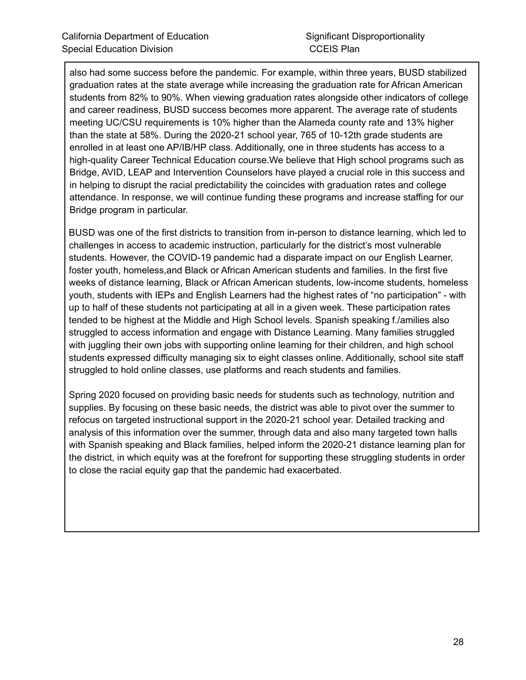also had some success before the pandemic. For example, within three years, BUSD stabilized graduation rates at the state average while increasing the graduation rate for African American students from 82% to 90%. When viewing graduation rates alongside other indicators of college and career readiness, BUSD success becomes more apparent. The average rate of students meeting UC/CSU requirements is 10% higher than the Alameda county rate and 13% higher than the state at 58%. During the 2020-21 school year, 765 of 10-12th grade students are enrolled in at least one AP/IB/HP class. Additionally, one in three students has access to a high-quality Career Technical Education course.We believe that High school programs such as Bridge, AVID, LEAP and Intervention Counselors have played a crucial role in this success and in helping to disrupt the racial predictability the coincides with graduation rates and college attendance. In response, we will continue funding these programs and increase staffing for our Bridge program in particular.

BUSD was one of the first districts to transition from in-person to distance learning, which led to challenges in access to academic instruction, particularly for the district's most vulnerable students. However, the COVID-19 pandemic had a disparate impact on our English Learner, foster youth, homeless,and Black or African American students and families. In the first five weeks of distance learning, Black or African American students, low-income students, homeless youth, students with IEPs and English Learners had the highest rates of "no participation" - with up to half of these students not participating at all in a given week. These participation rates tended to be highest at the Middle and High School levels. Spanish speaking f./amilies also struggled to access information and engage with Distance Learning. Many families struggled with juggling their own jobs with supporting online learning for their children, and high school students expressed difficulty managing six to eight classes online. Additionally, school site staff struggled to hold online classes, use platforms and reach students and families.

Spring 2020 focused on providing basic needs for students such as technology, nutrition and supplies. By focusing on these basic needs, the district was able to pivot over the summer to refocus on targeted instructional support in the 2020-21 school year. Detailed tracking and analysis of this information over the summer, through data and also many targeted town halls with Spanish speaking and Black families, helped inform the 2020-21 distance learning plan for the district, in which equity was at the forefront for supporting these struggling students in order to close the racial equity gap that the pandemic had exacerbated.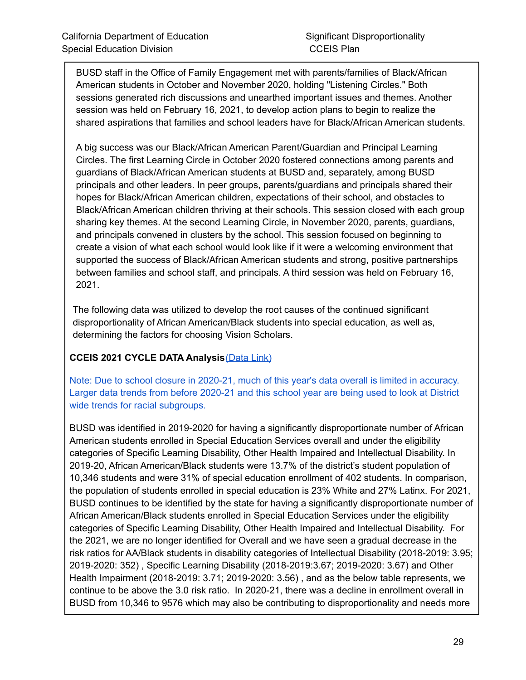BUSD staff in the Office of Family Engagement met with parents/families of Black/African American students in October and November 2020, holding "Listening Circles." Both sessions generated rich discussions and unearthed important issues and themes. Another session was held on February 16, 2021, to develop action plans to begin to realize the shared aspirations that families and school leaders have for Black/African American students.

A big success was our Black/African American Parent/Guardian and Principal Learning Circles. The first Learning Circle in October 2020 fostered connections among parents and guardians of Black/African American students at BUSD and, separately, among BUSD principals and other leaders. In peer groups, parents/guardians and principals shared their hopes for Black/African American children, expectations of their school, and obstacles to Black/African American children thriving at their schools. This session closed with each group sharing key themes. At the second Learning Circle, in November 2020, parents, guardians, and principals convened in clusters by the school. This session focused on beginning to create a vision of what each school would look like if it were a welcoming environment that supported the success of Black/African American students and strong, positive partnerships between families and school staff, and principals. A third session was held on February 16, 2021.

The following data was utilized to develop the root causes of the continued significant disproportionality of African American/Black students into special education, as well as, determining the factors for choosing Vision Scholars.

#### **CCEIS 2021 CYCLE DATA Analysis**[\(Data](https://docs.google.com/spreadsheets/d/1sXOJZHv-gtXZ22TfpnJAT_oY-f_MA150XJfICQsBttk/edit#gid=2068482861) Link)

Note: Due to school closure in 2020-21, much of this year's data overall is limited in accuracy. Larger data trends from before 2020-21 and this school year are being used to look at District wide trends for racial subgroups.

BUSD was identified in 2019-2020 for having a significantly disproportionate number of African American students enrolled in Special Education Services overall and under the eligibility categories of Specific Learning Disability, Other Health Impaired and Intellectual Disability. In 2019-20, African American/Black students were 13.7% of the district's student population of 10,346 students and were 31% of special education enrollment of 402 students. In comparison, the population of students enrolled in special education is 23% White and 27% Latinx. For 2021, BUSD continues to be identified by the state for having a significantly disproportionate number of African American/Black students enrolled in Special Education Services under the eligibility categories of Specific Learning Disability, Other Health Impaired and Intellectual Disability. For the 2021, we are no longer identified for Overall and we have seen a gradual decrease in the risk ratios for AA/Black students in disability categories of Intellectual Disability (2018-2019: 3.95; 2019-2020: 352) , Specific Learning Disability (2018-2019:3.67; 2019-2020: 3.67) and Other Health Impairment (2018-2019: 3.71; 2019-2020: 3.56) , and as the below table represents, we continue to be above the 3.0 risk ratio. In 2020-21, there was a decline in enrollment overall in BUSD from 10,346 to 9576 which may also be contributing to disproportionality and needs more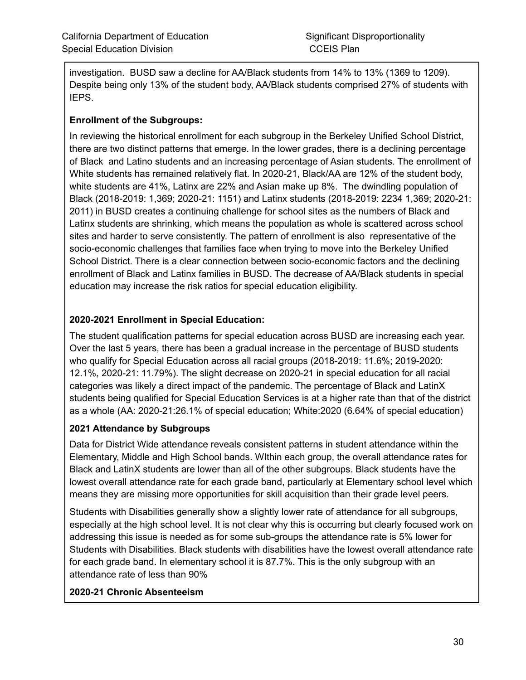investigation. BUSD saw a decline for AA/Black students from 14% to 13% (1369 to 1209). Despite being only 13% of the student body, AA/Black students comprised 27% of students with IEPS.

#### **Enrollment of the Subgroups:**

In reviewing the historical enrollment for each subgroup in the Berkeley Unified School District, there are two distinct patterns that emerge. In the lower grades, there is a declining percentage of Black and Latino students and an increasing percentage of Asian students. The enrollment of White students has remained relatively flat. In 2020-21, Black/AA are 12% of the student body, white students are 41%, Latinx are 22% and Asian make up 8%. The dwindling population of Black (2018-2019: 1,369; 2020-21: 1151) and Latinx students (2018-2019: 2234 1,369; 2020-21: 2011) in BUSD creates a continuing challenge for school sites as the numbers of Black and Latinx students are shrinking, which means the population as whole is scattered across school sites and harder to serve consistently. The pattern of enrollment is also representative of the socio-economic challenges that families face when trying to move into the Berkeley Unified School District. There is a clear connection between socio-economic factors and the declining enrollment of Black and Latinx families in BUSD. The decrease of AA/Black students in special education may increase the risk ratios for special education eligibility.

#### **2020-2021 Enrollment in Special Education:**

The student qualification patterns for special education across BUSD are increasing each year. Over the last 5 years, there has been a gradual increase in the percentage of BUSD students who qualify for Special Education across all racial groups (2018-2019: 11.6%; 2019-2020: 12.1%, 2020-21: 11.79%). The slight decrease on 2020-21 in special education for all racial categories was likely a direct impact of the pandemic. The percentage of Black and LatinX students being qualified for Special Education Services is at a higher rate than that of the district as a whole (AA: 2020-21:26.1% of special education; White:2020 (6.64% of special education)

#### **2021 Attendance by Subgroups**

Data for District Wide attendance reveals consistent patterns in student attendance within the Elementary, Middle and High School bands. WIthin each group, the overall attendance rates for Black and LatinX students are lower than all of the other subgroups. Black students have the lowest overall attendance rate for each grade band, particularly at Elementary school level which means they are missing more opportunities for skill acquisition than their grade level peers.

Students with Disabilities generally show a slightly lower rate of attendance for all subgroups, especially at the high school level. It is not clear why this is occurring but clearly focused work on addressing this issue is needed as for some sub-groups the attendance rate is 5% lower for Students with Disabilities. Black students with disabilities have the lowest overall attendance rate for each grade band. In elementary school it is 87.7%. This is the only subgroup with an attendance rate of less than 90%

#### **2020-21 Chronic Absenteeism**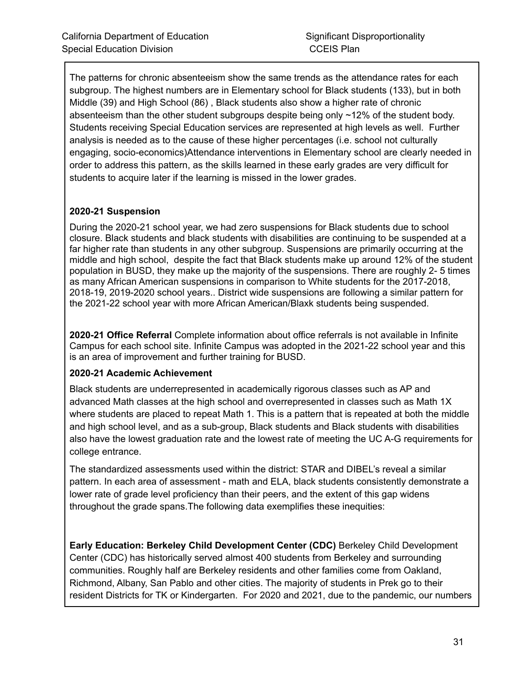The patterns for chronic absenteeism show the same trends as the attendance rates for each subgroup. The highest numbers are in Elementary school for Black students (133), but in both Middle (39) and High School (86) , Black students also show a higher rate of chronic absenteeism than the other student subgroups despite being only ~12% of the student body. Students receiving Special Education services are represented at high levels as well. Further analysis is needed as to the cause of these higher percentages (i.e. school not culturally engaging, socio-economics)Attendance interventions in Elementary school are clearly needed in order to address this pattern, as the skills learned in these early grades are very difficult for students to acquire later if the learning is missed in the lower grades.

#### **2020-21 Suspension**

During the 2020-21 school year, we had zero suspensions for Black students due to school closure. Black students and black students with disabilities are continuing to be suspended at a far higher rate than students in any other subgroup. Suspensions are primarily occurring at the middle and high school, despite the fact that Black students make up around 12% of the student population in BUSD, they make up the majority of the suspensions. There are roughly 2- 5 times as many African American suspensions in comparison to White students for the 2017-2018, 2018-19, 2019-2020 school years.. District wide suspensions are following a similar pattern for the 2021-22 school year with more African American/Blaxk students being suspended.

**2020-21 Office Referral** Complete information about office referrals is not available in Infinite Campus for each school site. Infinite Campus was adopted in the 2021-22 school year and this is an area of improvement and further training for BUSD.

#### **2020-21 Academic Achievement**

Black students are underrepresented in academically rigorous classes such as AP and advanced Math classes at the high school and overrepresented in classes such as Math 1X where students are placed to repeat Math 1. This is a pattern that is repeated at both the middle and high school level, and as a sub-group, Black students and Black students with disabilities also have the lowest graduation rate and the lowest rate of meeting the UC A-G requirements for college entrance.

The standardized assessments used within the district: STAR and DIBEL's reveal a similar pattern. In each area of assessment - math and ELA, black students consistently demonstrate a lower rate of grade level proficiency than their peers, and the extent of this gap widens throughout the grade spans.The following data exemplifies these inequities:

**Early Education: Berkeley Child Development Center (CDC)** Berkeley Child Development Center (CDC) has historically served almost 400 students from Berkeley and surrounding communities. Roughly half are Berkeley residents and other families come from Oakland, Richmond, Albany, San Pablo and other cities. The majority of students in Prek go to their resident Districts for TK or Kindergarten. For 2020 and 2021, due to the pandemic, our numbers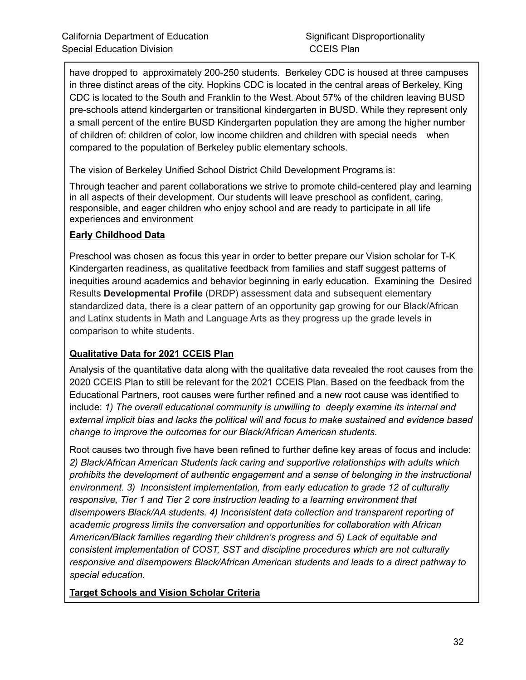have dropped to approximately 200-250 students. Berkeley CDC is housed at three campuses in three distinct areas of the city. Hopkins CDC is located in the central areas of Berkeley, King CDC is located to the South and Franklin to the West. About 57% of the children leaving BUSD pre-schools attend kindergarten or transitional kindergarten in BUSD. While they represent only a small percent of the entire BUSD Kindergarten population they are among the higher number of children of: children of color, low income children and children with special needs when compared to the population of Berkeley public elementary schools.

The vision of Berkeley Unified School District Child Development Programs is:

Through teacher and parent collaborations we strive to promote child-centered play and learning in all aspects of their development. Our students will leave preschool as confident, caring, responsible, and eager children who enjoy school and are ready to participate in all life experiences and environment

#### **Early Childhood Data**

Preschool was chosen as focus this year in order to better prepare our Vision scholar for T-K Kindergarten readiness, as qualitative feedback from families and staff suggest patterns of inequities around academics and behavior beginning in early education. Examining the Desired Results **Developmental Profile** (DRDP) assessment data and subsequent elementary standardized data, there is a clear pattern of an opportunity gap growing for our Black/African and Latinx students in Math and Language Arts as they progress up the grade levels in comparison to white students.

#### **Qualitative Data for 2021 CCEIS Plan**

Analysis of the quantitative data along with the qualitative data revealed the root causes from the 2020 CCEIS Plan to still be relevant for the 2021 CCEIS Plan. Based on the feedback from the Educational Partners, root causes were further refined and a new root cause was identified to include: *1) The overall educational community is unwilling to deeply examine its internal and external implicit bias and lacks the political will and focus to make sustained and evidence based change to improve the outcomes for our Black/African American students.*

Root causes two through five have been refined to further define key areas of focus and include: *2) Black/African American Students lack caring and supportive relationships with adults which prohibits the development of authentic engagement and a sense of belonging in the instructional environment. 3) Inconsistent implementation, from early education to grade 12 of culturally responsive, Tier 1 and Tier 2 core instruction leading to a learning environment that disempowers Black/AA students. 4) Inconsistent data collection and transparent reporting of academic progress limits the conversation and opportunities for collaboration with African American/Black families regarding their children's progress and 5) Lack of equitable and consistent implementation of COST, SST and discipline procedures which are not culturally responsive and disempowers Black/African American students and leads to a direct pathway to special education.*

**Target Schools and Vision Scholar Criteria**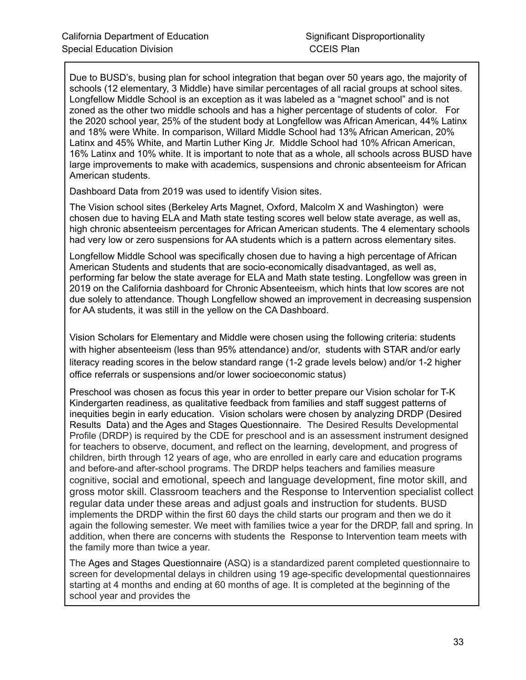Due to BUSD's, busing plan for school integration that began over 50 years ago, the majority of schools (12 elementary, 3 Middle) have similar percentages of all racial groups at school sites. Longfellow Middle School is an exception as it was labeled as a "magnet school" and is not zoned as the other two middle schools and has a higher percentage of students of color. For the 2020 school year, 25% of the student body at Longfellow was African American, 44% Latinx and 18% were White. In comparison, Willard Middle School had 13% African American, 20% Latinx and 45% White, and Martin Luther King Jr. Middle School had 10% African American, 16% Latinx and 10% white. It is important to note that as a whole, all schools across BUSD have large improvements to make with academics, suspensions and chronic absenteeism for African American students.

Dashboard Data from 2019 was used to identify Vision sites.

The Vision school sites (Berkeley Arts Magnet, Oxford, Malcolm X and Washington) were chosen due to having ELA and Math state testing scores well below state average, as well as, high chronic absenteeism percentages for African American students. The 4 elementary schools had very low or zero suspensions for AA students which is a pattern across elementary sites.

Longfellow Middle School was specifically chosen due to having a high percentage of African American Students and students that are socio-economically disadvantaged, as well as, performing far below the state average for ELA and Math state testing. Longfellow was green in 2019 on the California dashboard for Chronic Absenteeism, which hints that low scores are not due solely to attendance. Though Longfellow showed an improvement in decreasing suspension for AA students, it was still in the yellow on the CA Dashboard.

Vision Scholars for Elementary and Middle were chosen using the following criteria: students with higher absenteeism (less than 95% attendance) and/or, students with STAR and/or early literacy reading scores in the below standard range (1-2 grade levels below) and/or 1-2 higher office referrals or suspensions and/or lower socioeconomic status)

Preschool was chosen as focus this year in order to better prepare our Vision scholar for T-K Kindergarten readiness, as qualitative feedback from families and staff suggest patterns of inequities begin in early education. Vision scholars were chosen by analyzing DRDP (Desired Results Data) and the Ages and Stages Questionnaire. The Desired Results Developmental Profile (DRDP) is required by the CDE for preschool and is an assessment instrument designed for teachers to observe, document, and reflect on the learning, development, and progress of children, birth through 12 years of age, who are enrolled in early care and education programs and before-and after-school programs. The DRDP helps teachers and families measure cognitive, social and emotional, speech and language development, fine motor skill, and gross motor skill. Classroom teachers and the Response to Intervention specialist collect regular data under these areas and adjust goals and instruction for students. BUSD implements the DRDP within the first 60 days the child starts our program and then we do it again the following semester. We meet with families twice a year for the DRDP, fall and spring. In addition, when there are concerns with students the Response to Intervention team meets with the family more than twice a year.

The Ages and Stages Questionnaire (ASQ) is a standardized parent completed questionnaire to screen for developmental delays in children using 19 age-specific developmental questionnaires starting at 4 months and ending at 60 months of age. It is completed at the beginning of the school year and provides the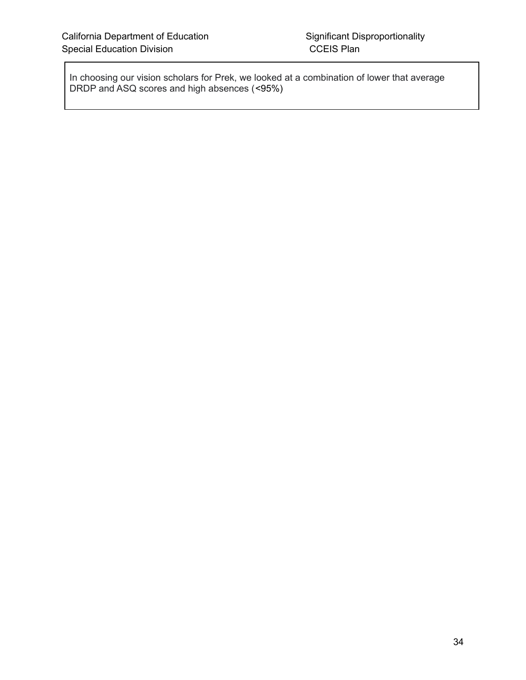In choosing our vision scholars for Prek, we looked at a combination of lower that average DRDP and ASQ scores and high absences (<95%)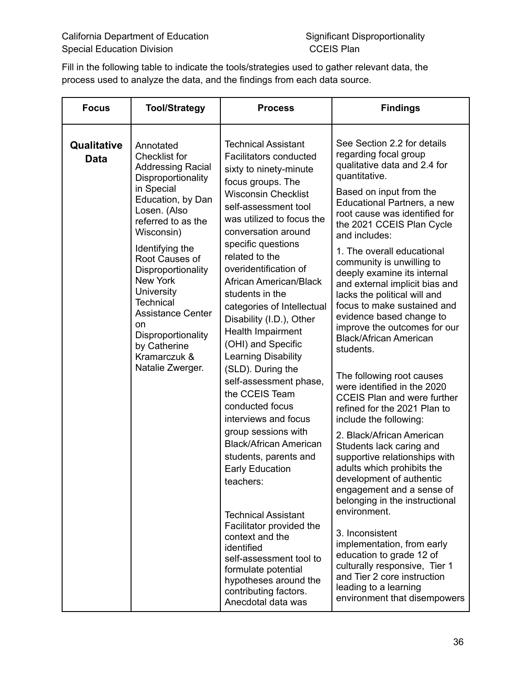Fill in the following table to indicate the tools/strategies used to gather relevant data, the process used to analyze the data, and the findings from each data source.

| <b>Focus</b>        | <b>Tool/Strategy</b>                                                                                                                                                                                                                                                                                                                                                                                   | <b>Process</b>                                                                                                                                                                                                                                                                                                                                                                                                                                                                                                                                                                                                                                                                                                                                                                                                                                                                                                          | <b>Findings</b>                                                                                                                                                                                                                                                                                                                                                                                                                                                                                                                                                                                                                                                                                                                                                                                                                                                                                                                                                                                                                                                                                                                                          |
|---------------------|--------------------------------------------------------------------------------------------------------------------------------------------------------------------------------------------------------------------------------------------------------------------------------------------------------------------------------------------------------------------------------------------------------|-------------------------------------------------------------------------------------------------------------------------------------------------------------------------------------------------------------------------------------------------------------------------------------------------------------------------------------------------------------------------------------------------------------------------------------------------------------------------------------------------------------------------------------------------------------------------------------------------------------------------------------------------------------------------------------------------------------------------------------------------------------------------------------------------------------------------------------------------------------------------------------------------------------------------|----------------------------------------------------------------------------------------------------------------------------------------------------------------------------------------------------------------------------------------------------------------------------------------------------------------------------------------------------------------------------------------------------------------------------------------------------------------------------------------------------------------------------------------------------------------------------------------------------------------------------------------------------------------------------------------------------------------------------------------------------------------------------------------------------------------------------------------------------------------------------------------------------------------------------------------------------------------------------------------------------------------------------------------------------------------------------------------------------------------------------------------------------------|
| Qualitative<br>Data | Annotated<br><b>Checklist for</b><br><b>Addressing Racial</b><br>Disproportionality<br>in Special<br>Education, by Dan<br>Losen. (Also<br>referred to as the<br>Wisconsin)<br>Identifying the<br>Root Causes of<br>Disproportionality<br><b>New York</b><br>University<br><b>Technical</b><br><b>Assistance Center</b><br>on<br>Disproportionality<br>by Catherine<br>Kramarczuk &<br>Natalie Zwerger. | <b>Technical Assistant</b><br><b>Facilitators conducted</b><br>sixty to ninety-minute<br>focus groups. The<br><b>Wisconsin Checklist</b><br>self-assessment tool<br>was utilized to focus the<br>conversation around<br>specific questions<br>related to the<br>overidentification of<br>African American/Black<br>students in the<br>categories of Intellectual<br>Disability (I.D.), Other<br>Health Impairment<br>(OHI) and Specific<br>Learning Disability<br>(SLD). During the<br>self-assessment phase,<br>the CCEIS Team<br>conducted focus<br>interviews and focus<br>group sessions with<br><b>Black/African American</b><br>students, parents and<br><b>Early Education</b><br>teachers:<br><b>Technical Assistant</b><br>Facilitator provided the<br>context and the<br>identified<br>self-assessment tool to<br>formulate potential<br>hypotheses around the<br>contributing factors.<br>Anecdotal data was | See Section 2.2 for details<br>regarding focal group<br>qualitative data and 2.4 for<br>quantitative.<br>Based on input from the<br>Educational Partners, a new<br>root cause was identified for<br>the 2021 CCEIS Plan Cycle<br>and includes:<br>1. The overall educational<br>community is unwilling to<br>deeply examine its internal<br>and external implicit bias and<br>lacks the political will and<br>focus to make sustained and<br>evidence based change to<br>improve the outcomes for our<br><b>Black/African American</b><br>students.<br>The following root causes<br>were identified in the 2020<br><b>CCEIS Plan and were further</b><br>refined for the 2021 Plan to<br>include the following:<br>2. Black/African American<br>Students lack caring and<br>supportive relationships with<br>adults which prohibits the<br>development of authentic<br>engagement and a sense of<br>belonging in the instructional<br>environment.<br>3. Inconsistent<br>implementation, from early<br>education to grade 12 of<br>culturally responsive, Tier 1<br>and Tier 2 core instruction<br>leading to a learning<br>environment that disempowers |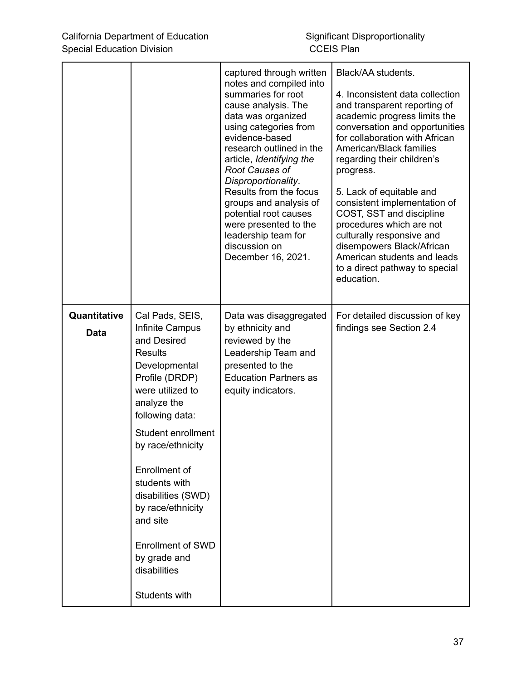|                             |                                                                                                                                                                                                                                                                                                                                                                               | captured through written<br>notes and compiled into<br>summaries for root<br>cause analysis. The<br>data was organized<br>using categories from<br>evidence-based<br>research outlined in the<br>article, Identifying the<br>Root Causes of<br>Disproportionality.<br>Results from the focus<br>groups and analysis of<br>potential root causes<br>were presented to the<br>leadership team for<br>discussion on<br>December 16, 2021. | Black/AA students.<br>4. Inconsistent data collection<br>and transparent reporting of<br>academic progress limits the<br>conversation and opportunities<br>for collaboration with African<br>American/Black families<br>regarding their children's<br>progress.<br>5. Lack of equitable and<br>consistent implementation of<br>COST, SST and discipline<br>procedures which are not<br>culturally responsive and<br>disempowers Black/African<br>American students and leads<br>to a direct pathway to special<br>education. |
|-----------------------------|-------------------------------------------------------------------------------------------------------------------------------------------------------------------------------------------------------------------------------------------------------------------------------------------------------------------------------------------------------------------------------|----------------------------------------------------------------------------------------------------------------------------------------------------------------------------------------------------------------------------------------------------------------------------------------------------------------------------------------------------------------------------------------------------------------------------------------|------------------------------------------------------------------------------------------------------------------------------------------------------------------------------------------------------------------------------------------------------------------------------------------------------------------------------------------------------------------------------------------------------------------------------------------------------------------------------------------------------------------------------|
| Quantitative<br><b>Data</b> | Cal Pads, SEIS,<br>Infinite Campus<br>and Desired<br><b>Results</b><br>Developmental<br>Profile (DRDP)<br>were utilized to<br>analyze the<br>following data:<br>Student enrollment<br>by race/ethnicity<br>Enrollment of<br>students with<br>disabilities (SWD)<br>by race/ethnicity<br>and site<br><b>Enrollment of SWD</b><br>by grade and<br>disabilities<br>Students with | Data was disaggregated<br>by ethnicity and<br>reviewed by the<br>Leadership Team and<br>presented to the<br><b>Education Partners as</b><br>equity indicators.                                                                                                                                                                                                                                                                         | For detailed discussion of key<br>findings see Section 2.4                                                                                                                                                                                                                                                                                                                                                                                                                                                                   |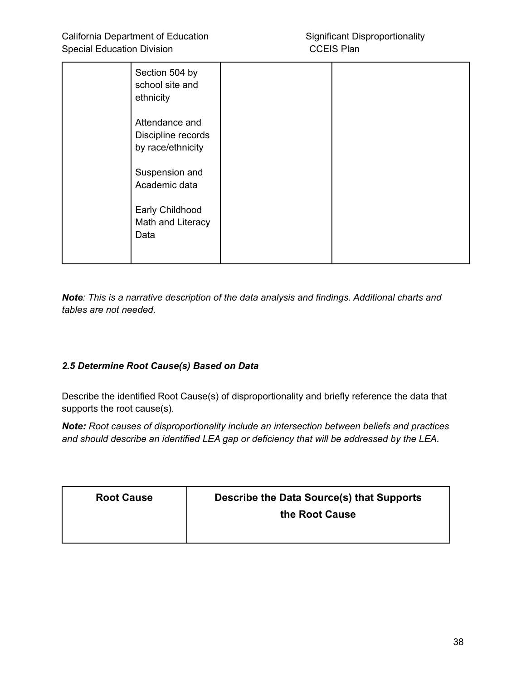| Section 504 by<br>school site and<br>ethnicity            |  |
|-----------------------------------------------------------|--|
| Attendance and<br>Discipline records<br>by race/ethnicity |  |
| Suspension and<br>Academic data                           |  |
| Early Childhood<br>Math and Literacy<br>Data              |  |

*Note: This is a narrative description of the data analysis and findings. Additional charts and tables are not needed.*

#### *2.5 Determine Root Cause(s) Based on Data*

Describe the identified Root Cause(s) of disproportionality and briefly reference the data that supports the root cause(s).

*Note: Root causes of disproportionality include an intersection between beliefs and practices and should describe an identified LEA gap or deficiency that will be addressed by the LEA.*

| <b>Root Cause</b> | Describe the Data Source(s) that Supports<br>the Root Cause |
|-------------------|-------------------------------------------------------------|
|                   |                                                             |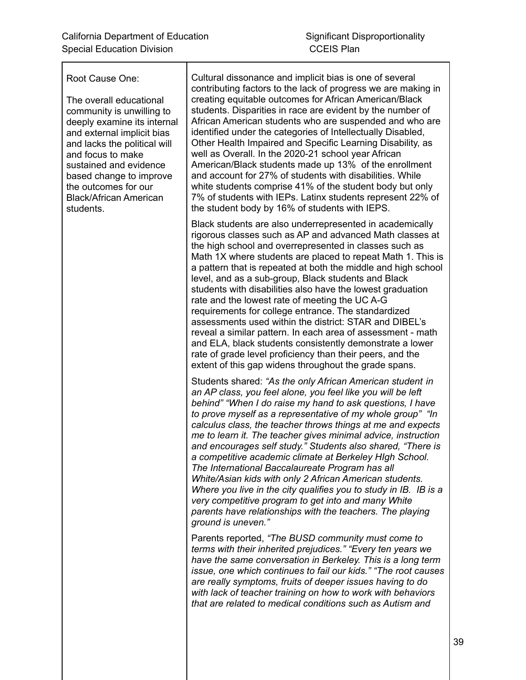Root Cause One:

The overall educational community is unwilling to deeply examine its internal and external implicit bias and lacks the political will and focus to make sustained and evidence based change to improve the outcomes for our Black/African American students.

Cultural dissonance and implicit bias is one of several contributing factors to the lack of progress we are making in creating equitable outcomes for African American/Black students. Disparities in race are evident by the number of African American students who are suspended and who are identified under the categories of Intellectually Disabled, Other Health Impaired and Specific Learning Disability, as well as Overall. In the 2020-21 school year African American/Black students made up 13% of the enrollment and account for 27% of students with disabilities. While white students comprise 41% of the student body but only 7% of students with IEPs. Latinx students represent 22% of the student body by 16% of students with IEPS.

Black students are also underrepresented in academically rigorous classes such as AP and advanced Math classes at the high school and overrepresented in classes such as Math 1X where students are placed to repeat Math 1. This is a pattern that is repeated at both the middle and high school level, and as a sub-group, Black students and Black students with disabilities also have the lowest graduation rate and the lowest rate of meeting the UC A-G requirements for college entrance. The standardized assessments used within the district: STAR and DIBEL's reveal a similar pattern. In each area of assessment - math and ELA, black students consistently demonstrate a lower rate of grade level proficiency than their peers, and the extent of this gap widens throughout the grade spans.

Students shared: *"As the only African American student in an AP class, you feel alone, you feel like you will be left behind" "When I do raise my hand to ask questions, I have to prove myself as a representative of my whole group" "In calculus class, the teacher throws things at me and expects me to learn it. The teacher gives minimal advice, instruction and encourages self study." Students also shared, "There is a competitive academic climate at Berkeley HIgh School. The International Baccalaureate Program has all White/Asian kids with only 2 African American students. Where you live in the city qualifies you to study in IB. IB is a very competitive program to get into and many White parents have relationships with the teachers. The playing ground is uneven."*

Parents reported, *"The BUSD community must come to terms with their inherited prejudices." "Every ten years we have the same conversation in Berkeley. This is a long term issue, one which continues to fail our kids." "The root causes are really symptoms, fruits of deeper issues having to do with lack of teacher training on how to work with behaviors that are related to medical conditions such as Autism and*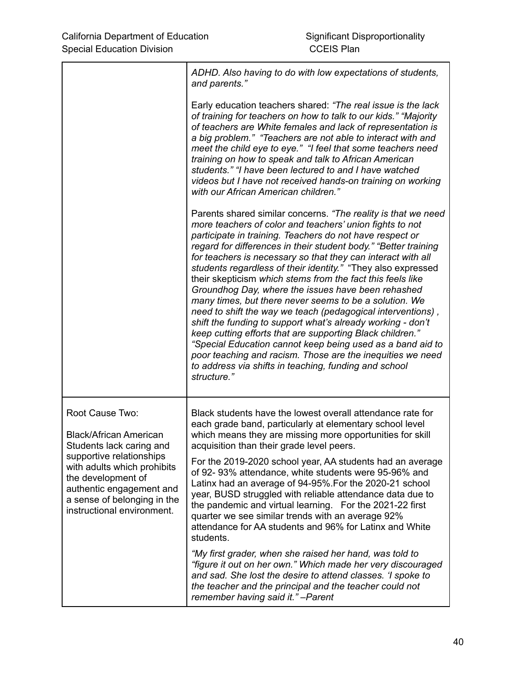|                                                                                                                                                                                                                                                        | ADHD. Also having to do with low expectations of students,<br>and parents."                                                                                                                                                                                                                                                                                                                                                                                                                                                                                                                                                                                                                                                                                                                                                                                                                                                                                           |
|--------------------------------------------------------------------------------------------------------------------------------------------------------------------------------------------------------------------------------------------------------|-----------------------------------------------------------------------------------------------------------------------------------------------------------------------------------------------------------------------------------------------------------------------------------------------------------------------------------------------------------------------------------------------------------------------------------------------------------------------------------------------------------------------------------------------------------------------------------------------------------------------------------------------------------------------------------------------------------------------------------------------------------------------------------------------------------------------------------------------------------------------------------------------------------------------------------------------------------------------|
|                                                                                                                                                                                                                                                        | Early education teachers shared: "The real issue is the lack<br>of training for teachers on how to talk to our kids." "Majority<br>of teachers are White females and lack of representation is<br>a big problem." "Teachers are not able to interact with and<br>meet the child eye to eye." "I feel that some teachers need<br>training on how to speak and talk to African American<br>students." "I have been lectured to and I have watched<br>videos but I have not received hands-on training on working<br>with our African American children."                                                                                                                                                                                                                                                                                                                                                                                                                |
|                                                                                                                                                                                                                                                        | Parents shared similar concerns. "The reality is that we need<br>more teachers of color and teachers' union fights to not<br>participate in training. Teachers do not have respect or<br>regard for differences in their student body." "Better training<br>for teachers is necessary so that they can interact with all<br>students regardless of their identity." "They also expressed<br>their skepticism which stems from the fact this feels like<br>Groundhog Day, where the issues have been rehashed<br>many times, but there never seems to be a solution. We<br>need to shift the way we teach (pedagogical interventions),<br>shift the funding to support what's already working - don't<br>keep cutting efforts that are supporting Black children."<br>"Special Education cannot keep being used as a band aid to<br>poor teaching and racism. Those are the inequities we need<br>to address via shifts in teaching, funding and school<br>structure." |
| Root Cause Two:<br><b>Black/African American</b><br>Students lack caring and<br>supportive relationships<br>with adults which prohibits<br>the development of<br>authentic engagement and<br>a sense of belonging in the<br>instructional environment. | Black students have the lowest overall attendance rate for<br>each grade band, particularly at elementary school level<br>which means they are missing more opportunities for skill<br>acquisition than their grade level peers.                                                                                                                                                                                                                                                                                                                                                                                                                                                                                                                                                                                                                                                                                                                                      |
|                                                                                                                                                                                                                                                        | For the 2019-2020 school year, AA students had an average<br>of 92-93% attendance, white students were 95-96% and<br>Latinx had an average of 94-95%. For the 2020-21 school<br>year, BUSD struggled with reliable attendance data due to<br>the pandemic and virtual learning. For the 2021-22 first<br>quarter we see similar trends with an average 92%<br>attendance for AA students and 96% for Latinx and White<br>students.                                                                                                                                                                                                                                                                                                                                                                                                                                                                                                                                    |
|                                                                                                                                                                                                                                                        | "My first grader, when she raised her hand, was told to<br>"figure it out on her own." Which made her very discouraged<br>and sad. She lost the desire to attend classes. 'I spoke to<br>the teacher and the principal and the teacher could not<br>remember having said it." - Parent                                                                                                                                                                                                                                                                                                                                                                                                                                                                                                                                                                                                                                                                                |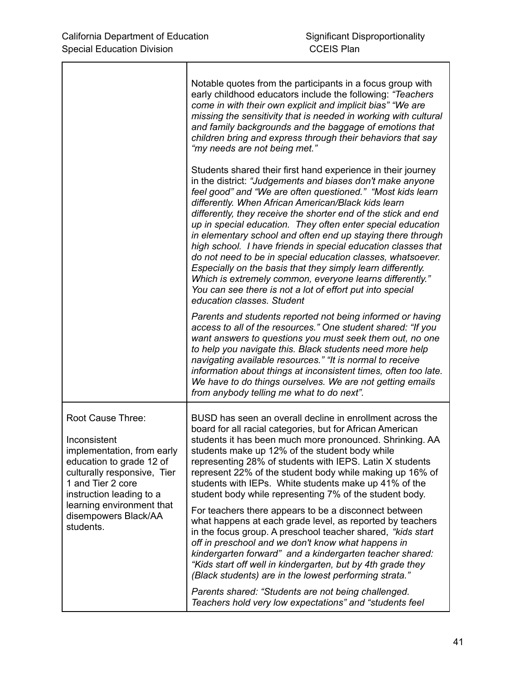|                                                                                                                                                                                                                                               | Notable quotes from the participants in a focus group with<br>early childhood educators include the following: "Teachers<br>come in with their own explicit and implicit bias" "We are<br>missing the sensitivity that is needed in working with cultural<br>and family backgrounds and the baggage of emotions that<br>children bring and express through their behaviors that say<br>"my needs are not being met."                                                                                                                                                                                                                                                                                                                                                                                 |
|-----------------------------------------------------------------------------------------------------------------------------------------------------------------------------------------------------------------------------------------------|------------------------------------------------------------------------------------------------------------------------------------------------------------------------------------------------------------------------------------------------------------------------------------------------------------------------------------------------------------------------------------------------------------------------------------------------------------------------------------------------------------------------------------------------------------------------------------------------------------------------------------------------------------------------------------------------------------------------------------------------------------------------------------------------------|
|                                                                                                                                                                                                                                               | Students shared their first hand experience in their journey<br>in the district: "Judgements and biases don't make anyone<br>feel good" and "We are often questioned." "Most kids learn<br>differently. When African American/Black kids learn<br>differently, they receive the shorter end of the stick and end<br>up in special education. They often enter special education<br>in elementary school and often end up staying there through<br>high school. I have friends in special education classes that<br>do not need to be in special education classes, whatsoever.<br>Especially on the basis that they simply learn differently.<br>Which is extremely common, everyone learns differently."<br>You can see there is not a lot of effort put into special<br>education classes. Student |
|                                                                                                                                                                                                                                               | Parents and students reported not being informed or having<br>access to all of the resources." One student shared: "If you<br>want answers to questions you must seek them out, no one<br>to help you navigate this. Black students need more help<br>navigating available resources." "It is normal to receive<br>information about things at inconsistent times, often too late.<br>We have to do things ourselves. We are not getting emails<br>from anybody telling me what to do next".                                                                                                                                                                                                                                                                                                         |
| Root Cause Three:<br>Inconsistent<br>implementation, from early<br>education to grade 12 of<br>culturally responsive, Tier<br>1 and Tier 2 core<br>instruction leading to a<br>learning environment that<br>disempowers Black/AA<br>students. | BUSD has seen an overall decline in enrollment across the<br>board for all racial categories, but for African American<br>students it has been much more pronounced. Shrinking. AA<br>students make up 12% of the student body while<br>representing 28% of students with IEPS. Latin X students<br>represent 22% of the student body while making up 16% of<br>students with IEPs. White students make up 41% of the<br>student body while representing 7% of the student body.                                                                                                                                                                                                                                                                                                                     |
|                                                                                                                                                                                                                                               | For teachers there appears to be a disconnect between<br>what happens at each grade level, as reported by teachers<br>in the focus group. A preschool teacher shared, "kids start"<br>off in preschool and we don't know what happens in<br>kindergarten forward" and a kindergarten teacher shared:<br>"Kids start off well in kindergarten, but by 4th grade they<br>(Black students) are in the lowest performing strata."                                                                                                                                                                                                                                                                                                                                                                        |
|                                                                                                                                                                                                                                               | Parents shared: "Students are not being challenged.<br>Teachers hold very low expectations" and "students feel                                                                                                                                                                                                                                                                                                                                                                                                                                                                                                                                                                                                                                                                                       |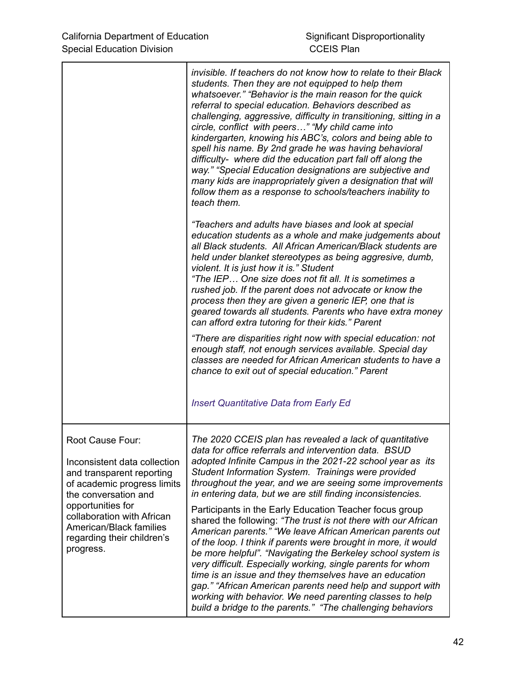|                                                                                                                                                                                                                                                               | invisible. If teachers do not know how to relate to their Black<br>students. Then they are not equipped to help them<br>whatsoever." "Behavior is the main reason for the quick<br>referral to special education. Behaviors described as<br>challenging, aggressive, difficulty in transitioning, sitting in a<br>circle, conflict with peers" "My child came into<br>kindergarten, knowing his ABC's, colors and being able to<br>spell his name. By 2nd grade he was having behavioral<br>difficulty- where did the education part fall off along the<br>way." "Special Education designations are subjective and<br>many kids are inappropriately given a designation that will<br>follow them as a response to schools/teachers inability to<br>teach them. |
|---------------------------------------------------------------------------------------------------------------------------------------------------------------------------------------------------------------------------------------------------------------|-----------------------------------------------------------------------------------------------------------------------------------------------------------------------------------------------------------------------------------------------------------------------------------------------------------------------------------------------------------------------------------------------------------------------------------------------------------------------------------------------------------------------------------------------------------------------------------------------------------------------------------------------------------------------------------------------------------------------------------------------------------------|
|                                                                                                                                                                                                                                                               | "Teachers and adults have biases and look at special<br>education students as a whole and make judgements about<br>all Black students. All African American/Black students are<br>held under blanket stereotypes as being aggresive, dumb,<br>violent. It is just how it is." Student<br>"The IEP One size does not fit all. It is sometimes a<br>rushed job. If the parent does not advocate or know the<br>process then they are given a generic IEP, one that is<br>geared towards all students. Parents who have extra money<br>can afford extra tutoring for their kids." Parent                                                                                                                                                                           |
|                                                                                                                                                                                                                                                               | "There are disparities right now with special education: not<br>enough staff, not enough services available. Special day<br>classes are needed for African American students to have a<br>chance to exit out of special education." Parent                                                                                                                                                                                                                                                                                                                                                                                                                                                                                                                      |
|                                                                                                                                                                                                                                                               | <b>Insert Quantitative Data from Early Ed</b>                                                                                                                                                                                                                                                                                                                                                                                                                                                                                                                                                                                                                                                                                                                   |
| Root Cause Four:<br>Inconsistent data collection<br>and transparent reporting<br>of academic progress limits<br>the conversation and<br>opportunities for<br>collaboration with African<br>American/Black families<br>regarding their children's<br>progress. | The 2020 CCEIS plan has revealed a lack of quantitative<br>data for office referrals and intervention data. BSUD<br>adopted Infinite Campus in the 2021-22 school year as its<br>Student Information System. Trainings were provided<br>throughout the year, and we are seeing some improvements<br>in entering data, but we are still finding inconsistencies.<br>Participants in the Early Education Teacher focus group<br>shared the following: "The trust is not there with our African<br>American parents." "We leave African American parents out                                                                                                                                                                                                       |
|                                                                                                                                                                                                                                                               | of the loop. I think if parents were brought in more, it would<br>be more helpful". "Navigating the Berkeley school system is<br>very difficult. Especially working, single parents for whom<br>time is an issue and they themselves have an education<br>gap." "African American parents need help and support with<br>working with behavior. We need parenting classes to help<br>build a bridge to the parents." "The challenging behaviors                                                                                                                                                                                                                                                                                                                  |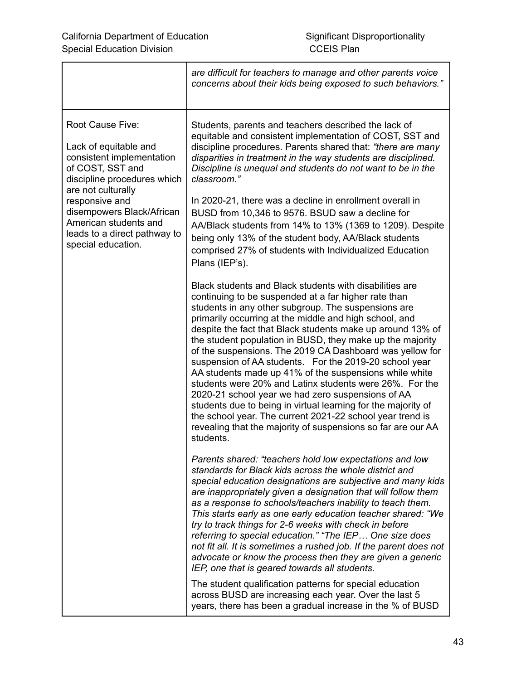|                                                                                                                                                                                                                                                                               | are difficult for teachers to manage and other parents voice<br>concerns about their kids being exposed to such behaviors."                                                                                                                                                                                                                                                                                                                                                                                                                                                                                                                                                                                                                                                                                                                                            |
|-------------------------------------------------------------------------------------------------------------------------------------------------------------------------------------------------------------------------------------------------------------------------------|------------------------------------------------------------------------------------------------------------------------------------------------------------------------------------------------------------------------------------------------------------------------------------------------------------------------------------------------------------------------------------------------------------------------------------------------------------------------------------------------------------------------------------------------------------------------------------------------------------------------------------------------------------------------------------------------------------------------------------------------------------------------------------------------------------------------------------------------------------------------|
| Root Cause Five:<br>Lack of equitable and<br>consistent implementation<br>of COST, SST and<br>discipline procedures which<br>are not culturally<br>responsive and<br>disempowers Black/African<br>American students and<br>leads to a direct pathway to<br>special education. | Students, parents and teachers described the lack of<br>equitable and consistent implementation of COST, SST and<br>discipline procedures. Parents shared that: "there are many<br>disparities in treatment in the way students are disciplined.<br>Discipline is unequal and students do not want to be in the<br>classroom."                                                                                                                                                                                                                                                                                                                                                                                                                                                                                                                                         |
|                                                                                                                                                                                                                                                                               | In 2020-21, there was a decline in enrollment overall in<br>BUSD from 10,346 to 9576. BSUD saw a decline for<br>AA/Black students from 14% to 13% (1369 to 1209). Despite<br>being only 13% of the student body, AA/Black students<br>comprised 27% of students with Individualized Education<br>Plans (IEP's).                                                                                                                                                                                                                                                                                                                                                                                                                                                                                                                                                        |
|                                                                                                                                                                                                                                                                               | Black students and Black students with disabilities are<br>continuing to be suspended at a far higher rate than<br>students in any other subgroup. The suspensions are<br>primarily occurring at the middle and high school, and<br>despite the fact that Black students make up around 13% of<br>the student population in BUSD, they make up the majority<br>of the suspensions. The 2019 CA Dashboard was yellow for<br>suspension of AA students. For the 2019-20 school year<br>AA students made up 41% of the suspensions while white<br>students were 20% and Latinx students were 26%. For the<br>2020-21 school year we had zero suspensions of AA<br>students due to being in virtual learning for the majority of<br>the school year. The current 2021-22 school year trend is<br>revealing that the majority of suspensions so far are our AA<br>students. |
|                                                                                                                                                                                                                                                                               | Parents shared: "teachers hold low expectations and low<br>standards for Black kids across the whole district and<br>special education designations are subjective and many kids<br>are inappropriately given a designation that will follow them<br>as a response to schools/teachers inability to teach them.<br>This starts early as one early education teacher shared: "We<br>try to track things for 2-6 weeks with check in before<br>referring to special education." "The IEP One size does<br>not fit all. It is sometimes a rushed job. If the parent does not<br>advocate or know the process then they are given a generic<br>IEP, one that is geared towards all students.                                                                                                                                                                               |
|                                                                                                                                                                                                                                                                               | The student qualification patterns for special education<br>across BUSD are increasing each year. Over the last 5<br>years, there has been a gradual increase in the % of BUSD                                                                                                                                                                                                                                                                                                                                                                                                                                                                                                                                                                                                                                                                                         |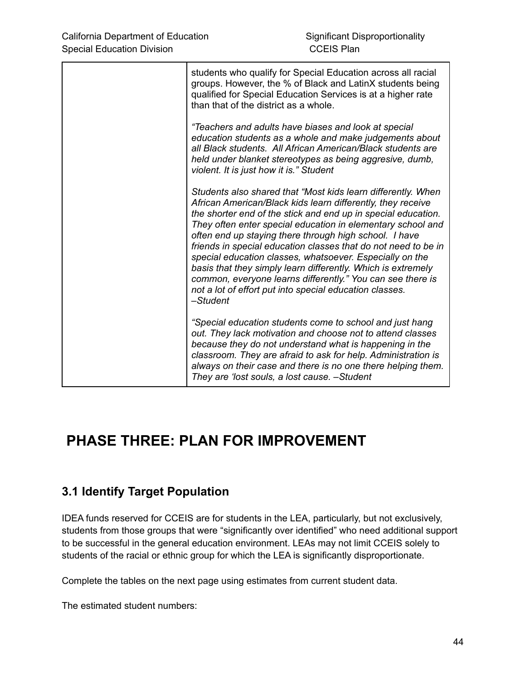| students who qualify for Special Education across all racial<br>groups. However, the % of Black and LatinX students being<br>qualified for Special Education Services is at a higher rate<br>than that of the district as a whole.                                                                                                                                                                                                                                                                                                                                                                                                                       |
|----------------------------------------------------------------------------------------------------------------------------------------------------------------------------------------------------------------------------------------------------------------------------------------------------------------------------------------------------------------------------------------------------------------------------------------------------------------------------------------------------------------------------------------------------------------------------------------------------------------------------------------------------------|
| "Teachers and adults have biases and look at special<br>education students as a whole and make judgements about<br>all Black students. All African American/Black students are<br>held under blanket stereotypes as being aggresive, dumb,<br>violent. It is just how it is." Student                                                                                                                                                                                                                                                                                                                                                                    |
| Students also shared that "Most kids learn differently. When<br>African American/Black kids learn differently, they receive<br>the shorter end of the stick and end up in special education.<br>They often enter special education in elementary school and<br>often end up staying there through high school. I have<br>friends in special education classes that do not need to be in<br>special education classes, whatsoever. Especially on the<br>basis that they simply learn differently. Which is extremely<br>common, everyone learns differently." You can see there is<br>not a lot of effort put into special education classes.<br>-Student |
| "Special education students come to school and just hang<br>out. They lack motivation and choose not to attend classes<br>because they do not understand what is happening in the<br>classroom. They are afraid to ask for help. Administration is<br>always on their case and there is no one there helping them.<br>They are 'lost souls, a lost cause. - Student                                                                                                                                                                                                                                                                                      |

# **PHASE THREE: PLAN FOR IMPROVEMENT**

# **3.1 Identify Target Population**

IDEA funds reserved for CCEIS are for students in the LEA, particularly, but not exclusively, students from those groups that were "significantly over identified" who need additional support to be successful in the general education environment. LEAs may not limit CCEIS solely to students of the racial or ethnic group for which the LEA is significantly disproportionate.

Complete the tables on the next page using estimates from current student data.

The estimated student numbers: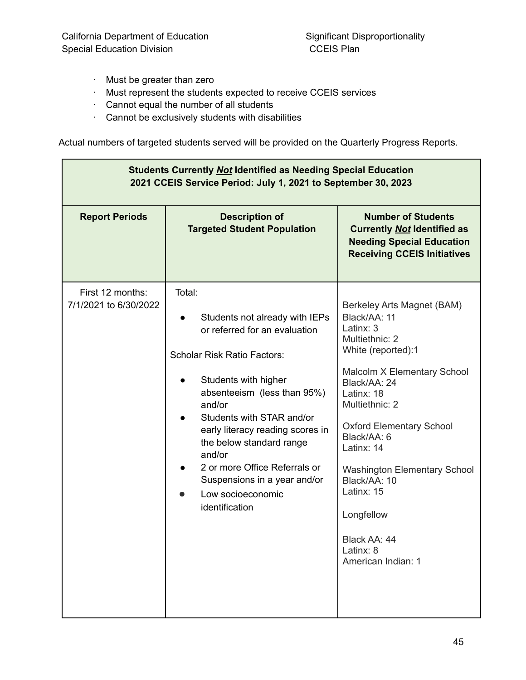- · Must be greater than zero
- · Must represent the students expected to receive CCEIS services
- · Cannot equal the number of all students
- · Cannot be exclusively students with disabilities

Actual numbers of targeted students served will be provided on the Quarterly Progress Reports.

| <b>Students Currently Not Identified as Needing Special Education</b><br>2021 CCEIS Service Period: July 1, 2021 to September 30, 2023 |                                                                                                                                                                                                                                                                                                                                                                                                 |                                                                                                                                                                                                                                                                                                                                                                                      |  |  |
|----------------------------------------------------------------------------------------------------------------------------------------|-------------------------------------------------------------------------------------------------------------------------------------------------------------------------------------------------------------------------------------------------------------------------------------------------------------------------------------------------------------------------------------------------|--------------------------------------------------------------------------------------------------------------------------------------------------------------------------------------------------------------------------------------------------------------------------------------------------------------------------------------------------------------------------------------|--|--|
| <b>Report Periods</b>                                                                                                                  | <b>Description of</b><br><b>Targeted Student Population</b>                                                                                                                                                                                                                                                                                                                                     | <b>Number of Students</b><br><b>Currently Not Identified as</b><br><b>Needing Special Education</b><br><b>Receiving CCEIS Initiatives</b>                                                                                                                                                                                                                                            |  |  |
| First 12 months:<br>7/1/2021 to 6/30/2022                                                                                              | Total:<br>Students not already with IEPs<br>or referred for an evaluation<br><b>Scholar Risk Ratio Factors:</b><br>Students with higher<br>absenteeism (less than 95%)<br>and/or<br>Students with STAR and/or<br>early literacy reading scores in<br>the below standard range<br>and/or<br>2 or more Office Referrals or<br>Suspensions in a year and/or<br>Low socioeconomic<br>identification | Berkeley Arts Magnet (BAM)<br>Black/AA: 11<br>Latinx: 3<br>Multiethnic: 2<br>White (reported):1<br>Malcolm X Elementary School<br>Black/AA: 24<br>Latinx: 18<br>Multiethnic: 2<br><b>Oxford Elementary School</b><br>Black/AA: 6<br>Latinx: 14<br><b>Washington Elementary School</b><br>Black/AA: 10<br>Latinx: 15<br>Longfellow<br>Black AA: 44<br>Latinx: 8<br>American Indian: 1 |  |  |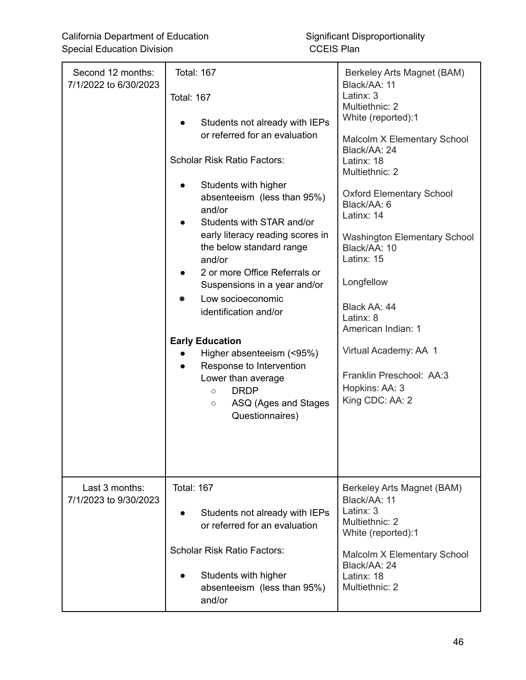| Second 12 months:<br>7/1/2022 to 6/30/2023 | <b>Total: 167</b><br><b>Total: 167</b><br>Students not already with IEPs<br>or referred for an evaluation<br><b>Scholar Risk Ratio Factors:</b><br>Students with higher<br>$\bullet$<br>absenteeism (less than 95%)<br>and/or<br>Students with STAR and/or<br>$\bullet$<br>early literacy reading scores in<br>the below standard range<br>and/or<br>2 or more Office Referrals or<br>$\bullet$<br>Suspensions in a year and/or<br>Low socioeconomic<br>identification and/or<br><b>Early Education</b><br>Higher absenteeism (<95%)<br>Response to Intervention<br>Lower than average<br><b>DRDP</b><br>$\circ$<br>ASQ (Ages and Stages<br>$\circ$<br>Questionnaires) | Berkeley Arts Magnet (BAM)<br>Black/AA: 11<br>Latinx: 3<br>Multiethnic: 2<br>White (reported):1<br>Malcolm X Elementary School<br>Black/AA: 24<br>Latinx: 18<br>Multiethnic: 2<br><b>Oxford Elementary School</b><br>Black/AA: 6<br>Latinx: 14<br><b>Washington Elementary School</b><br>Black/AA: 10<br>Latinx: 15<br>Longfellow<br>Black AA: 44<br>Latinx: 8<br>American Indian: 1<br>Virtual Academy: AA 1<br>Franklin Preschool: AA:3<br>Hopkins: AA: 3<br>King CDC: AA: 2 |
|--------------------------------------------|------------------------------------------------------------------------------------------------------------------------------------------------------------------------------------------------------------------------------------------------------------------------------------------------------------------------------------------------------------------------------------------------------------------------------------------------------------------------------------------------------------------------------------------------------------------------------------------------------------------------------------------------------------------------|--------------------------------------------------------------------------------------------------------------------------------------------------------------------------------------------------------------------------------------------------------------------------------------------------------------------------------------------------------------------------------------------------------------------------------------------------------------------------------|
| Last 3 months:<br>7/1/2023 to 9/30/2023    | <b>Total: 167</b><br>Students not already with IEPs<br>or referred for an evaluation<br><b>Scholar Risk Ratio Factors:</b><br>Students with higher<br>$\bullet$<br>absenteeism (less than 95%)<br>and/or                                                                                                                                                                                                                                                                                                                                                                                                                                                               | Berkeley Arts Magnet (BAM)<br>Black/AA: 11<br>Latinx: 3<br>Multiethnic: 2<br>White (reported):1<br>Malcolm X Elementary School<br>Black/AA: 24<br>Latinx: 18<br>Multiethnic: 2                                                                                                                                                                                                                                                                                                 |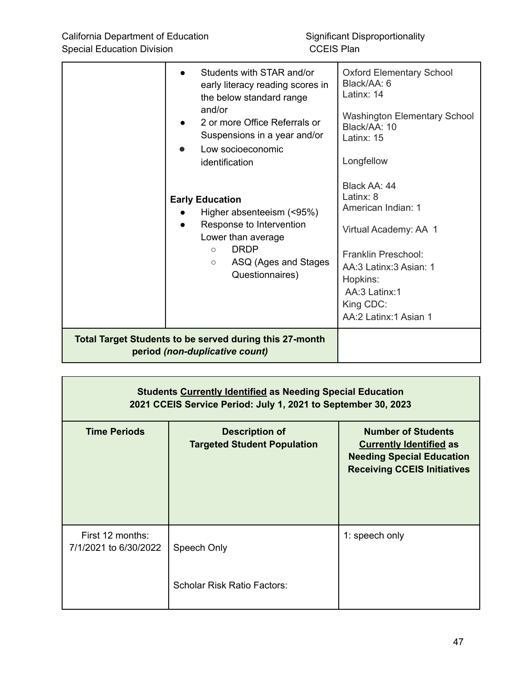|                                                                                                  | Students with STAR and/or<br>early literacy reading scores in<br>the below standard range<br>and/or<br>2 or more Office Referrals or<br>Suspensions in a year and/or<br>Low socioeconomic<br>identification | <b>Oxford Elementary School</b><br>Black/AA: 6<br>Latinx: 14<br><b>Washington Elementary School</b><br>Black/AA: 10<br>Latinx: 15<br>Longfellow                                              |
|--------------------------------------------------------------------------------------------------|-------------------------------------------------------------------------------------------------------------------------------------------------------------------------------------------------------------|----------------------------------------------------------------------------------------------------------------------------------------------------------------------------------------------|
|                                                                                                  | <b>Early Education</b><br>Higher absenteeism (<95%)<br>Response to Intervention<br>Lower than average<br><b>DRDP</b><br>$\bigcirc$<br>ASQ (Ages and Stages<br>$\circ$<br>Questionnaires)                    | Black AA: 44<br>Latinx: 8<br>American Indian: 1<br>Virtual Academy: AA 1<br>Franklin Preschool:<br>AA:3 Latinx:3 Asian: 1<br>Hopkins:<br>AA:3 Latinx:1<br>King CDC:<br>AA:2 Latinx:1 Asian 1 |
| <b>Total Target Students to be served during this 27-month</b><br>period (non-duplicative count) |                                                                                                                                                                                                             |                                                                                                                                                                                              |

| <b>Students Currently Identified as Needing Special Education</b><br>2021 CCEIS Service Period: July 1, 2021 to September 30, 2023 |                                                             |                                                                                                                                       |  |
|------------------------------------------------------------------------------------------------------------------------------------|-------------------------------------------------------------|---------------------------------------------------------------------------------------------------------------------------------------|--|
| <b>Time Periods</b>                                                                                                                | <b>Description of</b><br><b>Targeted Student Population</b> | <b>Number of Students</b><br><b>Currently Identified as</b><br><b>Needing Special Education</b><br><b>Receiving CCEIS Initiatives</b> |  |
| First 12 months:<br>7/1/2021 to 6/30/2022                                                                                          | Speech Only<br><b>Scholar Risk Ratio Factors:</b>           | 1: speech only                                                                                                                        |  |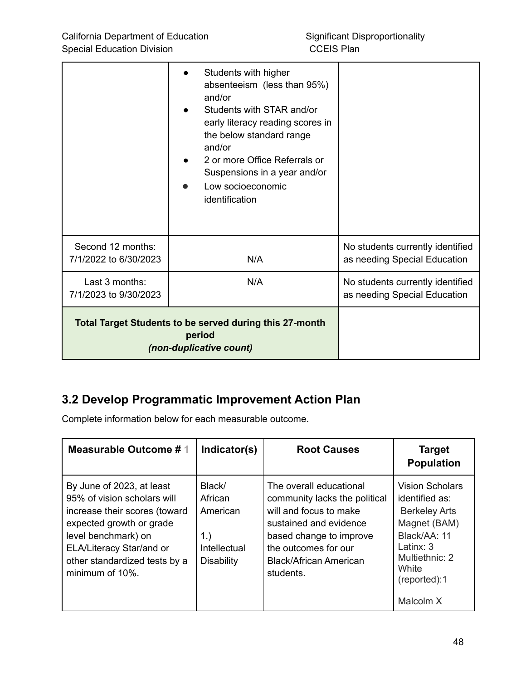|                                                                                                     | Students with higher<br>absenteeism (less than 95%)<br>and/or<br>Students with STAR and/or<br>early literacy reading scores in<br>the below standard range<br>and/or<br>2 or more Office Referrals or<br>Suspensions in a year and/or<br>Low socioeconomic<br>identification |                                                                  |
|-----------------------------------------------------------------------------------------------------|------------------------------------------------------------------------------------------------------------------------------------------------------------------------------------------------------------------------------------------------------------------------------|------------------------------------------------------------------|
| Second 12 months:<br>7/1/2022 to 6/30/2023                                                          | N/A                                                                                                                                                                                                                                                                          | No students currently identified<br>as needing Special Education |
| Last 3 months:<br>7/1/2023 to 9/30/2023                                                             | N/A                                                                                                                                                                                                                                                                          | No students currently identified<br>as needing Special Education |
| <b>Total Target Students to be served during this 27-month</b><br>period<br>(non-duplicative count) |                                                                                                                                                                                                                                                                              |                                                                  |

# **3.2 Develop Programmatic Improvement Action Plan**

Complete information below for each measurable outcome.

| <b>Measurable Outcome #1</b>                                                                                                                                                                                                 | Indicator(s)                                                             | <b>Root Causes</b>                                                                                                                                                                                     | <b>Target</b><br><b>Population</b>                                                                                                                                    |
|------------------------------------------------------------------------------------------------------------------------------------------------------------------------------------------------------------------------------|--------------------------------------------------------------------------|--------------------------------------------------------------------------------------------------------------------------------------------------------------------------------------------------------|-----------------------------------------------------------------------------------------------------------------------------------------------------------------------|
| By June of 2023, at least<br>95% of vision scholars will<br>increase their scores (toward<br>expected growth or grade<br>level benchmark) on<br>ELA/Literacy Star/and or<br>other standardized tests by a<br>minimum of 10%. | Black/<br>African<br>American<br>1.<br>Intellectual<br><b>Disability</b> | The overall educational<br>community lacks the political<br>will and focus to make<br>sustained and evidence<br>based change to improve<br>the outcomes for our<br>Black/African American<br>students. | <b>Vision Scholars</b><br>identified as:<br><b>Berkeley Arts</b><br>Magnet (BAM)<br>Black/AA: 11<br>Latinx: 3<br>Multiethnic: 2<br>White<br>(reported):1<br>Malcolm X |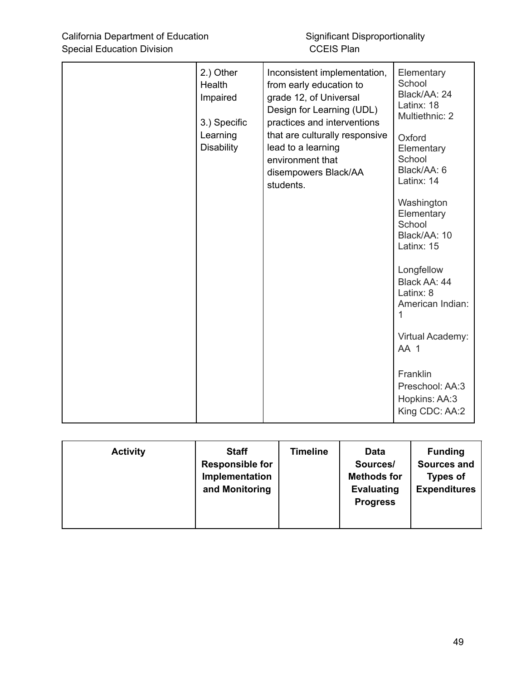| 2.) Other<br>Health<br>Impaired<br>3.) Specific<br>Learning<br><b>Disability</b> | Inconsistent implementation,<br>from early education to<br>grade 12, of Universal<br>Design for Learning (UDL)<br>practices and interventions<br>that are culturally responsive<br>lead to a learning<br>environment that<br>disempowers Black/AA<br>students. | Elementary<br>School<br>Black/AA: 24<br>Latinx: 18<br>Multiethnic: 2<br>Oxford<br>Elementary<br>School<br>Black/AA: 6<br>Latinx: 14<br>Washington<br>Elementary<br>School<br>Black/AA: 10<br>Latinx: 15<br>Longfellow<br>Black AA: 44<br>Latinx: 8<br>American Indian:<br>Virtual Academy:<br>AA <sub>1</sub><br>Franklin |
|----------------------------------------------------------------------------------|----------------------------------------------------------------------------------------------------------------------------------------------------------------------------------------------------------------------------------------------------------------|---------------------------------------------------------------------------------------------------------------------------------------------------------------------------------------------------------------------------------------------------------------------------------------------------------------------------|
|                                                                                  |                                                                                                                                                                                                                                                                | Preschool: AA:3<br>Hopkins: AA:3<br>King CDC: AA:2                                                                                                                                                                                                                                                                        |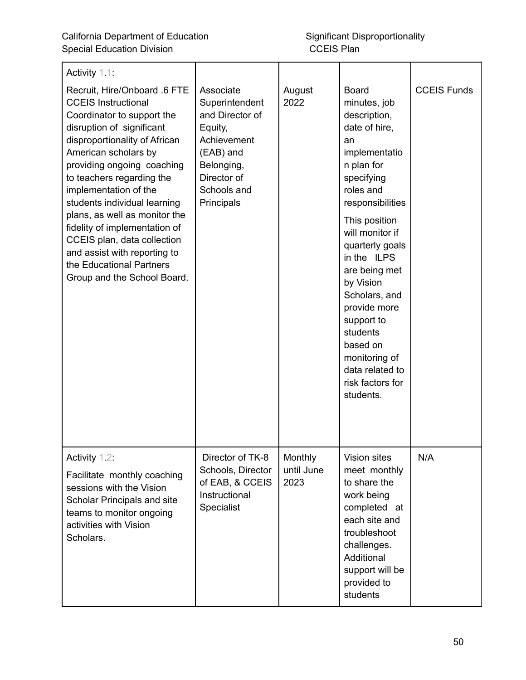| Activity 1.1:<br>Recruit, Hire/Onboard .6 FTE<br><b>CCEIS Instructional</b><br>Coordinator to support the<br>disruption of significant<br>disproportionality of African<br>American scholars by<br>providing ongoing coaching<br>to teachers regarding the<br>implementation of the<br>students individual learning<br>plans, as well as monitor the<br>fidelity of implementation of<br>CCEIS plan, data collection<br>and assist with reporting to<br>the Educational Partners<br>Group and the School Board. | Associate<br>Superintendent<br>and Director of<br>Equity,<br>Achievement<br>(EAB) and<br>Belonging,<br>Director of<br>Schools and<br>Principals | August<br>2022                | <b>Board</b><br>minutes, job<br>description,<br>date of hire,<br>an<br>implementatio<br>n plan for<br>specifying<br>roles and<br>responsibilities<br>This position<br>will monitor if<br>quarterly goals<br>in the ILPS<br>are being met<br>by Vision<br>Scholars, and<br>provide more<br>support to<br>students<br>based on<br>monitoring of<br>data related to<br>risk factors for<br>students. | <b>CCEIS Funds</b> |
|-----------------------------------------------------------------------------------------------------------------------------------------------------------------------------------------------------------------------------------------------------------------------------------------------------------------------------------------------------------------------------------------------------------------------------------------------------------------------------------------------------------------|-------------------------------------------------------------------------------------------------------------------------------------------------|-------------------------------|---------------------------------------------------------------------------------------------------------------------------------------------------------------------------------------------------------------------------------------------------------------------------------------------------------------------------------------------------------------------------------------------------|--------------------|
| Activity 1.2:<br>Facilitate monthly coaching<br>sessions with the Vision<br>Scholar Principals and site<br>teams to monitor ongoing<br>activities with Vision<br>Scholars.                                                                                                                                                                                                                                                                                                                                      | Director of TK-8<br>Schools, Director<br>of EAB, & CCEIS<br>Instructional<br>Specialist                                                         | Monthly<br>until June<br>2023 | Vision sites<br>meet monthly<br>to share the<br>work being<br>completed at<br>each site and<br>troubleshoot<br>challenges.<br>Additional<br>support will be<br>provided to<br>students                                                                                                                                                                                                            | N/A                |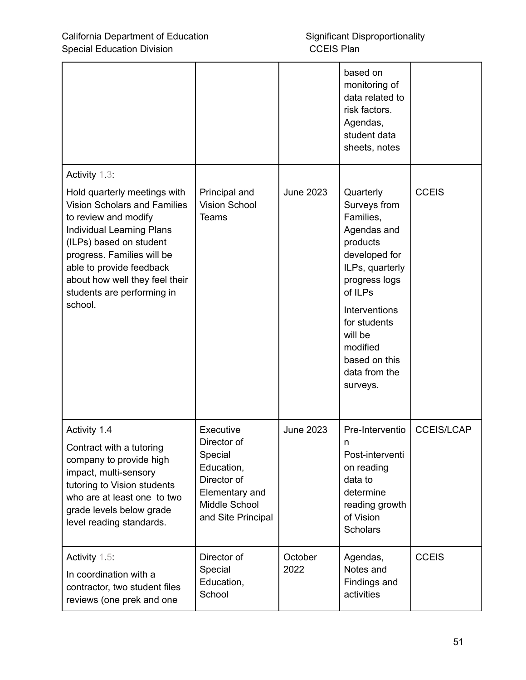|                                                                                                                                                                                                                                                                                                 |                                                                  |                  | based on<br>monitoring of<br>data related to<br>risk factors.<br>Agendas,<br>student data<br>sheets, notes                                                                                                                              |                   |
|-------------------------------------------------------------------------------------------------------------------------------------------------------------------------------------------------------------------------------------------------------------------------------------------------|------------------------------------------------------------------|------------------|-----------------------------------------------------------------------------------------------------------------------------------------------------------------------------------------------------------------------------------------|-------------------|
| Activity 1.3:                                                                                                                                                                                                                                                                                   |                                                                  |                  |                                                                                                                                                                                                                                         |                   |
| Hold quarterly meetings with<br><b>Vision Scholars and Families</b><br>to review and modify<br><b>Individual Learning Plans</b><br>(ILPs) based on student<br>progress. Families will be<br>able to provide feedback<br>about how well they feel their<br>students are performing in<br>school. | Principal and<br><b>Vision School</b><br><b>Teams</b>            | <b>June 2023</b> | Quarterly<br>Surveys from<br>Families,<br>Agendas and<br>products<br>developed for<br>ILPs, quarterly<br>progress logs<br>of ILPs<br>Interventions<br>for students<br>will be<br>modified<br>based on this<br>data from the<br>surveys. | <b>CCEIS</b>      |
| Activity 1.4<br>Contract with a tutoring<br>company to provide high<br>impact, multi-sensory                                                                                                                                                                                                    | Executive<br>Director of<br>Special<br>Education,<br>Director of | <b>June 2023</b> | Pre-Interventio<br>n<br>Post-interventi<br>on reading<br>data to                                                                                                                                                                        | <b>CCEIS/LCAP</b> |
| tutoring to Vision students<br>who are at least one to two<br>grade levels below grade<br>level reading standards.                                                                                                                                                                              | Elementary and<br>Middle School<br>and Site Principal            |                  | determine<br>reading growth<br>of Vision<br><b>Scholars</b>                                                                                                                                                                             |                   |
| Activity $1.5$ :<br>In coordination with a<br>contractor, two student files<br>reviews (one prek and one                                                                                                                                                                                        | Director of<br>Special<br>Education,<br>School                   | October<br>2022  | Agendas,<br>Notes and<br>Findings and<br>activities                                                                                                                                                                                     | <b>CCEIS</b>      |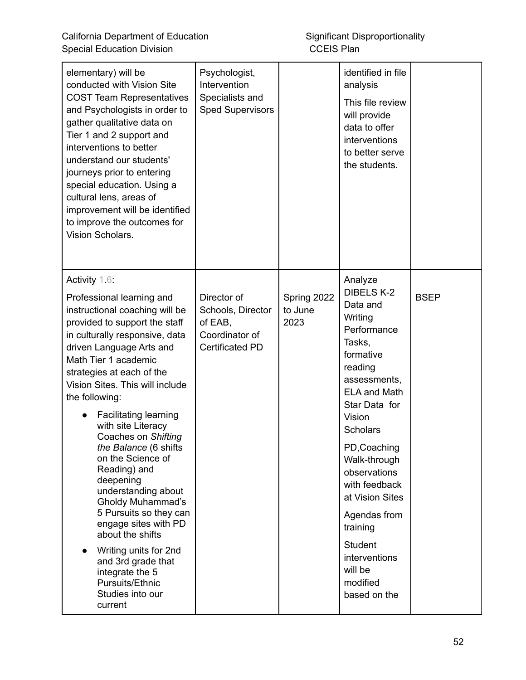| elementary) will be<br>conducted with Vision Site<br><b>COST Team Representatives</b><br>and Psychologists in order to<br>gather qualitative data on<br>Tier 1 and 2 support and<br>interventions to better<br>understand our students'<br>journeys prior to entering<br>special education. Using a<br>cultural lens, areas of<br>improvement will be identified<br>to improve the outcomes for<br>Vision Scholars.                                                                                                                                                                                                                                                                        | Psychologist,<br>Intervention<br>Specialists and<br><b>Sped Supervisors</b>             |                                | identified in file<br>analysis<br>This file review<br>will provide<br>data to offer<br>interventions<br>to better serve<br>the students.                                                                                                                                                                                                                                     |             |
|--------------------------------------------------------------------------------------------------------------------------------------------------------------------------------------------------------------------------------------------------------------------------------------------------------------------------------------------------------------------------------------------------------------------------------------------------------------------------------------------------------------------------------------------------------------------------------------------------------------------------------------------------------------------------------------------|-----------------------------------------------------------------------------------------|--------------------------------|------------------------------------------------------------------------------------------------------------------------------------------------------------------------------------------------------------------------------------------------------------------------------------------------------------------------------------------------------------------------------|-------------|
| Activity 1.6:<br>Professional learning and<br>instructional coaching will be<br>provided to support the staff<br>in culturally responsive, data<br>driven Language Arts and<br>Math Tier 1 academic<br>strategies at each of the<br>Vision Sites. This will include<br>the following:<br><b>Facilitating learning</b><br>with site Literacy<br>Coaches on Shifting<br>the Balance (6 shifts<br>on the Science of<br>Reading) and<br>deepening<br>understanding about<br><b>Gholdy Muhammad's</b><br>5 Pursuits so they can<br>engage sites with PD<br>about the shifts<br>Writing units for 2nd<br>and 3rd grade that<br>integrate the 5<br>Pursuits/Ethnic<br>Studies into our<br>current | Director of<br>Schools, Director<br>of EAB,<br>Coordinator of<br><b>Certificated PD</b> | Spring 2022<br>to June<br>2023 | Analyze<br><b>DIBELS K-2</b><br>Data and<br>Writing<br>Performance<br>Tasks,<br>formative<br>reading<br>assessments,<br><b>ELA and Math</b><br>Star Data for<br>Vision<br><b>Scholars</b><br>PD, Coaching<br>Walk-through<br>observations<br>with feedback<br>at Vision Sites<br>Agendas from<br>training<br>Student<br>interventions<br>will be<br>modified<br>based on the | <b>BSEP</b> |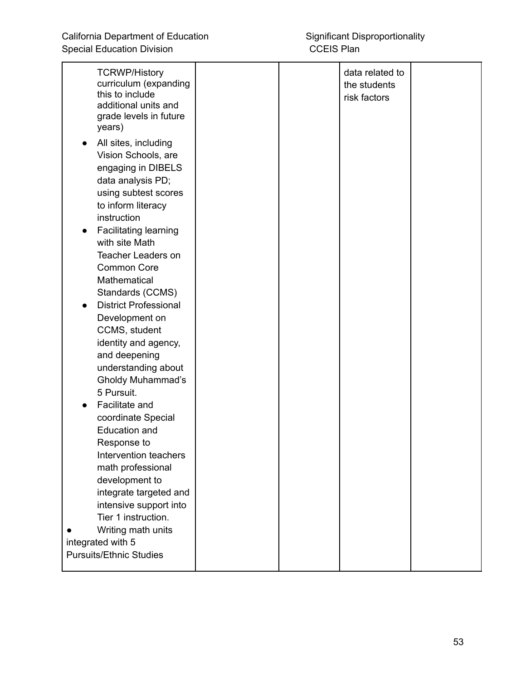| <b>TCRWP/History</b><br>curriculum (expanding<br>this to include<br>additional units and<br>grade levels in future<br>years)                        |  | data related to<br>the students<br>risk factors |  |
|-----------------------------------------------------------------------------------------------------------------------------------------------------|--|-------------------------------------------------|--|
| All sites, including<br>Vision Schools, are<br>engaging in DIBELS<br>data analysis PD;<br>using subtest scores<br>to inform literacy<br>instruction |  |                                                 |  |
| Facilitating learning<br>with site Math                                                                                                             |  |                                                 |  |
| <b>Teacher Leaders on</b><br><b>Common Core</b><br>Mathematical                                                                                     |  |                                                 |  |
| Standards (CCMS)<br><b>District Professional</b><br>Development on                                                                                  |  |                                                 |  |
| CCMS, student<br>identity and agency,                                                                                                               |  |                                                 |  |
| and deepening<br>understanding about<br><b>Gholdy Muhammad's</b>                                                                                    |  |                                                 |  |
| 5 Pursuit.<br>Facilitate and                                                                                                                        |  |                                                 |  |
| coordinate Special<br><b>Education and</b><br>Response to                                                                                           |  |                                                 |  |
| Intervention teachers<br>math professional                                                                                                          |  |                                                 |  |
| development to<br>integrate targeted and<br>intensive support into                                                                                  |  |                                                 |  |
| Tier 1 instruction.<br>Writing math units<br>integrated with 5                                                                                      |  |                                                 |  |
| <b>Pursuits/Ethnic Studies</b>                                                                                                                      |  |                                                 |  |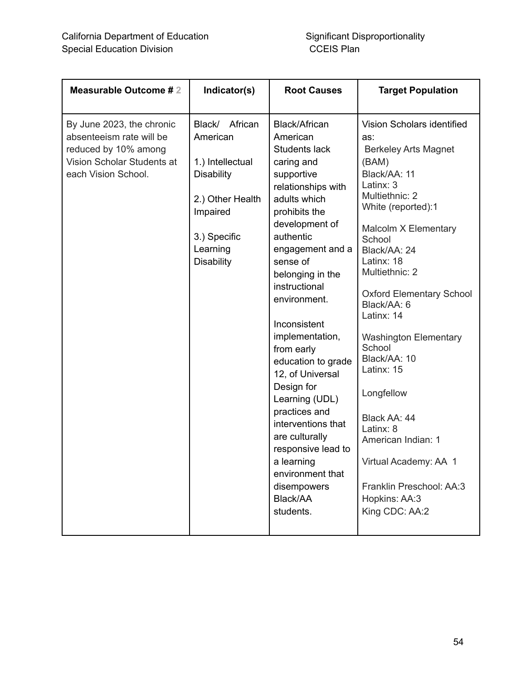| <b>Measurable Outcome #2</b>                                                                                                       | Indicator(s)                                                                                                                                            | <b>Root Causes</b>                                                                                                                                                                                                                                                                                                                                                                                                                                                                                                                    | <b>Target Population</b>                                                                                                                                                                                                                                                                                                                                                                                                                                                                                                          |
|------------------------------------------------------------------------------------------------------------------------------------|---------------------------------------------------------------------------------------------------------------------------------------------------------|---------------------------------------------------------------------------------------------------------------------------------------------------------------------------------------------------------------------------------------------------------------------------------------------------------------------------------------------------------------------------------------------------------------------------------------------------------------------------------------------------------------------------------------|-----------------------------------------------------------------------------------------------------------------------------------------------------------------------------------------------------------------------------------------------------------------------------------------------------------------------------------------------------------------------------------------------------------------------------------------------------------------------------------------------------------------------------------|
| By June 2023, the chronic<br>absenteeism rate will be<br>reduced by 10% among<br>Vision Scholar Students at<br>each Vision School. | Black/<br>African<br>American<br>1.) Intellectual<br><b>Disability</b><br>2.) Other Health<br>Impaired<br>3.) Specific<br>Learning<br><b>Disability</b> | Black/African<br>American<br>Students lack<br>caring and<br>supportive<br>relationships with<br>adults which<br>prohibits the<br>development of<br>authentic<br>engagement and a<br>sense of<br>belonging in the<br>instructional<br>environment.<br>Inconsistent<br>implementation,<br>from early<br>education to grade<br>12, of Universal<br>Design for<br>Learning (UDL)<br>practices and<br>interventions that<br>are culturally<br>responsive lead to<br>a learning<br>environment that<br>disempowers<br>Black/AA<br>students. | Vision Scholars identified<br>as:<br><b>Berkeley Arts Magnet</b><br>(BAM)<br>Black/AA: 11<br>Latinx: 3<br>Multiethnic: 2<br>White (reported):1<br>Malcolm X Elementary<br>School<br>Black/AA: 24<br>Latinx: 18<br>Multiethnic: 2<br><b>Oxford Elementary School</b><br>Black/AA: 6<br>Latinx: 14<br><b>Washington Elementary</b><br>School<br>Black/AA: 10<br>Latinx: 15<br>Longfellow<br>Black AA: 44<br>Latinx: 8<br>American Indian: 1<br>Virtual Academy: AA 1<br>Franklin Preschool: AA:3<br>Hopkins: AA:3<br>King CDC: AA:2 |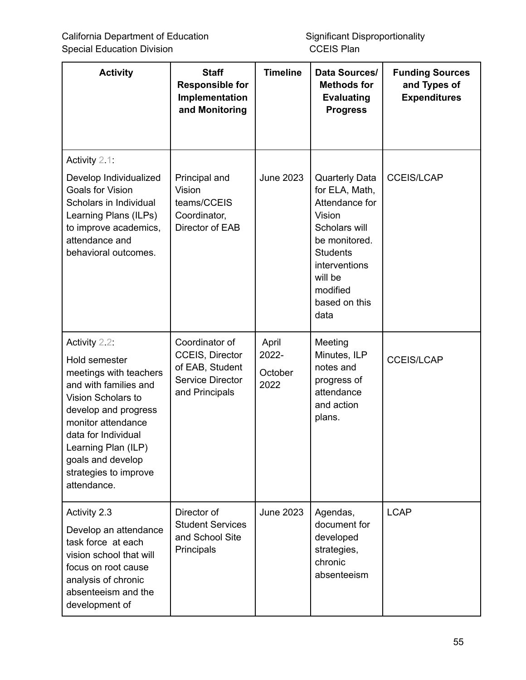| <b>Activity</b>                                                                                                                                                                                                                                                  | <b>Staff</b><br><b>Responsible for</b><br>Implementation<br>and Monitoring                               | <b>Timeline</b>                   | Data Sources/<br><b>Methods for</b><br><b>Evaluating</b><br><b>Progress</b>                                                                                                               | <b>Funding Sources</b><br>and Types of<br><b>Expenditures</b> |
|------------------------------------------------------------------------------------------------------------------------------------------------------------------------------------------------------------------------------------------------------------------|----------------------------------------------------------------------------------------------------------|-----------------------------------|-------------------------------------------------------------------------------------------------------------------------------------------------------------------------------------------|---------------------------------------------------------------|
| Activity 2.1:<br>Develop Individualized<br><b>Goals for Vision</b><br>Scholars in Individual<br>Learning Plans (ILPs)<br>to improve academics,<br>attendance and<br>behavioral outcomes.                                                                         | Principal and<br>Vision<br>teams/CCEIS<br>Coordinator,<br>Director of EAB                                | <b>June 2023</b>                  | <b>Quarterly Data</b><br>for ELA, Math,<br>Attendance for<br>Vision<br>Scholars will<br>be monitored.<br><b>Students</b><br>interventions<br>will be<br>modified<br>based on this<br>data | <b>CCEIS/LCAP</b>                                             |
| Activity 2.2:<br>Hold semester<br>meetings with teachers<br>and with families and<br>Vision Scholars to<br>develop and progress<br>monitor attendance<br>data for Individual<br>Learning Plan (ILP)<br>goals and develop<br>strategies to improve<br>attendance. | Coordinator of<br><b>CCEIS, Director</b><br>of EAB, Student<br><b>Service Director</b><br>and Principals | April<br>2022-<br>October<br>2022 | Meeting<br>Minutes, ILP<br>notes and<br>progress of<br>attendance<br>and action<br>plans.                                                                                                 | <b>CCEIS/LCAP</b>                                             |
| Activity 2.3<br>Develop an attendance<br>task force at each<br>vision school that will<br>focus on root cause<br>analysis of chronic<br>absenteeism and the<br>development of                                                                                    | Director of<br><b>Student Services</b><br>and School Site<br>Principals                                  | <b>June 2023</b>                  | Agendas,<br>document for<br>developed<br>strategies,<br>chronic<br>absenteeism                                                                                                            | <b>LCAP</b>                                                   |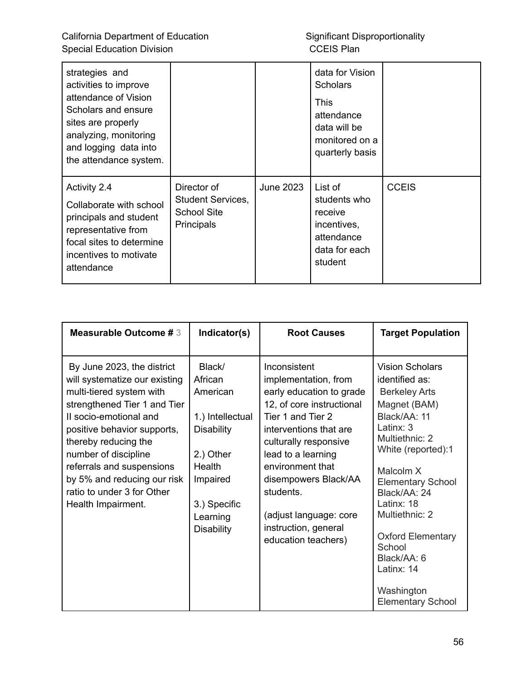| strategies and<br>activities to improve<br>attendance of Vision<br>Scholars and ensure<br>sites are properly<br>analyzing, monitoring<br>and logging data into<br>the attendance system. |                                                                                    |           | data for Vision<br><b>Scholars</b><br><b>This</b><br>attendance<br>data will be<br>monitored on a<br>quarterly basis |              |
|------------------------------------------------------------------------------------------------------------------------------------------------------------------------------------------|------------------------------------------------------------------------------------|-----------|----------------------------------------------------------------------------------------------------------------------|--------------|
| <b>Activity 2.4</b><br>Collaborate with school<br>principals and student<br>representative from<br>focal sites to determine<br>incentives to motivate<br>attendance                      | Director of<br><b>Student Services,</b><br><b>School Site</b><br><b>Principals</b> | June 2023 | List of<br>students who<br>receive<br>incentives,<br>attendance<br>data for each<br>student                          | <b>CCEIS</b> |

| <b>Measurable Outcome #3</b>                                                                                                                                                                                                                                                                                                                     | Indicator(s)                                                                                                                                               | <b>Root Causes</b>                                                                                                                                                                                                                                                                                                            | <b>Target Population</b>                                                                                                                                                                                                                                                                                                                                      |
|--------------------------------------------------------------------------------------------------------------------------------------------------------------------------------------------------------------------------------------------------------------------------------------------------------------------------------------------------|------------------------------------------------------------------------------------------------------------------------------------------------------------|-------------------------------------------------------------------------------------------------------------------------------------------------------------------------------------------------------------------------------------------------------------------------------------------------------------------------------|---------------------------------------------------------------------------------------------------------------------------------------------------------------------------------------------------------------------------------------------------------------------------------------------------------------------------------------------------------------|
| By June 2023, the district<br>will systematize our existing<br>multi-tiered system with<br>strengthened Tier 1 and Tier<br>II socio-emotional and<br>positive behavior supports,<br>thereby reducing the<br>number of discipline<br>referrals and suspensions<br>by 5% and reducing our risk<br>ratio to under 3 for Other<br>Health Impairment. | Black/<br>African<br>American<br>1.) Intellectual<br><b>Disability</b><br>2.) Other<br>Health<br>Impaired<br>3.) Specific<br>Learning<br><b>Disability</b> | Inconsistent<br>implementation, from<br>early education to grade<br>12, of core instructional<br>Tier 1 and Tier 2<br>interventions that are<br>culturally responsive<br>lead to a learning<br>environment that<br>disempowers Black/AA<br>students.<br>(adjust language: core<br>instruction, general<br>education teachers) | <b>Vision Scholars</b><br>identified as:<br><b>Berkeley Arts</b><br>Magnet (BAM)<br>Black/AA: 11<br>Latinx: 3<br>Multiethnic: 2<br>White (reported):1<br>Malcolm X<br><b>Elementary School</b><br>Black/AA: 24<br>Latinx: $18$<br>Multiethnic: 2<br><b>Oxford Elementary</b><br>School<br>Black/AA: 6<br>Latinx: 14<br>Washington<br><b>Elementary School</b> |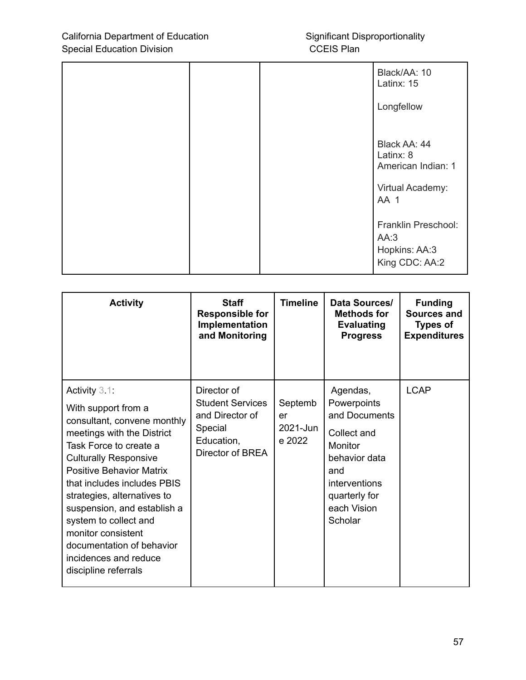|  | Black/AA: 10<br>Latinx: 15                                          |
|--|---------------------------------------------------------------------|
|  | Longfellow                                                          |
|  | Black AA: 44<br>Latinx: 8<br>American Indian: 1<br>Virtual Academy: |
|  | AA 1                                                                |
|  | Franklin Preschool:<br>AA:3<br>Hopkins: AA:3<br>King CDC: AA:2      |

| <b>Activity</b>                                                                                                                                                                                                                                                                                                                                                                                                             | <b>Staff</b><br><b>Responsible for</b><br>Implementation<br>and Monitoring                             | <b>Timeline</b>                     | Data Sources/<br><b>Methods for</b><br><b>Evaluating</b><br><b>Progress</b>                                                                            | <b>Funding</b><br><b>Sources and</b><br><b>Types of</b><br><b>Expenditures</b> |
|-----------------------------------------------------------------------------------------------------------------------------------------------------------------------------------------------------------------------------------------------------------------------------------------------------------------------------------------------------------------------------------------------------------------------------|--------------------------------------------------------------------------------------------------------|-------------------------------------|--------------------------------------------------------------------------------------------------------------------------------------------------------|--------------------------------------------------------------------------------|
| Activity $3.1$ :<br>With support from a<br>consultant, convene monthly<br>meetings with the District<br>Task Force to create a<br><b>Culturally Responsive</b><br><b>Positive Behavior Matrix</b><br>that includes includes PBIS<br>strategies, alternatives to<br>suspension, and establish a<br>system to collect and<br>monitor consistent<br>documentation of behavior<br>incidences and reduce<br>discipline referrals | Director of<br><b>Student Services</b><br>and Director of<br>Special<br>Education,<br>Director of BREA | Septemb<br>er<br>2021-Jun<br>e 2022 | Agendas,<br>Powerpoints<br>and Documents<br>Collect and<br>Monitor<br>behavior data<br>and<br>interventions<br>quarterly for<br>each Vision<br>Scholar | <b>LCAP</b>                                                                    |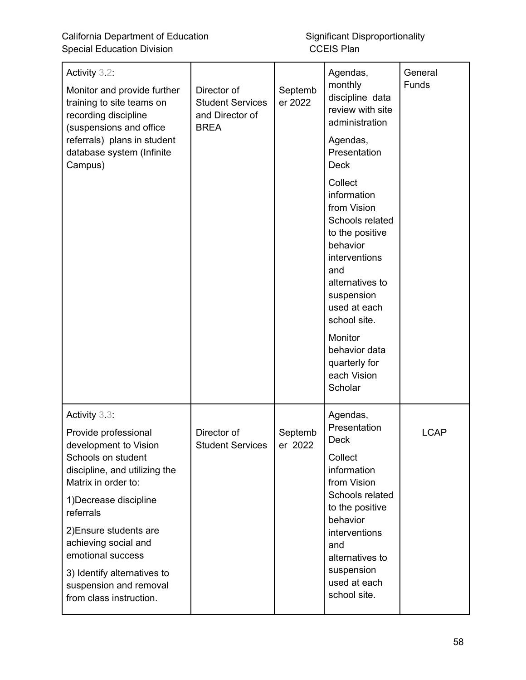California Department of Education<br>
Significant Disproportionality<br>
CCEIS Plan<br>
CCEIS Plan Special Education Division

| Activity 3.2:<br>Monitor and provide further<br>training to site teams on<br>recording discipline<br>(suspensions and office<br>referrals) plans in student<br>database system (Infinite<br>Campus) | Director of<br><b>Student Services</b><br>and Director of<br><b>BREA</b> | Septemb<br>er 2022 | Agendas,<br>monthly<br>discipline data<br>review with site<br>administration<br>Agendas,<br>Presentation<br><b>Deck</b><br>Collect<br>information<br>from Vision<br>Schools related<br>to the positive<br>behavior<br>interventions<br>and<br>alternatives to<br>suspension<br>used at each<br>school site.<br>Monitor<br>behavior data | General<br>Funds |
|-----------------------------------------------------------------------------------------------------------------------------------------------------------------------------------------------------|--------------------------------------------------------------------------|--------------------|-----------------------------------------------------------------------------------------------------------------------------------------------------------------------------------------------------------------------------------------------------------------------------------------------------------------------------------------|------------------|
|                                                                                                                                                                                                     |                                                                          |                    | quarterly for<br>each Vision<br>Scholar                                                                                                                                                                                                                                                                                                 |                  |
| Activity 3.3.<br>Provide professional<br>development to Vision<br>Schools on student<br>discipline, and utilizing the<br>Matrix in order to:<br>1) Decrease discipline<br>referrals                 | Director of<br><b>Student Services</b>                                   | Septemb<br>er 2022 | Agendas,<br>Presentation<br><b>Deck</b><br>Collect<br>information<br>from Vision<br>Schools related<br>to the positive                                                                                                                                                                                                                  | <b>LCAP</b>      |
| 2) Ensure students are<br>achieving social and<br>emotional success<br>3) Identify alternatives to<br>suspension and removal<br>from class instruction.                                             |                                                                          |                    | behavior<br>interventions<br>and<br>alternatives to<br>suspension<br>used at each<br>school site.                                                                                                                                                                                                                                       |                  |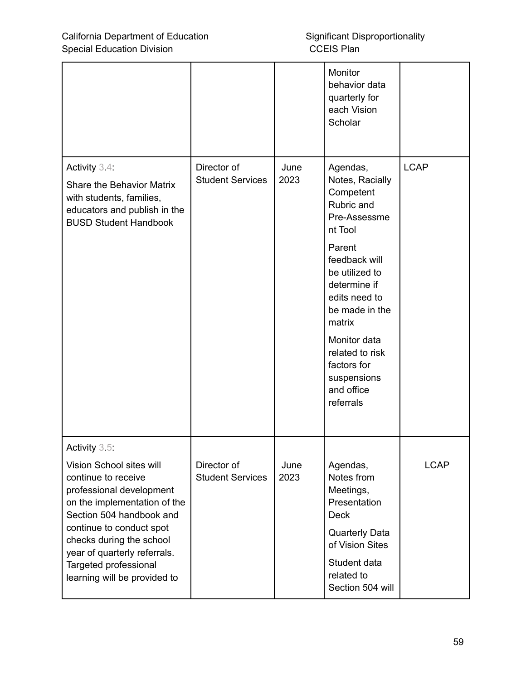|                                                                                                                                                                                                                                                                                                           |                                        |              | Monitor<br>behavior data<br>quarterly for<br>each Vision<br>Scholar                                                                                                                                                                                                                     |             |
|-----------------------------------------------------------------------------------------------------------------------------------------------------------------------------------------------------------------------------------------------------------------------------------------------------------|----------------------------------------|--------------|-----------------------------------------------------------------------------------------------------------------------------------------------------------------------------------------------------------------------------------------------------------------------------------------|-------------|
| Activity 3.4:<br><b>Share the Behavior Matrix</b><br>with students, families,<br>educators and publish in the<br><b>BUSD Student Handbook</b>                                                                                                                                                             | Director of<br><b>Student Services</b> | June<br>2023 | Agendas,<br>Notes, Racially<br>Competent<br>Rubric and<br>Pre-Assessme<br>nt Tool<br>Parent<br>feedback will<br>be utilized to<br>determine if<br>edits need to<br>be made in the<br>matrix<br>Monitor data<br>related to risk<br>factors for<br>suspensions<br>and office<br>referrals | <b>LCAP</b> |
| Activity 3.5:<br>Vision School sites will<br>continue to receive<br>professional development<br>on the implementation of the<br>Section 504 handbook and<br>continue to conduct spot<br>checks during the school<br>year of quarterly referrals.<br>Targeted professional<br>learning will be provided to | Director of<br><b>Student Services</b> | June<br>2023 | Agendas,<br>Notes from<br>Meetings,<br>Presentation<br><b>Deck</b><br><b>Quarterly Data</b><br>of Vision Sites<br>Student data<br>related to<br>Section 504 will                                                                                                                        | <b>LCAP</b> |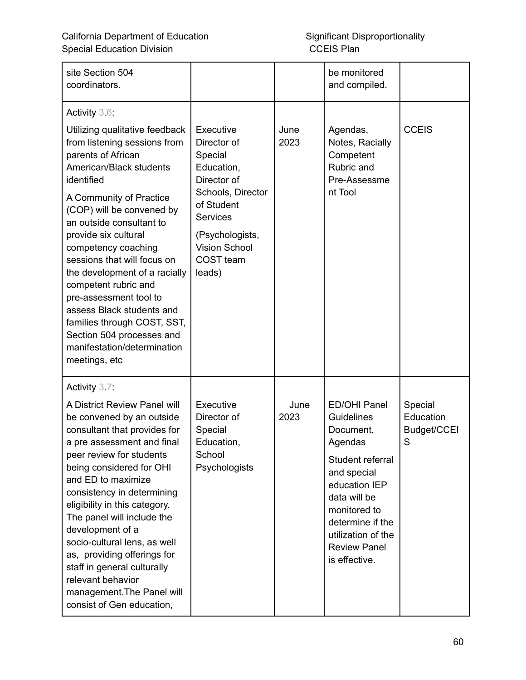| site Section 504<br>coordinators.                                                                                                                                                                                                                                                                                                                                                                                                                                                                                                            |                                                                                                                                                                                          |              | be monitored<br>and compiled.                                                                                                                                                                                                   |                                          |
|----------------------------------------------------------------------------------------------------------------------------------------------------------------------------------------------------------------------------------------------------------------------------------------------------------------------------------------------------------------------------------------------------------------------------------------------------------------------------------------------------------------------------------------------|------------------------------------------------------------------------------------------------------------------------------------------------------------------------------------------|--------------|---------------------------------------------------------------------------------------------------------------------------------------------------------------------------------------------------------------------------------|------------------------------------------|
| Activity 3.6:<br>Utilizing qualitative feedback<br>from listening sessions from<br>parents of African<br>American/Black students<br>identified<br>A Community of Practice<br>(COP) will be convened by<br>an outside consultant to<br>provide six cultural<br>competency coaching<br>sessions that will focus on<br>the development of a racially<br>competent rubric and<br>pre-assessment tool to<br>assess Black students and<br>families through COST, SST,<br>Section 504 processes and<br>manifestation/determination<br>meetings, etc | Executive<br>Director of<br>Special<br>Education,<br>Director of<br>Schools, Director<br>of Student<br><b>Services</b><br>(Psychologists,<br><b>Vision School</b><br>COST team<br>leads) | June<br>2023 | Agendas,<br>Notes, Racially<br>Competent<br>Rubric and<br>Pre-Assessme<br>nt Tool                                                                                                                                               | <b>CCEIS</b>                             |
| Activity 3.7:<br>A District Review Panel will<br>be convened by an outside<br>consultant that provides for<br>a pre assessment and final<br>peer review for students<br>being considered for OHI<br>and ED to maximize<br>consistency in determining<br>eligibility in this category.<br>The panel will include the<br>development of a<br>socio-cultural lens, as well<br>as, providing offerings for<br>staff in general culturally<br>relevant behavior<br>management. The Panel will<br>consist of Gen education,                        | Executive<br>Director of<br>Special<br>Education,<br>School<br>Psychologists                                                                                                             | June<br>2023 | <b>ED/OHI Panel</b><br>Guidelines<br>Document,<br>Agendas<br>Student referral<br>and special<br>education IEP<br>data will be<br>monitored to<br>determine if the<br>utilization of the<br><b>Review Panel</b><br>is effective. | Special<br>Education<br>Budget/CCEI<br>S |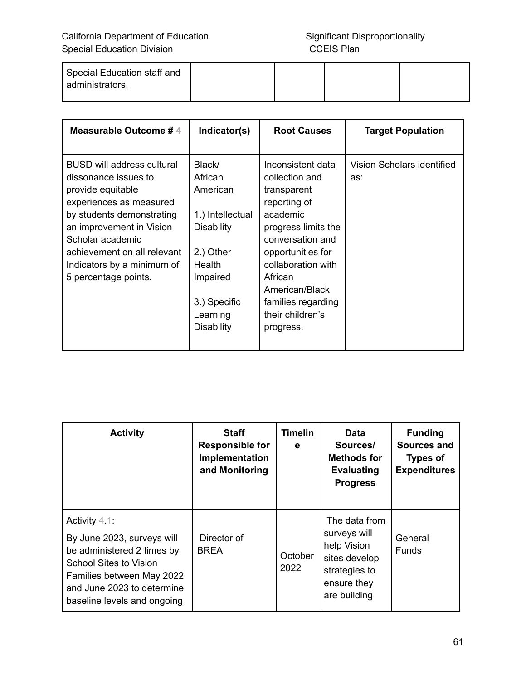| Special Education staff and |  |  |
|-----------------------------|--|--|
| administrators.             |  |  |

| Measurable Outcome #4                                                                                                                                                                                                                                                       | Indicator(s)                                                                                                                                               | <b>Root Causes</b>                                                                                                                                                                                                                                       | <b>Target Population</b>          |
|-----------------------------------------------------------------------------------------------------------------------------------------------------------------------------------------------------------------------------------------------------------------------------|------------------------------------------------------------------------------------------------------------------------------------------------------------|----------------------------------------------------------------------------------------------------------------------------------------------------------------------------------------------------------------------------------------------------------|-----------------------------------|
| <b>BUSD will address cultural</b><br>dissonance issues to<br>provide equitable<br>experiences as measured<br>by students demonstrating<br>an improvement in Vision<br>Scholar academic<br>achievement on all relevant<br>Indicators by a minimum of<br>5 percentage points. | Black/<br>African<br>American<br>1.) Intellectual<br><b>Disability</b><br>2.) Other<br>Health<br>Impaired<br>3.) Specific<br>Learning<br><b>Disability</b> | Inconsistent data<br>collection and<br>transparent<br>reporting of<br>academic<br>progress limits the<br>conversation and<br>opportunities for<br>collaboration with<br>African<br>American/Black<br>families regarding<br>their children's<br>progress. | Vision Scholars identified<br>as: |

| <b>Activity</b>                                                                                                                                                                                  | <b>Staff</b><br><b>Responsible for</b><br>Implementation<br>and Monitoring | <b>Timelin</b><br>е | <b>Data</b><br>Sources/<br><b>Methods for</b><br><b>Evaluating</b><br><b>Progress</b>                         | <b>Funding</b><br><b>Sources and</b><br><b>Types of</b><br><b>Expenditures</b> |
|--------------------------------------------------------------------------------------------------------------------------------------------------------------------------------------------------|----------------------------------------------------------------------------|---------------------|---------------------------------------------------------------------------------------------------------------|--------------------------------------------------------------------------------|
| Activity $4.1$ :<br>By June 2023, surveys will<br>be administered 2 times by<br>School Sites to Vision<br>Families between May 2022<br>and June 2023 to determine<br>baseline levels and ongoing | Director of<br><b>BREA</b>                                                 | October<br>2022     | The data from<br>surveys will<br>help Vision<br>sites develop<br>strategies to<br>ensure they<br>are building | General<br><b>Funds</b>                                                        |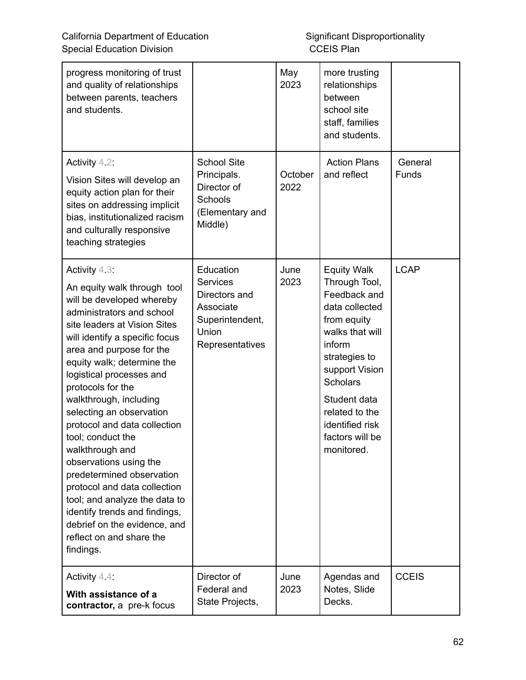| progress monitoring of trust<br>and quality of relationships<br>between parents, teachers<br>and students.                                                                                                                                                                                                                                                                                                                                                                                                                                                                                                                                             |                                                                                                           | May<br>2023     | more trusting<br>relationships<br>between<br>school site<br>staff, families<br>and students.                                                                                                                                                                  |                         |
|--------------------------------------------------------------------------------------------------------------------------------------------------------------------------------------------------------------------------------------------------------------------------------------------------------------------------------------------------------------------------------------------------------------------------------------------------------------------------------------------------------------------------------------------------------------------------------------------------------------------------------------------------------|-----------------------------------------------------------------------------------------------------------|-----------------|---------------------------------------------------------------------------------------------------------------------------------------------------------------------------------------------------------------------------------------------------------------|-------------------------|
| Activity $4.2$ :<br>Vision Sites will develop an<br>equity action plan for their<br>sites on addressing implicit<br>bias, institutionalized racism<br>and culturally responsive<br>teaching strategies                                                                                                                                                                                                                                                                                                                                                                                                                                                 | <b>School Site</b><br>Principals.<br>Director of<br>Schools<br>(Elementary and<br>Middle)                 | October<br>2022 | <b>Action Plans</b><br>and reflect                                                                                                                                                                                                                            | General<br><b>Funds</b> |
| Activity $4.3$ :<br>An equity walk through tool<br>will be developed whereby<br>administrators and school<br>site leaders at Vision Sites<br>will identify a specific focus<br>area and purpose for the<br>equity walk; determine the<br>logistical processes and<br>protocols for the<br>walkthrough, including<br>selecting an observation<br>protocol and data collection<br>tool; conduct the<br>walkthrough and<br>observations using the<br>predetermined observation<br>protocol and data collection<br>tool; and analyze the data to<br>identify trends and findings,<br>debrief on the evidence, and<br>reflect on and share the<br>findings. | Education<br><b>Services</b><br>Directors and<br>Associate<br>Superintendent,<br>Union<br>Representatives | June<br>2023    | <b>Equity Walk</b><br>Through Tool,<br>Feedback and<br>data collected<br>from equity<br>walks that will<br>inform<br>strategies to<br>support Vision<br><b>Scholars</b><br>Student data<br>related to the<br>identified risk<br>factors will be<br>monitored. | <b>LCAP</b>             |
| Activity $4.4$ :<br>With assistance of a<br>contractor, a pre-k focus                                                                                                                                                                                                                                                                                                                                                                                                                                                                                                                                                                                  | Director of<br>Federal and<br>State Projects,                                                             | June<br>2023    | Agendas and<br>Notes, Slide<br>Decks.                                                                                                                                                                                                                         | <b>CCEIS</b>            |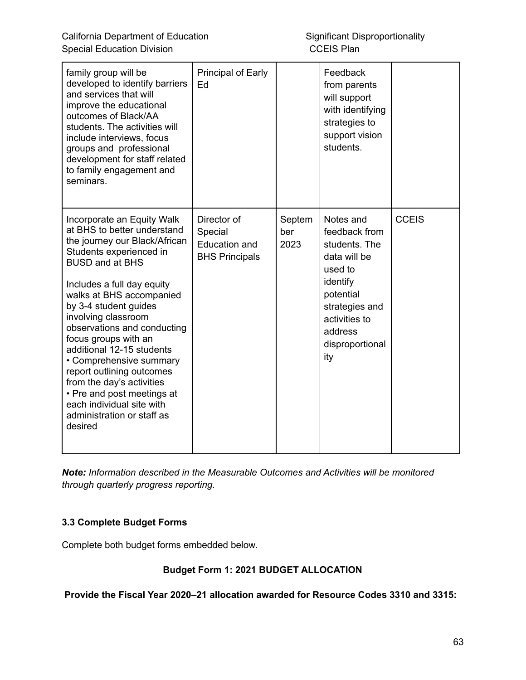| family group will be<br>developed to identify barriers<br>and services that will<br>improve the educational<br>outcomes of Black/AA<br>students. The activities will<br>include interviews, focus<br>groups and professional<br>development for staff related<br>to family engagement and<br>seminars.                                                                                                                                                                                                                                 | Principal of Early<br>Ed                                                |                       | Feedback<br>from parents<br>will support<br>with identifying<br>strategies to<br>support vision<br>students.                                                            |              |
|----------------------------------------------------------------------------------------------------------------------------------------------------------------------------------------------------------------------------------------------------------------------------------------------------------------------------------------------------------------------------------------------------------------------------------------------------------------------------------------------------------------------------------------|-------------------------------------------------------------------------|-----------------------|-------------------------------------------------------------------------------------------------------------------------------------------------------------------------|--------------|
| Incorporate an Equity Walk<br>at BHS to better understand<br>the journey our Black/African<br>Students experienced in<br><b>BUSD and at BHS</b><br>Includes a full day equity<br>walks at BHS accompanied<br>by 3-4 student guides<br>involving classroom<br>observations and conducting<br>focus groups with an<br>additional 12-15 students<br>• Comprehensive summary<br>report outlining outcomes<br>from the day's activities<br>• Pre and post meetings at<br>each individual site with<br>administration or staff as<br>desired | Director of<br>Special<br><b>Education and</b><br><b>BHS Principals</b> | Septem<br>ber<br>2023 | Notes and<br>feedback from<br>students. The<br>data will be<br>used to<br>identify<br>potential<br>strategies and<br>activities to<br>address<br>disproportional<br>ity | <b>CCEIS</b> |

*Note: Information described in the Measurable Outcomes and Activities will be monitored through quarterly progress reporting.*

#### **3.3 Complete Budget Forms**

Complete both budget forms embedded below.

#### **Budget Form 1: 2021 BUDGET ALLOCATION**

**Provide the Fiscal Year 2020–21 allocation awarded for Resource Codes 3310 and 3315:**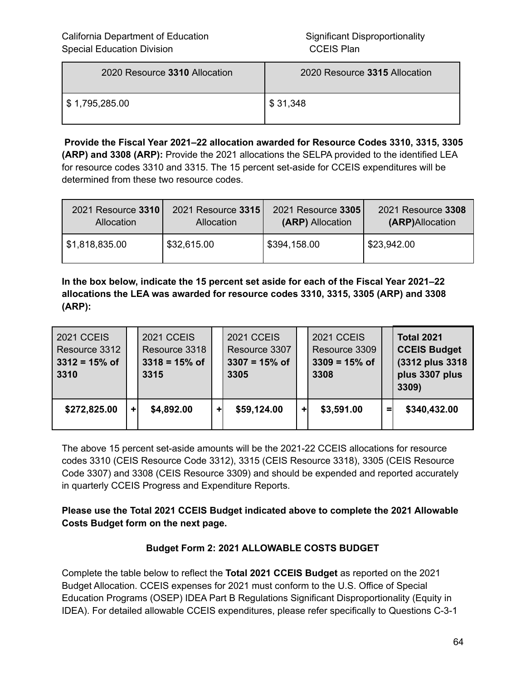| 2020 Resource 3310 Allocation | 2020 Resource 3315 Allocation |
|-------------------------------|-------------------------------|
| \$ 1,795,285.00               | $\frac{1}{2}$ \$ 31,348       |

**Provide the Fiscal Year 2021–22 allocation awarded for Resource Codes 3310, 3315, 3305 (ARP) and 3308 (ARP):** Provide the 2021 allocations the SELPA provided to the identified LEA for resource codes 3310 and 3315. The 15 percent set-aside for CCEIS expenditures will be determined from these two resource codes.

| 2021 Resource 3310        | 2021 Resource 3315 | 2021 Resource 3305 | 2021 Resource 3308 |
|---------------------------|--------------------|--------------------|--------------------|
| Allocation                | Allocation         | (ARP) Allocation   | (ARP)Allocation    |
| $\frac{1}{31.818,835.00}$ | \$32,615.00        | \$394,158.00       | \$23,942.00        |

**In the box below, indicate the 15 percent set aside for each of the Fiscal Year 2021–22 allocations the LEA was awarded for resource codes 3310, 3315, 3305 (ARP) and 3308 (ARP):**

| <b>2021 CCEIS</b><br>Resource 3312<br>$3312 = 15%$ of<br>3310 |    | <b>2021 CCEIS</b><br>Resource 3318<br>$3318 = 15%$ of<br>3315 |   | <b>2021 CCEIS</b><br>Resource 3307<br>$3307 = 15%$ of<br>3305 |   | <b>2021 CCEIS</b><br>Resource 3309<br>$3309 = 15%$ of<br>3308 |   | <b>Total 2021</b><br><b>CCEIS Budget</b><br>(3312 plus 3318)<br>plus 3307 plus<br>3309) |
|---------------------------------------------------------------|----|---------------------------------------------------------------|---|---------------------------------------------------------------|---|---------------------------------------------------------------|---|-----------------------------------------------------------------------------------------|
| \$272,825.00                                                  | ÷۶ | \$4,892.00                                                    | ٠ | \$59,124.00                                                   | ÷ | \$3,591.00                                                    | = | \$340,432.00                                                                            |

The above 15 percent set-aside amounts will be the 2021-22 CCEIS allocations for resource codes 3310 (CEIS Resource Code 3312), 3315 (CEIS Resource 3318), 3305 (CEIS Resource Code 3307) and 3308 (CEIS Resource 3309) and should be expended and reported accurately in quarterly CCEIS Progress and Expenditure Reports.

**Please use the Total 2021 CCEIS Budget indicated above to complete the 2021 Allowable Costs Budget form on the next page.**

#### **Budget Form 2: 2021 ALLOWABLE COSTS BUDGET**

Complete the table below to reflect the **Total 2021 CCEIS Budget** as reported on the 2021 Budget Allocation. CCEIS expenses for 2021 must conform to the U.S. Office of Special Education Programs (OSEP) IDEA Part B Regulations Significant Disproportionality (Equity in IDEA). For detailed allowable CCEIS expenditures, please refer specifically to Questions C-3-1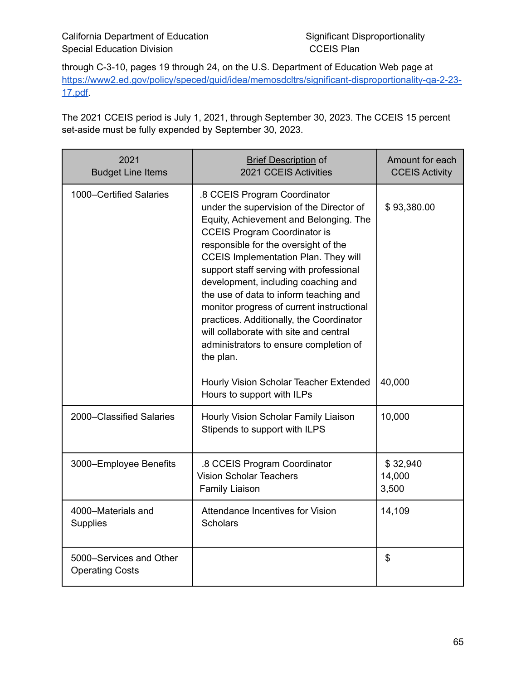through C-3-10, pages 19 through 24, on the U.S. Department of Education Web page at [https://www2.ed.gov/policy/speced/guid/idea/memosdcltrs/significant-disproportionality-qa-2-23-](https://www2.ed.gov/policy/speced/guid/idea/memosdcltrs/significant-disproportionality-qa-2-23-17.pdf) [17.pdf.](https://www2.ed.gov/policy/speced/guid/idea/memosdcltrs/significant-disproportionality-qa-2-23-17.pdf)

The 2021 CCEIS period is July 1, 2021, through September 30, 2023. The CCEIS 15 percent set-aside must be fully expended by September 30, 2023.

| 2021<br><b>Budget Line Items</b>                  | <b>Brief Description of</b><br>2021 CCEIS Activities                                                                                                                                                                                                                                                                                                                                                                                                                                                                                                                   | Amount for each<br><b>CCEIS Activity</b> |
|---------------------------------------------------|------------------------------------------------------------------------------------------------------------------------------------------------------------------------------------------------------------------------------------------------------------------------------------------------------------------------------------------------------------------------------------------------------------------------------------------------------------------------------------------------------------------------------------------------------------------------|------------------------------------------|
| 1000-Certified Salaries                           | .8 CCEIS Program Coordinator<br>under the supervision of the Director of<br>Equity, Achievement and Belonging. The<br><b>CCEIS Program Coordinator is</b><br>responsible for the oversight of the<br><b>CCEIS Implementation Plan. They will</b><br>support staff serving with professional<br>development, including coaching and<br>the use of data to inform teaching and<br>monitor progress of current instructional<br>practices. Additionally, the Coordinator<br>will collaborate with site and central<br>administrators to ensure completion of<br>the plan. | \$93,380.00                              |
|                                                   | Hourly Vision Scholar Teacher Extended<br>Hours to support with ILPs                                                                                                                                                                                                                                                                                                                                                                                                                                                                                                   | 40,000                                   |
| 2000-Classified Salaries                          | Hourly Vision Scholar Family Liaison<br>Stipends to support with ILPS                                                                                                                                                                                                                                                                                                                                                                                                                                                                                                  | 10,000                                   |
| 3000-Employee Benefits                            | .8 CCEIS Program Coordinator<br><b>Vision Scholar Teachers</b><br><b>Family Liaison</b>                                                                                                                                                                                                                                                                                                                                                                                                                                                                                | \$32,940<br>14,000<br>3,500              |
| 4000-Materials and<br><b>Supplies</b>             | <b>Attendance Incentives for Vision</b><br><b>Scholars</b>                                                                                                                                                                                                                                                                                                                                                                                                                                                                                                             | 14,109                                   |
| 5000-Services and Other<br><b>Operating Costs</b> |                                                                                                                                                                                                                                                                                                                                                                                                                                                                                                                                                                        | \$                                       |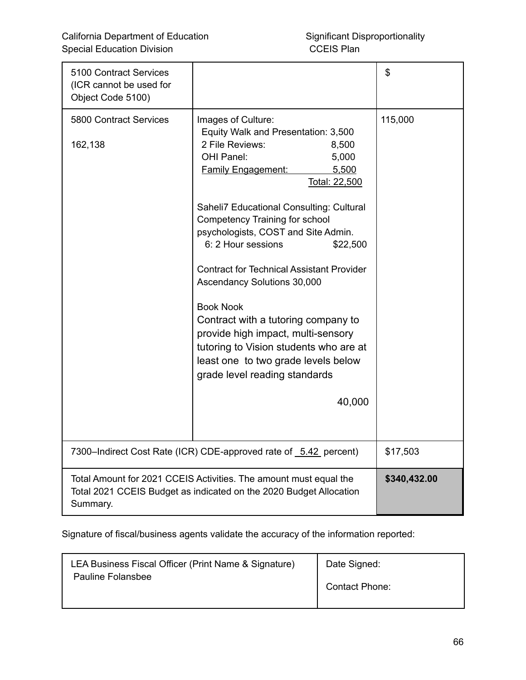| 5100 Contract Services<br>(ICR cannot be used for<br>Object Code 5100)                                                                              |                                                                                                                                                                                                                                                                                                                                                                                                                                                                                                                                                                                                                                            | \$      |
|-----------------------------------------------------------------------------------------------------------------------------------------------------|--------------------------------------------------------------------------------------------------------------------------------------------------------------------------------------------------------------------------------------------------------------------------------------------------------------------------------------------------------------------------------------------------------------------------------------------------------------------------------------------------------------------------------------------------------------------------------------------------------------------------------------------|---------|
| 5800 Contract Services<br>162,138                                                                                                                   | Images of Culture:<br>Equity Walk and Presentation: 3,500<br>2 File Reviews:<br>8,500<br>OHI Panel:<br>5,000<br><b>Family Engagement:</b><br>5,500<br>Total: 22,500<br>Saheli7 Educational Consulting: Cultural<br>Competency Training for school<br>psychologists, COST and Site Admin.<br>6: 2 Hour sessions<br>\$22,500<br><b>Contract for Technical Assistant Provider</b><br>Ascendancy Solutions 30,000<br><b>Book Nook</b><br>Contract with a tutoring company to<br>provide high impact, multi-sensory<br>tutoring to Vision students who are at<br>least one to two grade levels below<br>grade level reading standards<br>40,000 | 115,000 |
| 7300-Indirect Cost Rate (ICR) CDE-approved rate of 5.42 percent)                                                                                    | \$17,503                                                                                                                                                                                                                                                                                                                                                                                                                                                                                                                                                                                                                                   |         |
| Total Amount for 2021 CCEIS Activities. The amount must equal the<br>Total 2021 CCEIS Budget as indicated on the 2020 Budget Allocation<br>Summary. | \$340,432.00                                                                                                                                                                                                                                                                                                                                                                                                                                                                                                                                                                                                                               |         |

Signature of fiscal/business agents validate the accuracy of the information reported:

| LEA Business Fiscal Officer (Print Name & Signature) | Date Signed:   |
|------------------------------------------------------|----------------|
| Pauline Folansbee                                    | Contact Phone: |
|                                                      |                |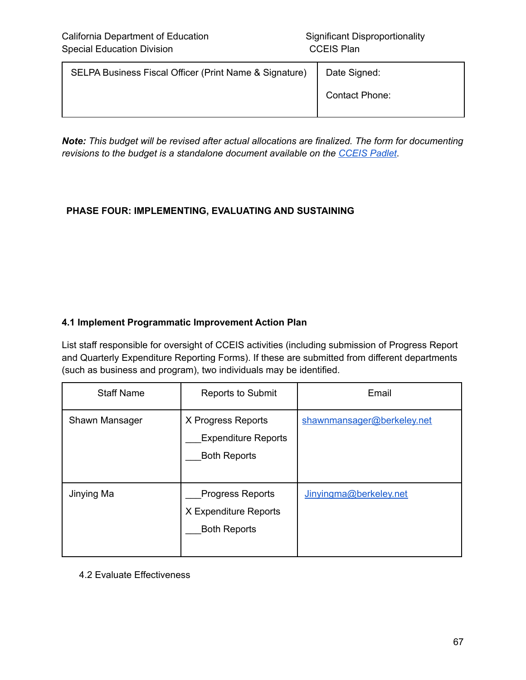| Date Signed:          |
|-----------------------|
| <b>Contact Phone:</b> |
|                       |

*Note: This budget will be revised after actual allocations are finalized. The form for documenting revisions to the budget is a standalone document available on the [CCEIS](https://padlet.com/spptap/clx6r968cm5949jx) Padlet*.

#### **PHASE FOUR: IMPLEMENTING, EVALUATING AND SUSTAINING**

#### **4.1 Implement Programmatic Improvement Action Plan**

List staff responsible for oversight of CCEIS activities (including submission of Progress Report and Quarterly Expenditure Reporting Forms). If these are submitted from different departments (such as business and program), two individuals may be identified.

| <b>Staff Name</b> | <b>Reports to Submit</b>                                                | Email                      |
|-------------------|-------------------------------------------------------------------------|----------------------------|
| Shawn Mansager    | X Progress Reports<br><b>Expenditure Reports</b><br><b>Both Reports</b> | shawnmansager@berkeley.net |
| Jinying Ma        | <b>Progress Reports</b><br>X Expenditure Reports<br><b>Both Reports</b> | Jinyingma@berkeley.net     |

4.2 Evaluate Effectiveness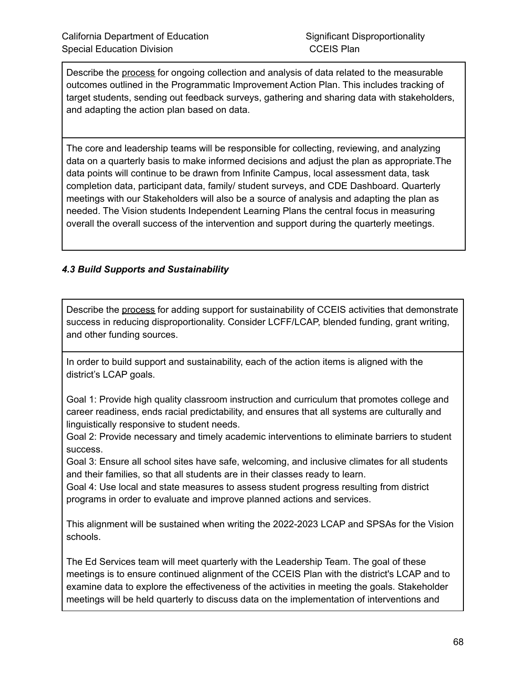Describe the process for ongoing collection and analysis of data related to the measurable outcomes outlined in the Programmatic Improvement Action Plan. This includes tracking of target students, sending out feedback surveys, gathering and sharing data with stakeholders, and adapting the action plan based on data.

The core and leadership teams will be responsible for collecting, reviewing, and analyzing data on a quarterly basis to make informed decisions and adjust the plan as appropriate.The data points will continue to be drawn from Infinite Campus, local assessment data, task completion data, participant data, family/ student surveys, and CDE Dashboard. Quarterly meetings with our Stakeholders will also be a source of analysis and adapting the plan as needed. The Vision students Independent Learning Plans the central focus in measuring overall the overall success of the intervention and support during the quarterly meetings.

#### *4.3 Build Supports and Sustainability*

Describe the process for adding support for sustainability of CCEIS activities that demonstrate success in reducing disproportionality. Consider LCFF/LCAP, blended funding, grant writing, and other funding sources.

In order to build support and sustainability, each of the action items is aligned with the district's LCAP goals.

Goal 1: Provide high quality classroom instruction and curriculum that promotes college and career readiness, ends racial predictability, and ensures that all systems are culturally and linguistically responsive to student needs.

Goal 2: Provide necessary and timely academic interventions to eliminate barriers to student success.

Goal 3: Ensure all school sites have safe, welcoming, and inclusive climates for all students and their families, so that all students are in their classes ready to learn.

Goal 4: Use local and state measures to assess student progress resulting from district programs in order to evaluate and improve planned actions and services.

This alignment will be sustained when writing the 2022-2023 LCAP and SPSAs for the Vision schools.

The Ed Services team will meet quarterly with the Leadership Team. The goal of these meetings is to ensure continued alignment of the CCEIS Plan with the district's LCAP and to examine data to explore the effectiveness of the activities in meeting the goals. Stakeholder meetings will be held quarterly to discuss data on the implementation of interventions and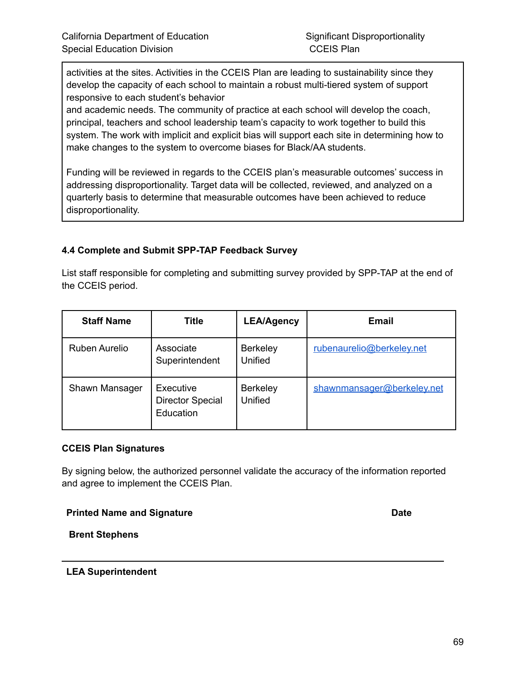activities at the sites. Activities in the CCEIS Plan are leading to sustainability since they develop the capacity of each school to maintain a robust multi-tiered system of support responsive to each student's behavior

and academic needs. The community of practice at each school will develop the coach, principal, teachers and school leadership team's capacity to work together to build this system. The work with implicit and explicit bias will support each site in determining how to make changes to the system to overcome biases for Black/AA students.

Funding will be reviewed in regards to the CCEIS plan's measurable outcomes' success in addressing disproportionality. Target data will be collected, reviewed, and analyzed on a quarterly basis to determine that measurable outcomes have been achieved to reduce disproportionality.

#### **4.4 Complete and Submit SPP-TAP Feedback Survey**

List staff responsible for completing and submitting survey provided by SPP-TAP at the end of the CCEIS period.

| <b>Staff Name</b> | <b>Title</b>                                      | <b>LEA/Agency</b>                 | <b>Email</b>               |
|-------------------|---------------------------------------------------|-----------------------------------|----------------------------|
| Ruben Aurelio     | Associate<br>Superintendent                       | <b>Berkeley</b><br>Unified        | rubenaurelio@berkeley.net  |
| Shawn Mansager    | Executive<br><b>Director Special</b><br>Education | <b>Berkeley</b><br><b>Unified</b> | shawnmansager@berkeley.net |

#### **CCEIS Plan Signatures**

By signing below, the authorized personnel validate the accuracy of the information reported and agree to implement the CCEIS Plan.

#### **Printed Name and Signature Date**

**Brent Stephens**

#### **LEA Superintendent**